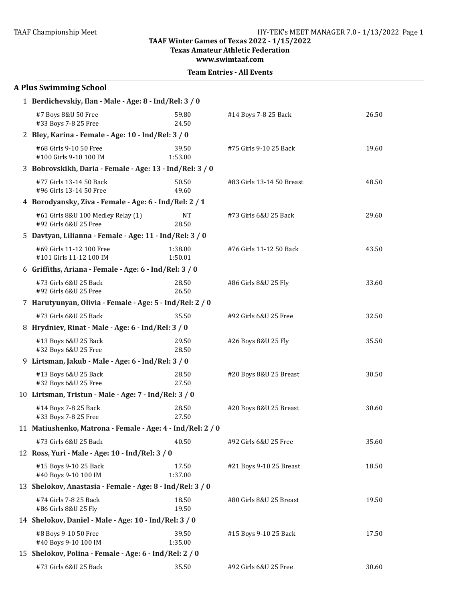**Texas Amateur Athletic Federation**

**www.swimtaaf.com**

|  | <b>Team Entries - All Events</b> |  |  |
|--|----------------------------------|--|--|
|--|----------------------------------|--|--|

| <b>A Plus Swimming School</b>                               |                    |                           |       |
|-------------------------------------------------------------|--------------------|---------------------------|-------|
| 1 Berdichevskiy, Ilan - Male - Age: 8 - Ind/Rel: 3 / 0      |                    |                           |       |
| #7 Boys 8&U 50 Free<br>#33 Boys 7-8 25 Free                 | 59.80<br>24.50     | #14 Boys 7-8 25 Back      | 26.50 |
| 2 Bley, Karina - Female - Age: 10 - Ind/Rel: 3 / 0          |                    |                           |       |
| #68 Girls 9-10 50 Free<br>#100 Girls 9-10 100 IM            | 39.50<br>1:53.00   | #75 Girls 9-10 25 Back    | 19.60 |
| 3 Bobrovskikh, Daria - Female - Age: 13 - Ind/Rel: 3 / 0    |                    |                           |       |
| #77 Girls 13-14 50 Back<br>#96 Girls 13-14 50 Free          | 50.50<br>49.60     | #83 Girls 13-14 50 Breast | 48.50 |
| 4 Borodyansky, Ziva - Female - Age: 6 - Ind/Rel: 2 / 1      |                    |                           |       |
| #61 Girls 8&U 100 Medley Relay (1)<br>#92 Girls 6&U 25 Free | <b>NT</b><br>28.50 | #73 Girls 6&U 25 Back     | 29.60 |
| 5 Davtyan, Lilianna - Female - Age: 11 - Ind/Rel: 3 / 0     |                    |                           |       |
| #69 Girls 11-12 100 Free<br>#101 Girls 11-12 100 IM         | 1:38.00<br>1:50.01 | #76 Girls 11-12 50 Back   | 43.50 |
| 6 Griffiths, Ariana - Female - Age: 6 - Ind/Rel: 3 / 0      |                    |                           |       |
| #73 Girls 6&U 25 Back<br>#92 Girls 6&U 25 Free              | 28.50<br>26.50     | #86 Girls 8&U 25 Fly      | 33.60 |
| 7 Harutyunyan, Olivia - Female - Age: 5 - Ind/Rel: 2 / 0    |                    |                           |       |
| #73 Girls 6&U 25 Back                                       | 35.50              | #92 Girls 6&U 25 Free     | 32.50 |
| 8 Hrydniev, Rinat - Male - Age: 6 - Ind/Rel: 3 / 0          |                    |                           |       |
| #13 Boys 6&U 25 Back<br>#32 Boys 6&U 25 Free                | 29.50<br>28.50     | #26 Boys 8&U 25 Fly       | 35.50 |
| 9 Lirtsman, Jakub - Male - Age: 6 - Ind/Rel: 3 / 0          |                    |                           |       |
| #13 Boys 6&U 25 Back<br>#32 Boys 6&U 25 Free                | 28.50<br>27.50     | #20 Boys 8&U 25 Breast    | 30.50 |
| 10 Lirtsman, Tristun - Male - Age: 7 - Ind/Rel: 3 / 0       |                    |                           |       |
| #14 Boys 7-8 25 Back<br>#33 Boys 7-8 25 Free                | 28.50<br>27.50     | #20 Boys 8&U 25 Breast    | 30.60 |
| 11 Matiushenko, Matrona - Female - Age: 4 - Ind/Rel: 2 / 0  |                    |                           |       |
| #73 Girls 6&U 25 Back                                       | 40.50              | #92 Girls 6&U 25 Free     | 35.60 |
| 12 Ross, Yuri - Male - Age: 10 - Ind/Rel: 3 / 0             |                    |                           |       |
| #15 Boys 9-10 25 Back<br>#40 Boys 9-10 100 IM               | 17.50<br>1:37.00   | #21 Boys 9-10 25 Breast   | 18.50 |
| 13 Shelokov, Anastasia - Female - Age: 8 - Ind/Rel: 3 / 0   |                    |                           |       |
| #74 Girls 7-8 25 Back<br>#86 Girls 8&U 25 Fly               | 18.50<br>19.50     | #80 Girls 8&U 25 Breast   | 19.50 |
| 14 Shelokov, Daniel - Male - Age: 10 - Ind/Rel: 3 / 0       |                    |                           |       |
| #8 Boys 9-10 50 Free<br>#40 Boys 9-10 100 IM                | 39.50<br>1:35.00   | #15 Boys 9-10 25 Back     | 17.50 |
| 15 Shelokov, Polina - Female - Age: 6 - Ind/Rel: 2 / 0      |                    |                           |       |
| #73 Girls 6&U 25 Back                                       | 35.50              | #92 Girls 6&U 25 Free     | 30.60 |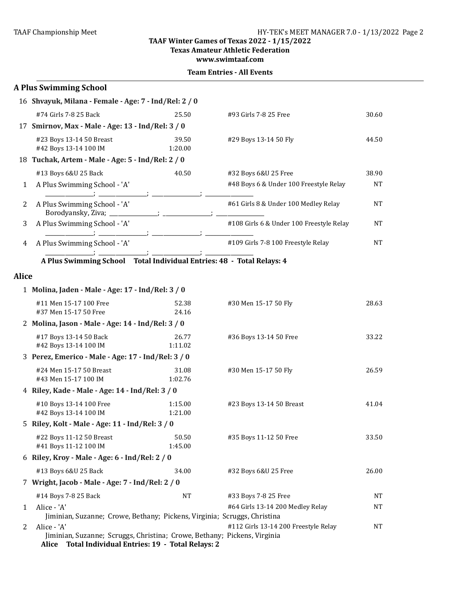#### **TAAF Winter Games of Texas 2022 - 1/15/2022 Texas Amateur Athletic Federation**

**www.swimtaaf.com**

|              | <b>A Plus Swimming School</b>                                                                                                                   |                    |                                          |           |
|--------------|-------------------------------------------------------------------------------------------------------------------------------------------------|--------------------|------------------------------------------|-----------|
|              | 16 Shvayuk, Milana - Female - Age: 7 - Ind/Rel: 2 / 0                                                                                           |                    |                                          |           |
|              | #74 Girls 7-8 25 Back                                                                                                                           | 25.50              | #93 Girls 7-8 25 Free                    | 30.60     |
|              | 17 Smirnov, Max - Male - Age: 13 - Ind/Rel: 3 / 0                                                                                               |                    |                                          |           |
|              | #23 Boys 13-14 50 Breast<br>#42 Boys 13-14 100 IM                                                                                               | 39.50<br>1:20.00   | #29 Boys 13-14 50 Fly                    | 44.50     |
|              | 18 Tuchak, Artem - Male - Age: 5 - Ind/Rel: 2 / 0                                                                                               |                    |                                          |           |
|              | #13 Boys 6&U 25 Back                                                                                                                            | 40.50              | #32 Boys 6&U 25 Free                     | 38.90     |
| 1            | A Plus Swimming School - 'A'                                                                                                                    |                    | #48 Boys 6 & Under 100 Freestyle Relay   | NT        |
| 2            | A Plus Swimming School - 'A'<br>Borodyansky, Ziva; _____________; .                                                                             |                    | #61 Girls 8 & Under 100 Medley Relay     | NΤ        |
| 3            | A Plus Swimming School - 'A'                                                                                                                    |                    | #108 Girls 6 & Under 100 Freestyle Relay | <b>NT</b> |
| 4            | A Plus Swimming School - 'A'                                                                                                                    |                    | #109 Girls 7-8 100 Freestyle Relay       | NΤ        |
|              | A Plus Swimming School Total Individual Entries: 48 - Total Relays: 4                                                                           |                    |                                          |           |
| <b>Alice</b> |                                                                                                                                                 |                    |                                          |           |
|              | 1 Molina, Jaden - Male - Age: 17 - Ind/Rel: 3 / 0                                                                                               |                    |                                          |           |
|              | #11 Men 15-17 100 Free                                                                                                                          | 52.38              | #30 Men 15-17 50 Fly                     | 28.63     |
|              | #37 Men 15-17 50 Free                                                                                                                           | 24.16              |                                          |           |
|              | 2 Molina, Jason - Male - Age: 14 - Ind/Rel: 3 / 0                                                                                               |                    |                                          |           |
|              | #17 Boys 13-14 50 Back<br>#42 Boys 13-14 100 IM                                                                                                 | 26.77<br>1:11.02   | #36 Boys 13-14 50 Free                   | 33.22     |
|              | 3 Perez, Emerico - Male - Age: 17 - Ind/Rel: 3 / 0                                                                                              |                    |                                          |           |
|              | #24 Men 15-17 50 Breast<br>#43 Men 15-17 100 IM                                                                                                 | 31.08<br>1:02.76   | #30 Men 15-17 50 Fly                     | 26.59     |
|              | 4 Riley, Kade - Male - Age: 14 - Ind/Rel: 3 / 0                                                                                                 |                    |                                          |           |
|              | #10 Boys 13-14 100 Free<br>#42 Boys 13-14 100 IM                                                                                                | 1:15.00<br>1:21.00 | #23 Boys 13-14 50 Breast                 | 41.04     |
|              | 5 Riley, Kolt - Male - Age: 11 - Ind/Rel: 3 / 0                                                                                                 |                    |                                          |           |
|              | #22 Boys 11-12 50 Breast<br>#41 Boys 11-12 100 IM                                                                                               | 50.50<br>1:45.00   | #35 Boys 11-12 50 Free                   | 33.50     |
|              | 6 Riley, Kroy - Male - Age: 6 - Ind/Rel: 2 / 0                                                                                                  |                    |                                          |           |
|              | #13 Boys 6&U 25 Back                                                                                                                            | 34.00              | #32 Boys 6&U 25 Free                     | 26.00     |
|              | 7 Wright, Jacob - Male - Age: 7 - Ind/Rel: 2 / 0                                                                                                |                    |                                          |           |
|              | #14 Boys 7-8 25 Back                                                                                                                            | NT                 | #33 Boys 7-8 25 Free                     | NT        |
| 1            | Alice - 'A'                                                                                                                                     |                    | #64 Girls 13-14 200 Medley Relay         | NT        |
|              | Jiminian, Suzanne; Crowe, Bethany; Pickens, Virginia; Scruggs, Christina                                                                        |                    |                                          |           |
| 2            | Alice - 'A'<br>Jiminian, Suzanne; Scruggs, Christina; Crowe, Bethany; Pickens, Virginia<br>Alice Total Individual Entries: 19 - Total Relays: 2 |                    | #112 Girls 13-14 200 Freestyle Relay     | NT        |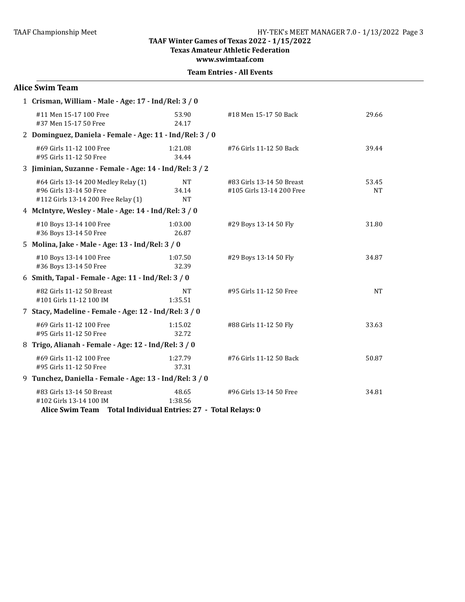**Texas Amateur Athletic Federation**

**www.swimtaaf.com**

|  | <b>Team Entries - All Events</b> |  |  |
|--|----------------------------------|--|--|
|--|----------------------------------|--|--|

| <b>Alice Swim Team</b>                                                                                                 |                                 |                                                        |                    |
|------------------------------------------------------------------------------------------------------------------------|---------------------------------|--------------------------------------------------------|--------------------|
| 1 Crisman, William - Male - Age: 17 - Ind/Rel: 3 / 0                                                                   |                                 |                                                        |                    |
| #11 Men 15-17 100 Free<br>#37 Men 15-17 50 Free                                                                        | 53.90<br>24.17                  | #18 Men 15-17 50 Back                                  | 29.66              |
| 2 Dominguez, Daniela - Female - Age: 11 - Ind/Rel: 3 / 0                                                               |                                 |                                                        |                    |
| #69 Girls 11-12 100 Free<br>#95 Girls 11-12 50 Free                                                                    | 1:21.08<br>34.44                | #76 Girls 11-12 50 Back                                | 39.44              |
| 3 Jiminian, Suzanne - Female - Age: 14 - Ind/Rel: 3 / 2                                                                |                                 |                                                        |                    |
| #64 Girls 13-14 200 Medley Relay (1)<br>#96 Girls 13-14 50 Free<br>#112 Girls 13-14 200 Free Relay (1)                 | <b>NT</b><br>34.14<br><b>NT</b> | #83 Girls 13-14 50 Breast<br>#105 Girls 13-14 200 Free | 53.45<br><b>NT</b> |
| 4 McIntyre, Wesley - Male - Age: 14 - Ind/Rel: 3 / 0                                                                   |                                 |                                                        |                    |
| #10 Boys 13-14 100 Free<br>#36 Boys 13-14 50 Free                                                                      | 1:03.00<br>26.87                | #29 Boys 13-14 50 Fly                                  | 31.80              |
| 5 Molina, Jake - Male - Age: 13 - Ind/Rel: 3 / 0                                                                       |                                 |                                                        |                    |
| #10 Boys 13-14 100 Free<br>#36 Boys 13-14 50 Free                                                                      | 1:07.50<br>32.39                | #29 Boys 13-14 50 Fly                                  | 34.87              |
| 6 Smith, Tapal - Female - Age: 11 - Ind/Rel: 3 / 0                                                                     |                                 |                                                        |                    |
| #82 Girls 11-12 50 Breast<br>#101 Girls 11-12 100 IM                                                                   | <b>NT</b><br>1:35.51            | #95 Girls 11-12 50 Free                                | <b>NT</b>          |
| 7 Stacy, Madeline - Female - Age: 12 - Ind/Rel: 3 / 0                                                                  |                                 |                                                        |                    |
| #69 Girls 11-12 100 Free<br>#95 Girls 11-12 50 Free                                                                    | 1:15.02<br>32.72                | #88 Girls 11-12 50 Fly                                 | 33.63              |
| 8 Trigo, Alianah - Female - Age: 12 - Ind/Rel: 3 / 0                                                                   |                                 |                                                        |                    |
| #69 Girls 11-12 100 Free<br>#95 Girls 11-12 50 Free                                                                    | 1:27.79<br>37.31                | #76 Girls 11-12 50 Back                                | 50.87              |
| 9 Tunchez, Daniella - Female - Age: 13 - Ind/Rel: 3 / 0                                                                |                                 |                                                        |                    |
| #83 Girls 13-14 50 Breast<br>#102 Girls 13-14 100 IM<br>Alice Swim Team Total Individual Entries: 27 - Total Relays: 0 | 48.65<br>1:38.56                | #96 Girls 13-14 50 Free                                | 34.81              |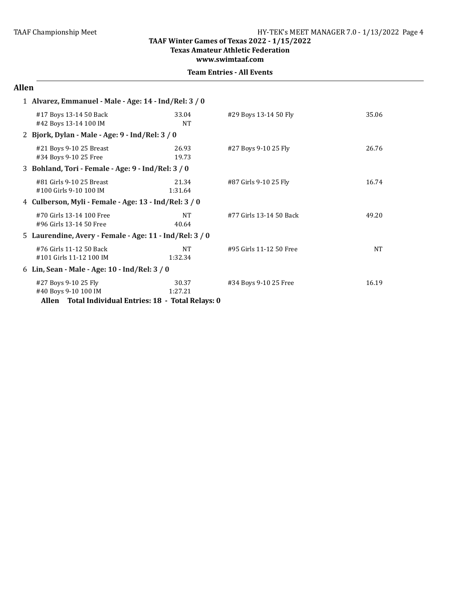**Texas Amateur Athletic Federation**

**www.swimtaaf.com**

|  | <b>Team Entries - All Events</b> |  |  |
|--|----------------------------------|--|--|
|--|----------------------------------|--|--|

#### **Allen**

| 1 Alvarez, Emmanuel - Male - Age: 14 - Ind/Rel: 3 / 0 |                                                                                                      |                    |                         |           |  |
|-------------------------------------------------------|------------------------------------------------------------------------------------------------------|--------------------|-------------------------|-----------|--|
|                                                       | #17 Boys 13-14 50 Back<br>#42 Boys 13-14 100 IM                                                      | 33.04<br>NT        | #29 Boys 13-14 50 Fly   | 35.06     |  |
|                                                       | 2 Bjork, Dylan - Male - Age: 9 - Ind/Rel: 3 / 0                                                      |                    |                         |           |  |
|                                                       | #21 Boys 9-10 25 Breast<br>#34 Boys 9-10 25 Free                                                     | 26.93<br>19.73     | #27 Boys 9-10 25 Fly    | 26.76     |  |
|                                                       | 3 Bohland, Tori - Female - Age: 9 - Ind/Rel: 3 / 0                                                   |                    |                         |           |  |
|                                                       | #81 Girls 9-10 25 Breast<br>#100 Girls 9-10 100 IM                                                   | 21.34<br>1:31.64   | #87 Girls 9-10 25 Fly   | 16.74     |  |
|                                                       | 4 Culberson, Myli - Female - Age: 13 - Ind/Rel: 3 / 0                                                |                    |                         |           |  |
|                                                       | #70 Girls 13-14 100 Free<br>#96 Girls 13-14 50 Free                                                  | <b>NT</b><br>40.64 | #77 Girls 13-14 50 Back | 49.20     |  |
|                                                       | 5 Laurendine, Avery - Female - Age: 11 - Ind/Rel: 3 / 0                                              |                    |                         |           |  |
|                                                       | #76 Girls 11-12 50 Back<br>#101 Girls 11-12 100 IM                                                   | NT.<br>1:32.34     | #95 Girls 11-12 50 Free | <b>NT</b> |  |
|                                                       | 6 Lin, Sean - Male - Age: 10 - Ind/Rel: 3 / 0                                                        |                    |                         |           |  |
|                                                       | #27 Boys 9-10 25 Fly<br>#40 Boys 9-10 100 IM<br>Allen Total Individual Entries: 18 - Total Relays: 0 | 30.37<br>1:27.21   | #34 Boys 9-10 25 Free   | 16.19     |  |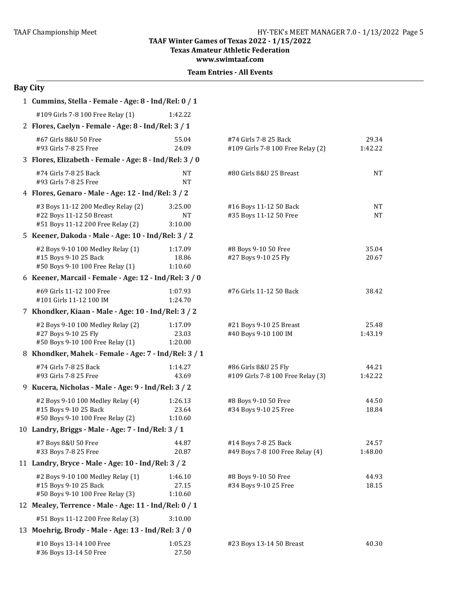**Texas Amateur Athletic Federation** 

**www.swimtaaf.com**

# **Bay City**

| 1 Cummins, Stella - Female - Age: 8 - Ind/Rel: 0 / 1                                                |                                 |                                                            |                  |
|-----------------------------------------------------------------------------------------------------|---------------------------------|------------------------------------------------------------|------------------|
| #109 Girls 7-8 100 Free Relay (1)                                                                   | 1:42.22                         |                                                            |                  |
| 2 Flores, Caelyn - Female - Age: 8 - Ind/Rel: 3 / 1                                                 |                                 |                                                            |                  |
| #67 Girls 8&U 50 Free<br>#93 Girls 7-8 25 Free                                                      | 55.04<br>24.09                  | #74 Girls 7-8 25 Back<br>#109 Girls 7-8 100 Free Relay (2) | 29.34<br>1:42.22 |
| 3 Flores, Elizabeth - Female - Age: 8 - Ind/Rel: 3 / 0                                              |                                 |                                                            |                  |
| #74 Girls 7-8 25 Back<br>#93 Girls 7-8 25 Free                                                      | <b>NT</b><br>NT                 | #80 Girls 8&U 25 Breast                                    | NT               |
| 4 Flores, Genaro - Male - Age: 12 - Ind/Rel: 3 / 2                                                  |                                 |                                                            |                  |
| #3 Boys 11-12 200 Medley Relay (2)<br>#22 Boys 11-12 50 Breast<br>#51 Boys 11-12 200 Free Relay (2) | 3:25.00<br><b>NT</b><br>3:10.00 | #16 Boys 11-12 50 Back<br>#35 Boys 11-12 50 Free           | NT<br>NT         |
| 5 Keener, Dakoda - Male - Age: 10 - Ind/Rel: 3 / 2                                                  |                                 |                                                            |                  |
| #2 Boys 9-10 100 Medley Relay (1)<br>#15 Boys 9-10 25 Back<br>#50 Boys 9-10 100 Free Relay (1)      | 1:17.09<br>18.86<br>1:10.60     | #8 Boys 9-10 50 Free<br>#27 Boys 9-10 25 Fly               | 35.04<br>20.67   |
| 6 Keener, Marcail - Female - Age: 12 - Ind/Rel: 3 / 0                                               |                                 |                                                            |                  |
| #69 Girls 11-12 100 Free<br>#101 Girls 11-12 100 IM                                                 | 1:07.93<br>1:24.70              | #76 Girls 11-12 50 Back                                    | 38.42            |
| 7 Khondker, Kiaan - Male - Age: 10 - Ind/Rel: 3 / 2                                                 |                                 |                                                            |                  |
| #2 Boys 9-10 100 Medley Relay (2)<br>#27 Boys 9-10 25 Fly<br>#50 Boys 9-10 100 Free Relay (1)       | 1:17.09<br>23.03<br>1:20.00     | #21 Boys 9-10 25 Breast<br>#40 Boys 9-10 100 IM            | 25.48<br>1:43.19 |
| 8 Khondker, Mahek - Female - Age: 7 - Ind/Rel: 3 / 1                                                |                                 |                                                            |                  |
| #74 Girls 7-8 25 Back<br>#93 Girls 7-8 25 Free                                                      | 1:14.27<br>43.69                | #86 Girls 8&U 25 Fly<br>#109 Girls 7-8 100 Free Relay (3)  | 44.21<br>1:42.22 |
| 9 Kucera, Nicholas - Male - Age: 9 - Ind/Rel: 3 / 2                                                 |                                 |                                                            |                  |
| #2 Boys 9-10 100 Medley Relay (4)<br>#15 Boys 9-10 25 Back<br>#50 Boys 9-10 100 Free Relay (2)      | 1:26.13<br>23.64<br>1:10.60     | #8 Boys 9-10 50 Free<br>#34 Boys 9-10 25 Free              | 44.50<br>18.84   |
| 10 Landry, Briggs - Male - Age: 7 - Ind/Rel: 3 / 1                                                  |                                 |                                                            |                  |
| #7 Boys 8&U 50 Free<br>#33 Boys 7-8 25 Free                                                         | 44.87<br>20.87                  | #14 Boys 7-8 25 Back<br>#49 Boys 7-8 100 Free Relay (4)    | 24.57<br>1:48.00 |
| 11 Landry, Bryce - Male - Age: 10 - Ind/Rel: 3 / 2                                                  |                                 |                                                            |                  |
| #2 Boys 9-10 100 Medley Relay (1)<br>#15 Boys 9-10 25 Back<br>#50 Boys 9-10 100 Free Relay (3)      | 1:46.10<br>27.15<br>1:10.60     | #8 Boys 9-10 50 Free<br>#34 Boys 9-10 25 Free              | 44.93<br>18.15   |
| 12 Mealey, Terrence - Male - Age: 11 - Ind/Rel: 0 / 1                                               |                                 |                                                            |                  |
| #51 Boys 11-12 200 Free Relay (3)                                                                   | 3:10.00                         |                                                            |                  |
| 13 Moehrig, Brody - Male - Age: 13 - Ind/Rel: 3 / 0                                                 |                                 |                                                            |                  |
| #10 Boys 13-14 100 Free<br>#36 Boys 13-14 50 Free                                                   | 1:05.23<br>27.50                | #23 Boys 13-14 50 Breast                                   | 40.30            |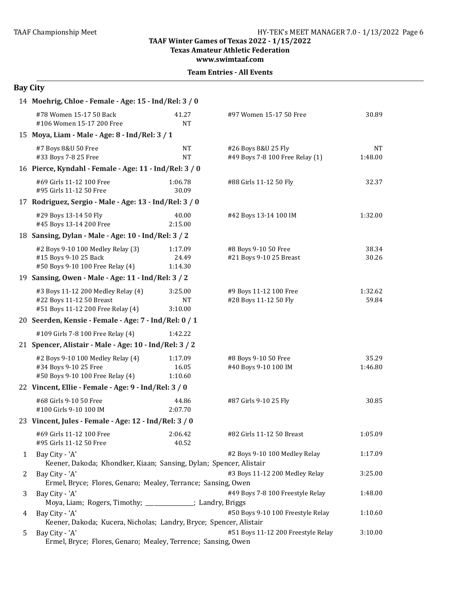#### **TAAF Winter Games of Texas 2022 - 1/15/2022 Texas Amateur Athletic Federation**

**www.swimtaaf.com**

#### **Team Entries - All Events**

# **Bay City**

|   | 14 Moehrig, Chloe - Female - Age: 15 - Ind/Rel: 3 / 0                                               |                                 |                                                        |                      |
|---|-----------------------------------------------------------------------------------------------------|---------------------------------|--------------------------------------------------------|----------------------|
|   | #78 Women 15-17 50 Back<br>#106 Women 15-17 200 Free                                                | 41.27<br><b>NT</b>              | #97 Women 15-17 50 Free                                | 30.89                |
|   | 15 Moya, Liam - Male - Age: 8 - Ind/Rel: 3 / 1                                                      |                                 |                                                        |                      |
|   | #7 Boys 8&U 50 Free<br>#33 Boys 7-8 25 Free                                                         | <b>NT</b><br><b>NT</b>          | #26 Boys 8&U 25 Fly<br>#49 Boys 7-8 100 Free Relay (1) | <b>NT</b><br>1:48.00 |
|   | 16 Pierce, Kyndahl - Female - Age: 11 - Ind/Rel: 3 / 0                                              |                                 |                                                        |                      |
|   | #69 Girls 11-12 100 Free<br>#95 Girls 11-12 50 Free                                                 | 1:06.78<br>30.09                | #88 Girls 11-12 50 Fly                                 | 32.37                |
|   | 17 Rodriguez, Sergio - Male - Age: 13 - Ind/Rel: 3 / 0                                              |                                 |                                                        |                      |
|   | #29 Boys 13-14 50 Fly<br>#45 Boys 13-14 200 Free                                                    | 40.00<br>2:15.00                | #42 Boys 13-14 100 IM                                  | 1:32.00              |
|   | 18 Sansing, Dylan - Male - Age: 10 - Ind/Rel: 3 / 2                                                 |                                 |                                                        |                      |
|   | #2 Boys 9-10 100 Medley Relay (3)<br>#15 Boys 9-10 25 Back<br>#50 Boys 9-10 100 Free Relay (4)      | 1:17.09<br>24.49<br>1:14.30     | #8 Boys 9-10 50 Free<br>#21 Boys 9-10 25 Breast        | 38.34<br>30.26       |
|   | 19 Sansing, Owen - Male - Age: 11 - Ind/Rel: 3 / 2                                                  |                                 |                                                        |                      |
|   | #3 Boys 11-12 200 Medley Relay (4)<br>#22 Boys 11-12 50 Breast<br>#51 Boys 11-12 200 Free Relay (4) | 3:25.00<br><b>NT</b><br>3:10.00 | #9 Boys 11-12 100 Free<br>#28 Boys 11-12 50 Fly        | 1:32.62<br>59.84     |
|   | 20 Seerden, Kensie - Female - Age: 7 - Ind/Rel: 0 / 1                                               |                                 |                                                        |                      |
|   | #109 Girls 7-8 100 Free Relay (4)                                                                   | 1:42.22                         |                                                        |                      |
|   | 21 Spencer, Alistair - Male - Age: 10 - Ind/Rel: 3 / 2                                              |                                 |                                                        |                      |
|   | #2 Boys 9-10 100 Medley Relay (4)<br>#34 Boys 9-10 25 Free<br>#50 Boys 9-10 100 Free Relay (4)      | 1:17.09<br>16.05<br>1:10.60     | #8 Boys 9-10 50 Free<br>#40 Boys 9-10 100 IM           | 35.29<br>1:46.80     |
|   | 22 Vincent, Ellie - Female - Age: 9 - Ind/Rel: 3 / 0                                                |                                 |                                                        |                      |
|   | #68 Girls 9-10 50 Free<br>#100 Girls 9-10 100 IM                                                    | 44.86<br>2:07.70                | #87 Girls 9-10 25 Fly                                  | 30.85                |
|   | 23 Vincent, Jules - Female - Age: 12 - Ind/Rel: 3 / 0                                               |                                 |                                                        |                      |
|   | #69 Girls 11-12 100 Free<br>#95 Girls 11-12 50 Free                                                 | 2:06.42<br>40.52                | #82 Girls 11-12 50 Breast                              | 1:05.09              |
| 1 | Bay City - 'A'<br>Keener, Dakoda; Khondker, Kiaan; Sansing, Dylan; Spencer, Alistair                |                                 | #2 Boys 9-10 100 Medley Relay                          | 1:17.09              |
| 2 | Bay City - 'A'<br>Ermel, Bryce; Flores, Genaro; Mealey, Terrance; Sansing, Owen                     |                                 | #3 Boys 11-12 200 Medley Relay                         | 3:25.00              |
| 3 | Bay City - 'A'<br>Moya, Liam; Rogers, Timothy; _____________; Landry, Briggs                        |                                 | #49 Boys 7-8 100 Freestyle Relay                       | 1:48.00              |
| 4 | Bay City - 'A'<br>Keener, Dakoda; Kucera, Nicholas; Landry, Bryce; Spencer, Alistair                |                                 | #50 Boys 9-10 100 Freestyle Relay                      | 1:10.60              |
| 5 | Bay City - 'A'<br>Ermel, Bryce; Flores, Genaro; Mealey, Terrence; Sansing, Owen                     |                                 | #51 Boys 11-12 200 Freestyle Relay                     | 3:10.00              |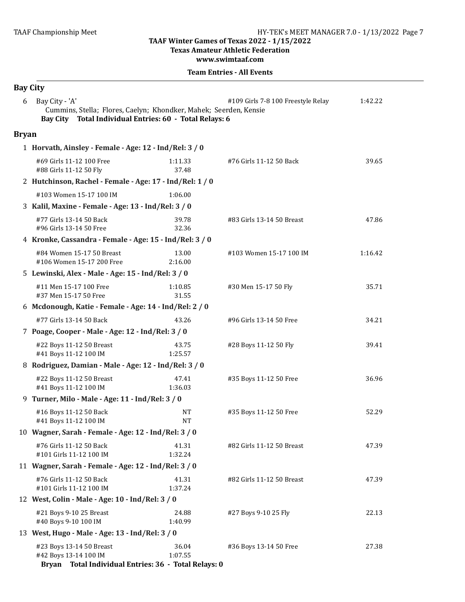**Texas Amateur Athletic Federation** 

**www.swimtaaf.com**

|              | <b>Bay City</b>                                                                                                                                |                  |                                    |         |
|--------------|------------------------------------------------------------------------------------------------------------------------------------------------|------------------|------------------------------------|---------|
| 6            | Bay City - 'A'<br>Cummins, Stella; Flores, Caelyn; Khondker, Mahek; Seerden, Kensie<br>Bay City Total Individual Entries: 60 - Total Relays: 6 |                  | #109 Girls 7-8 100 Freestyle Relay | 1:42.22 |
| <b>Bryan</b> |                                                                                                                                                |                  |                                    |         |
|              | 1 Horvath, Ainsley - Female - Age: 12 - Ind/Rel: 3 / 0                                                                                         |                  |                                    |         |
|              | #69 Girls 11-12 100 Free<br>#88 Girls 11-12 50 Fly                                                                                             | 1:11.33<br>37.48 | #76 Girls 11-12 50 Back            | 39.65   |
|              | 2 Hutchinson, Rachel - Female - Age: 17 - Ind/Rel: 1 / 0                                                                                       |                  |                                    |         |
|              | #103 Women 15-17 100 IM                                                                                                                        | 1:06.00          |                                    |         |
|              | 3 Kalil, Maxine - Female - Age: 13 - Ind/Rel: 3 / 0                                                                                            |                  |                                    |         |
|              | #77 Girls 13-14 50 Back<br>#96 Girls 13-14 50 Free                                                                                             | 39.78<br>32.36   | #83 Girls 13-14 50 Breast          | 47.86   |
|              | 4 Kronke, Cassandra - Female - Age: 15 - Ind/Rel: 3 / 0                                                                                        |                  |                                    |         |
|              | #84 Women 15-17 50 Breast<br>#106 Women 15-17 200 Free                                                                                         | 13.00<br>2:16.00 | #103 Women 15-17 100 IM            | 1:16.42 |
|              | 5 Lewinski, Alex - Male - Age: 15 - Ind/Rel: 3 / 0                                                                                             |                  |                                    |         |
|              | #11 Men 15-17 100 Free<br>#37 Men 15-17 50 Free                                                                                                | 1:10.85<br>31.55 | #30 Men 15-17 50 Fly               | 35.71   |
|              | 6 Mcdonough, Katie - Female - Age: 14 - Ind/Rel: 2 / 0                                                                                         |                  |                                    |         |
|              | #77 Girls 13-14 50 Back                                                                                                                        | 43.26            | #96 Girls 13-14 50 Free            | 34.21   |
|              | 7 Poage, Cooper - Male - Age: 12 - Ind/Rel: 3 / 0                                                                                              |                  |                                    |         |
|              | #22 Boys 11-12 50 Breast<br>#41 Boys 11-12 100 IM                                                                                              | 43.75<br>1:25.57 | #28 Boys 11-12 50 Fly              | 39.41   |
|              | 8 Rodriguez, Damian - Male - Age: 12 - Ind/Rel: 3 / 0                                                                                          |                  |                                    |         |
|              | #22 Boys 11-12 50 Breast<br>#41 Boys 11-12 100 IM                                                                                              | 47.41<br>1:36.03 | #35 Boys 11-12 50 Free             | 36.96   |
|              | 9 Turner, Milo - Male - Age: 11 - Ind/Rel: 3 / 0                                                                                               |                  |                                    |         |
|              | #16 Boys 11-12 50 Back<br>#41 Boys 11-12 100 IM                                                                                                | NΤ<br><b>NT</b>  | #35 Boys 11-12 50 Free             | 52.29   |
|              | 10 Wagner, Sarah - Female - Age: 12 - Ind/Rel: 3 / 0                                                                                           |                  |                                    |         |
|              | #76 Girls 11-12 50 Back<br>#101 Girls 11-12 100 IM                                                                                             | 41.31<br>1:32.24 | #82 Girls 11-12 50 Breast          | 47.39   |
|              | 11 Wagner, Sarah - Female - Age: 12 - Ind/Rel: 3 / 0                                                                                           |                  |                                    |         |
|              | #76 Girls 11-12 50 Back<br>#101 Girls 11-12 100 IM                                                                                             | 41.31<br>1:37.24 | #82 Girls 11-12 50 Breast          | 47.39   |
|              | 12 West, Colin - Male - Age: 10 - Ind/Rel: 3 / 0                                                                                               |                  |                                    |         |
|              | #21 Boys 9-10 25 Breast<br>#40 Boys 9-10 100 IM                                                                                                | 24.88<br>1:40.99 | #27 Boys 9-10 25 Fly               | 22.13   |
|              | 13 West, Hugo - Male - Age: 13 - Ind/Rel: 3 / 0                                                                                                |                  |                                    |         |
|              | #23 Boys 13-14 50 Breast<br>#42 Boys 13-14 100 IM<br>Bryan Total Individual Entries: 36 - Total Relays: 0                                      | 36.04<br>1:07.55 | #36 Boys 13-14 50 Free             | 27.38   |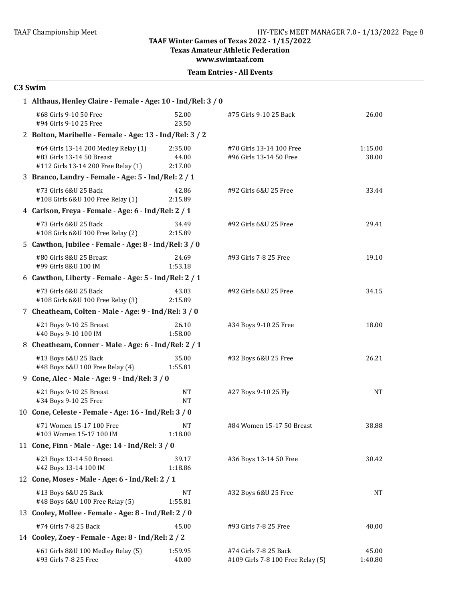**Texas Amateur Athletic Federation**

**www.swimtaaf.com**

## **C3 Swim**

| 1 Althaus, Henley Claire - Female - Age: 10 - Ind/Rel: 3 / 0                                             |                             |                                                            |                  |
|----------------------------------------------------------------------------------------------------------|-----------------------------|------------------------------------------------------------|------------------|
| #68 Girls 9-10 50 Free<br>#94 Girls 9-10 25 Free                                                         | 52.00<br>23.50              | #75 Girls 9-10 25 Back                                     | 26.00            |
| 2 Bolton, Maribelle - Female - Age: 13 - Ind/Rel: 3 / 2                                                  |                             |                                                            |                  |
| #64 Girls 13-14 200 Medley Relay (1)<br>#83 Girls 13-14 50 Breast<br>#112 Girls 13-14 200 Free Relay (1) | 2:35.00<br>44.00<br>2:17.00 | #70 Girls 13-14 100 Free<br>#96 Girls 13-14 50 Free        | 1:15.00<br>38.00 |
| 3 Branco, Landry - Female - Age: 5 - Ind/Rel: 2 / 1                                                      |                             |                                                            |                  |
| #73 Girls 6&U 25 Back<br>#108 Girls 6&U 100 Free Relay (1)                                               | 42.86<br>2:15.89            | #92 Girls 6&U 25 Free                                      | 33.44            |
| 4 Carlson, Freya - Female - Age: 6 - Ind/Rel: 2 / 1                                                      |                             |                                                            |                  |
| #73 Girls 6&U 25 Back<br>#108 Girls 6&U 100 Free Relay (2)                                               | 34.49<br>2:15.89            | #92 Girls 6&U 25 Free                                      | 29.41            |
| 5 Cawthon, Jubilee - Female - Age: 8 - Ind/Rel: 3 / 0                                                    |                             |                                                            |                  |
| #80 Girls 8&U 25 Breast<br>#99 Girls 8&U 100 IM                                                          | 24.69<br>1:53.18            | #93 Girls 7-8 25 Free                                      | 19.10            |
| 6 Cawthon, Liberty - Female - Age: 5 - Ind/Rel: 2 / 1                                                    |                             |                                                            |                  |
| #73 Girls 6&U 25 Back<br>#108 Girls 6&U 100 Free Relay (3)                                               | 43.03<br>2:15.89            | #92 Girls 6&U 25 Free                                      | 34.15            |
| 7 Cheatheam, Colten - Male - Age: 9 - Ind/Rel: 3 / 0                                                     |                             |                                                            |                  |
| #21 Boys 9-10 25 Breast<br>#40 Boys 9-10 100 IM                                                          | 26.10<br>1:58.00            | #34 Boys 9-10 25 Free                                      | 18.00            |
| 8 Cheatheam, Conner - Male - Age: 6 - Ind/Rel: 2 / 1                                                     |                             |                                                            |                  |
| #13 Boys 6&U 25 Back<br>#48 Boys 6&U 100 Free Relay (4)                                                  | 35.00<br>1:55.81            | #32 Boys 6&U 25 Free                                       | 26.21            |
| 9 Cone, Alec - Male - Age: 9 - Ind/Rel: 3 / 0                                                            |                             |                                                            |                  |
| #21 Boys 9-10 25 Breast<br>#34 Boys 9-10 25 Free                                                         | <b>NT</b><br><b>NT</b>      | #27 Boys 9-10 25 Fly                                       | <b>NT</b>        |
| 10 Cone, Celeste - Female - Age: 16 - Ind/Rel: 3 / 0                                                     |                             |                                                            |                  |
| #71 Women 15-17 100 Free<br>#103 Women 15-17 100 IM                                                      | <b>NT</b><br>1:18.00        | #84 Women 15-17 50 Breast                                  | 38.88            |
| 11 Cone, Finn - Male - Age: 14 - Ind/Rel: 3 / 0                                                          |                             |                                                            |                  |
| #23 Boys 13-14 50 Breast<br>#42 Boys 13-14 100 IM                                                        | 39.17<br>1:18.86            | #36 Boys 13-14 50 Free                                     | 30.42            |
| 12 Cone, Moses - Male - Age: 6 - Ind/Rel: 2 / 1                                                          |                             |                                                            |                  |
| #13 Boys 6&U 25 Back<br>#48 Boys 6&U 100 Free Relay (5)                                                  | <b>NT</b><br>1:55.81        | #32 Boys 6&U 25 Free                                       | NT               |
| 13 Cooley, Mollee - Female - Age: 8 - Ind/Rel: 2 / 0                                                     |                             |                                                            |                  |
| #74 Girls 7-8 25 Back                                                                                    | 45.00                       | #93 Girls 7-8 25 Free                                      | 40.00            |
| 14 Cooley, Zoey - Female - Age: 8 - Ind/Rel: 2 / 2                                                       |                             |                                                            |                  |
| #61 Girls 8&U 100 Medley Relay (5)<br>#93 Girls 7-8 25 Free                                              | 1:59.95<br>40.00            | #74 Girls 7-8 25 Back<br>#109 Girls 7-8 100 Free Relay (5) | 45.00<br>1:40.80 |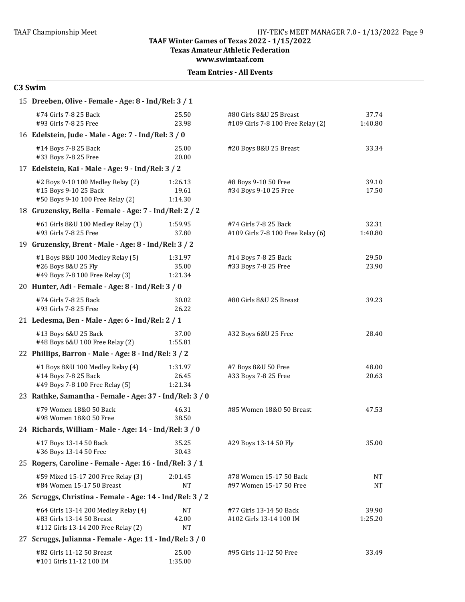#### **TAAF Winter Games of Texas 2022 - 1/15/2022 Texas Amateur Athletic Federation**

**www.swimtaaf.com**

**Team Entries - All Events** 

### **C3 Swim**

| 15 Dreeben, Olive - Female - Age: 8 - Ind/Rel: 3 / 1                                                     |                             |                                                              |                  |  |  |
|----------------------------------------------------------------------------------------------------------|-----------------------------|--------------------------------------------------------------|------------------|--|--|
| #74 Girls 7-8 25 Back<br>#93 Girls 7-8 25 Free                                                           | 25.50<br>23.98              | #80 Girls 8&U 25 Breast<br>#109 Girls 7-8 100 Free Relay (2) | 37.74<br>1:40.80 |  |  |
| 16 Edelstein, Jude - Male - Age: 7 - Ind/Rel: 3 / 0                                                      |                             |                                                              |                  |  |  |
| #14 Boys 7-8 25 Back<br>#33 Boys 7-8 25 Free                                                             | 25.00<br>20.00              | #20 Boys 8&U 25 Breast                                       | 33.34            |  |  |
| 17 Edelstein, Kai - Male - Age: 9 - Ind/Rel: 3 / 2                                                       |                             |                                                              |                  |  |  |
| #2 Boys 9-10 100 Medley Relay (2)<br>#15 Boys 9-10 25 Back<br>#50 Boys 9-10 100 Free Relay (2)           | 1:26.13<br>19.61<br>1:14.30 | #8 Boys 9-10 50 Free<br>#34 Boys 9-10 25 Free                | 39.10<br>17.50   |  |  |
| 18 Gruzensky, Bella - Female - Age: 7 - Ind/Rel: 2 / 2                                                   |                             |                                                              |                  |  |  |
| #61 Girls 8&U 100 Medley Relay (1)<br>#93 Girls 7-8 25 Free                                              | 1:59.95<br>37.80            | #74 Girls 7-8 25 Back<br>#109 Girls 7-8 100 Free Relay (6)   | 32.31<br>1:40.80 |  |  |
| 19 Gruzensky, Brent - Male - Age: 8 - Ind/Rel: 3 / 2                                                     |                             |                                                              |                  |  |  |
| #1 Boys 8&U 100 Medley Relay (5)<br>#26 Boys 8&U 25 Fly<br>#49 Boys 7-8 100 Free Relay (3)               | 1:31.97<br>35.00<br>1:21.34 | #14 Boys 7-8 25 Back<br>#33 Boys 7-8 25 Free                 | 29.50<br>23.90   |  |  |
| 20 Hunter, Adi - Female - Age: 8 - Ind/Rel: 3 / 0                                                        |                             |                                                              |                  |  |  |
| #74 Girls 7-8 25 Back<br>#93 Girls 7-8 25 Free                                                           | 30.02<br>26.22              | #80 Girls 8&U 25 Breast                                      | 39.23            |  |  |
| 21 Ledesma, Ben - Male - Age: 6 - Ind/Rel: 2 / 1                                                         |                             |                                                              |                  |  |  |
| #13 Boys 6&U 25 Back<br>#48 Boys 6&U 100 Free Relay (2)                                                  | 37.00<br>1:55.81            | #32 Boys 6&U 25 Free                                         | 28.40            |  |  |
| 22 Phillips, Barron - Male - Age: 8 - Ind/Rel: 3 / 2                                                     |                             |                                                              |                  |  |  |
| #1 Boys 8&U 100 Medley Relay (4)<br>#14 Boys 7-8 25 Back<br>#49 Boys 7-8 100 Free Relay (5)              | 1:31.97<br>26.45<br>1:21.34 | #7 Boys 8&U 50 Free<br>#33 Boys 7-8 25 Free                  | 48.00<br>20.63   |  |  |
| 23 Rathke, Samantha - Female - Age: 37 - Ind/Rel: 3 / 0                                                  |                             |                                                              |                  |  |  |
| #79 Women 18&0 50 Back<br>#98 Women 18&0 50 Free                                                         | 46.31<br>38.50              | #85 Women 18&0 50 Breast                                     | 47.53            |  |  |
| 24 Richards, William - Male - Age: 14 - Ind/Rel: 3 / 0                                                   |                             |                                                              |                  |  |  |
| #17 Boys 13-14 50 Back<br>#36 Boys 13-14 50 Free                                                         | 35.25<br>30.43              | #29 Boys 13-14 50 Fly                                        | 35.00            |  |  |
| 25 Rogers, Caroline - Female - Age: 16 - Ind/Rel: 3/1                                                    |                             |                                                              |                  |  |  |
| #59 Mixed 15-17 200 Free Relay (3)<br>#84 Women 15-17 50 Breast                                          | 2:01.45<br><b>NT</b>        | #78 Women 15-17 50 Back<br>#97 Women 15-17 50 Free           | NT<br>NT         |  |  |
| 26 Scruggs, Christina - Female - Age: 14 - Ind/Rel: 3 / 2                                                |                             |                                                              |                  |  |  |
| #64 Girls 13-14 200 Medley Relay (4)<br>#83 Girls 13-14 50 Breast<br>#112 Girls 13-14 200 Free Relay (2) | NT<br>42.00<br>NT           | #77 Girls 13-14 50 Back<br>#102 Girls 13-14 100 IM           | 39.90<br>1:25.20 |  |  |
| 27 Scruggs, Julianna - Female - Age: 11 - Ind/Rel: 3 / 0                                                 |                             |                                                              |                  |  |  |
| #82 Girls 11-12 50 Breast<br>#101 Girls 11-12 100 IM                                                     | 25.00<br>1:35.00            | #95 Girls 11-12 50 Free                                      | 33.49            |  |  |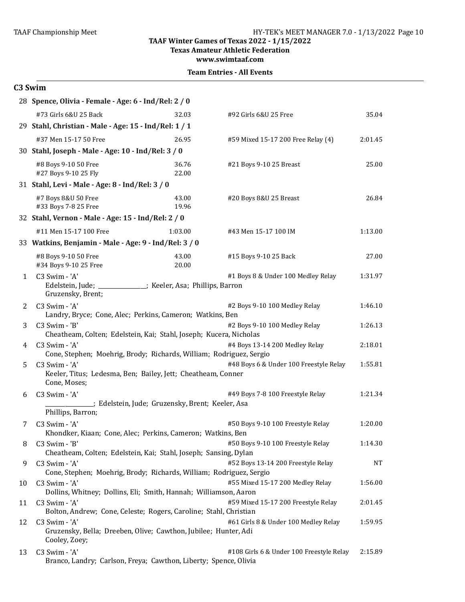**Texas Amateur Athletic Federation**

**www.swimtaaf.com**

#### **Team Entries - All Events**

#### **C3 Swim**

|    | 28 Spence, Olivia - Female - Age: 6 - Ind/Rel: 2 / 0                                              |                |                                          |         |  |  |
|----|---------------------------------------------------------------------------------------------------|----------------|------------------------------------------|---------|--|--|
|    | #73 Girls 6&U 25 Back                                                                             | 32.03          | #92 Girls 6&U 25 Free                    | 35.04   |  |  |
|    | 29 Stahl, Christian - Male - Age: 15 - Ind/Rel: 1 / 1                                             |                |                                          |         |  |  |
|    | #37 Men 15-17 50 Free                                                                             | 26.95          | #59 Mixed 15-17 200 Free Relay (4)       | 2:01.45 |  |  |
|    | 30 Stahl, Joseph - Male - Age: 10 - Ind/Rel: 3 / 0                                                |                |                                          |         |  |  |
|    | #8 Boys 9-10 50 Free<br>#27 Boys 9-10 25 Fly                                                      | 36.76<br>22.00 | #21 Boys 9-10 25 Breast                  | 25.00   |  |  |
|    | 31 Stahl, Levi - Male - Age: 8 - Ind/Rel: 3 / 0                                                   |                |                                          |         |  |  |
|    | #7 Boys 8&U 50 Free<br>#33 Boys 7-8 25 Free                                                       | 43.00<br>19.96 | #20 Boys 8&U 25 Breast                   | 26.84   |  |  |
|    | 32 Stahl, Vernon - Male - Age: 15 - Ind/Rel: 2 / 0                                                |                |                                          |         |  |  |
|    | #11 Men 15-17 100 Free                                                                            | 1:03.00        | #43 Men 15-17 100 IM                     | 1:13.00 |  |  |
|    | 33 Watkins, Benjamin - Male - Age: 9 - Ind/Rel: 3 / 0                                             |                |                                          |         |  |  |
|    | #8 Boys 9-10 50 Free<br>#34 Boys 9-10 25 Free                                                     | 43.00<br>20.00 | #15 Boys 9-10 25 Back                    | 27.00   |  |  |
| 1  | C3 Swim - 'A'                                                                                     |                | #1 Boys 8 & Under 100 Medley Relay       | 1:31.97 |  |  |
|    | Edelstein, Jude; _____________; Keeler, Asa; Phillips, Barron<br>Gruzensky, Brent;                |                |                                          |         |  |  |
| 2  | C3 Swim - 'A'                                                                                     |                | #2 Boys 9-10 100 Medley Relay            | 1:46.10 |  |  |
|    | Landry, Bryce; Cone, Alec; Perkins, Cameron; Watkins, Ben                                         |                |                                          | 1:26.13 |  |  |
| 3  | C3 Swim - 'B'<br>Cheatheam, Colten; Edelstein, Kai; Stahl, Joseph; Kucera, Nicholas               |                | #2 Boys 9-10 100 Medley Relay            |         |  |  |
| 4  | C3 Swim - 'A'                                                                                     |                | #4 Boys 13-14 200 Medley Relay           | 2:18.01 |  |  |
|    | Cone, Stephen; Moehrig, Brody; Richards, William; Rodriguez, Sergio                               |                |                                          |         |  |  |
| 5  | C3 Swim - 'A'                                                                                     |                | #48 Boys 6 & Under 100 Freestyle Relay   | 1:55.81 |  |  |
|    | Keeler, Titus; Ledesma, Ben; Bailey, Jett; Cheatheam, Conner<br>Cone, Moses;                      |                |                                          |         |  |  |
| 6  | C3 Swim - 'A'<br>_; Edelstein, Jude; Gruzensky, Brent; Keeler, Asa                                |                | #49 Boys 7-8 100 Freestyle Relay         | 1:21.34 |  |  |
|    | Phillips, Barron;                                                                                 |                |                                          |         |  |  |
| 7  | C3 Swim - 'A'                                                                                     |                | #50 Boys 9-10 100 Freestyle Relay        | 1:20.00 |  |  |
|    | Khondker, Kiaan; Cone, Alec; Perkins, Cameron; Watkins, Ben                                       |                |                                          |         |  |  |
| 8  | C3 Swim - 'B'                                                                                     |                | #50 Boys 9-10 100 Freestyle Relay        | 1:14.30 |  |  |
|    | Cheatheam, Colten; Edelstein, Kai; Stahl, Joseph; Sansing, Dylan                                  |                | #52 Boys 13-14 200 Freestyle Relay       |         |  |  |
| 9  | C3 Swim - 'A'<br>Cone, Stephen; Moehrig, Brody; Richards, William; Rodriguez, Sergio              |                |                                          | NT      |  |  |
| 10 | C3 Swim - 'A'                                                                                     |                | #55 Mixed 15-17 200 Medley Relay         | 1:56.00 |  |  |
|    | Dollins, Whitney; Dollins, Eli; Smith, Hannah; Williamson, Aaron                                  |                |                                          |         |  |  |
| 11 | C3 Swim - 'A'                                                                                     |                | #59 Mixed 15-17 200 Freestyle Relay      | 2:01.45 |  |  |
|    | Bolton, Andrew; Cone, Celeste; Rogers, Caroline; Stahl, Christian                                 |                |                                          |         |  |  |
| 12 | C3 Swim - 'A'<br>Gruzensky, Bella; Dreeben, Olive; Cawthon, Jubilee; Hunter, Adi<br>Cooley, Zoey; |                | #61 Girls 8 & Under 100 Medley Relay     | 1:59.95 |  |  |
| 13 | C3 Swim - 'A'<br>Branco, Landry; Carlson, Freya; Cawthon, Liberty; Spence, Olivia                 |                | #108 Girls 6 & Under 100 Freestyle Relay | 2:15.89 |  |  |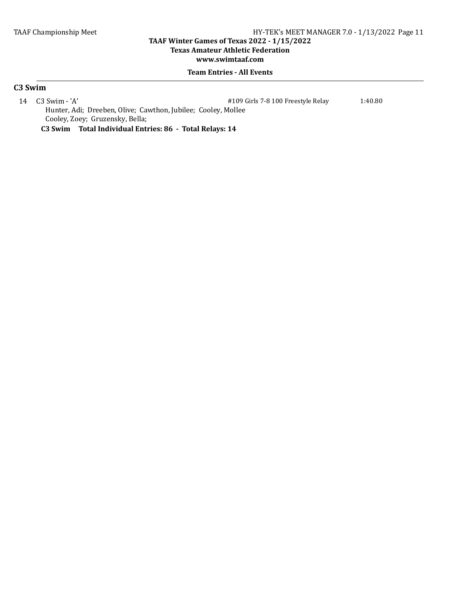#### **TAAF Winter Games of Texas 2022 - 1/15/2022 Texas Amateur Athletic Federation**

## **www.swimtaaf.com**

#### **Team Entries - All Events**

#### **C3 Swim**

14 C3 Swim - 'A' #109 Girls 7-8 100 Freestyle Relay 1:40.80 Hunter, Adi; Dreeben, Olive; Cawthon, Jubilee; Cooley, Mollee Cooley, Zoey; Gruzensky, Bella;

**C3 Swim Total Individual Entries: 86 - Total Relays: 14**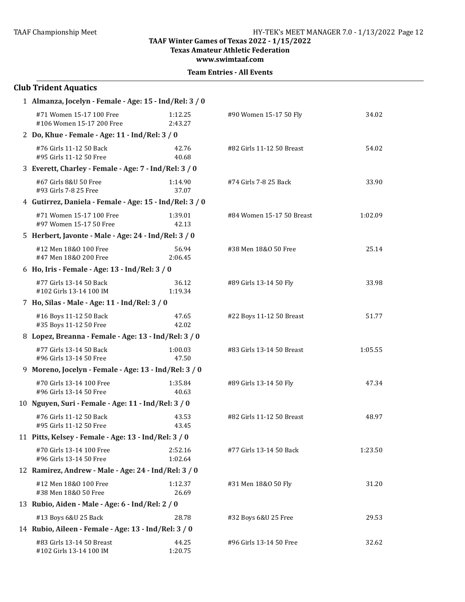**Texas Amateur Athletic Federation**

**www.swimtaaf.com**

|  | <b>Team Entries - All Events</b> |  |  |
|--|----------------------------------|--|--|
|--|----------------------------------|--|--|

| <b>Club Trident Aquatics</b>                            |                    |                           |         |  |  |
|---------------------------------------------------------|--------------------|---------------------------|---------|--|--|
| 1 Almanza, Jocelyn - Female - Age: 15 - Ind/Rel: 3 / 0  |                    |                           |         |  |  |
| #71 Women 15-17 100 Free<br>#106 Women 15-17 200 Free   | 1:12.25<br>2:43.27 | #90 Women 15-17 50 Fly    | 34.02   |  |  |
| 2 Do, Khue - Female - Age: 11 - Ind/Rel: 3 / 0          |                    |                           |         |  |  |
| #76 Girls 11-12 50 Back<br>#95 Girls 11-12 50 Free      | 42.76<br>40.68     | #82 Girls 11-12 50 Breast | 54.02   |  |  |
| 3 Everett, Charley - Female - Age: 7 - Ind/Rel: 3 / 0   |                    |                           |         |  |  |
| #67 Girls 8&U 50 Free<br>#93 Girls 7-8 25 Free          | 1:14.90<br>37.07   | #74 Girls 7-8 25 Back     | 33.90   |  |  |
| 4 Gutirrez, Daniela - Female - Age: 15 - Ind/Rel: 3 / 0 |                    |                           |         |  |  |
| #71 Women 15-17 100 Free<br>#97 Women 15-17 50 Free     | 1:39.01<br>42.13   | #84 Women 15-17 50 Breast | 1:02.09 |  |  |
| 5 Herbert, Javonte - Male - Age: 24 - Ind/Rel: 3 / 0    |                    |                           |         |  |  |
| #12 Men 18&0 100 Free<br>#47 Men 18&0 200 Free          | 56.94<br>2:06.45   | #38 Men 18&0 50 Free      | 25.14   |  |  |
| 6 Ho, Iris - Female - Age: 13 - Ind/Rel: 3 / 0          |                    |                           |         |  |  |
| #77 Girls 13-14 50 Back<br>#102 Girls 13-14 100 IM      | 36.12<br>1:19.34   | #89 Girls 13-14 50 Fly    | 33.98   |  |  |
| 7 Ho, Silas - Male - Age: 11 - Ind/Rel: 3 / 0           |                    |                           |         |  |  |
| #16 Boys 11-12 50 Back<br>#35 Boys 11-12 50 Free        | 47.65<br>42.02     | #22 Boys 11-12 50 Breast  | 51.77   |  |  |
| 8 Lopez, Breanna - Female - Age: 13 - Ind/Rel: 3 / 0    |                    |                           |         |  |  |
| #77 Girls 13-14 50 Back<br>#96 Girls 13-14 50 Free      | 1:00.03<br>47.50   | #83 Girls 13-14 50 Breast | 1:05.55 |  |  |
| 9 Moreno, Jocelyn - Female - Age: 13 - Ind/Rel: 3 / 0   |                    |                           |         |  |  |
| #70 Girls 13-14 100 Free<br>#96 Girls 13-14 50 Free     | 1:35.84<br>40.63   | #89 Girls 13-14 50 Fly    | 47.34   |  |  |
| 10 Nguyen, Suri - Female - Age: 11 - Ind/Rel: 3 / 0     |                    |                           |         |  |  |
| #76 Girls 11-12 50 Back<br>#95 Girls 11-12 50 Free      | 43.53<br>43.45     | #82 Girls 11-12 50 Breast | 48.97   |  |  |
| 11 Pitts, Kelsey - Female - Age: 13 - Ind/Rel: 3 / 0    |                    |                           |         |  |  |
| #70 Girls 13-14 100 Free<br>#96 Girls 13-14 50 Free     | 2:52.16<br>1:02.64 | #77 Girls 13-14 50 Back   | 1:23.50 |  |  |
| 12 Ramirez, Andrew - Male - Age: 24 - Ind/Rel: 3 / 0    |                    |                           |         |  |  |
| #12 Men 18&0 100 Free<br>#38 Men 18&0 50 Free           | 1:12.37<br>26.69   | #31 Men 18&0 50 Fly       | 31.20   |  |  |
| 13 Rubio, Aiden - Male - Age: 6 - Ind/Rel: 2 / 0        |                    |                           |         |  |  |
| #13 Boys 6&U 25 Back                                    | 28.78              | #32 Boys 6&U 25 Free      | 29.53   |  |  |
| 14 Rubio, Aileen - Female - Age: 13 - Ind/Rel: 3 / 0    |                    |                           |         |  |  |
| #83 Girls 13-14 50 Breast<br>#102 Girls 13-14 100 IM    | 44.25<br>1:20.75   | #96 Girls 13-14 50 Free   | 32.62   |  |  |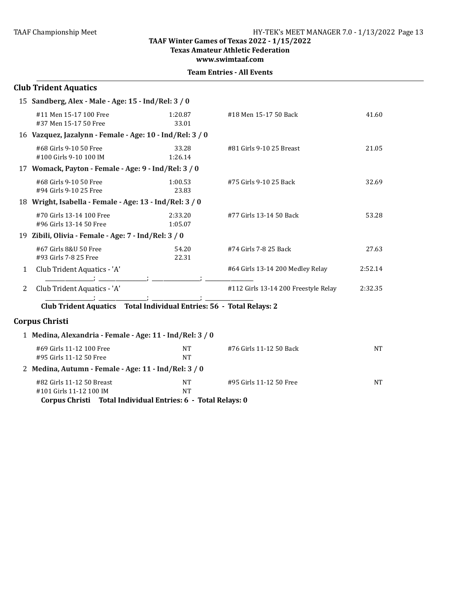**Texas Amateur Athletic Federation**

**www.swimtaaf.com**

| <b>Team Entries - All Events</b> |  |
|----------------------------------|--|
|----------------------------------|--|

|   | <b>Club Trident Aquatics</b>                             |                                                                                 |                                      |           |
|---|----------------------------------------------------------|---------------------------------------------------------------------------------|--------------------------------------|-----------|
|   | 15 Sandberg, Alex - Male - Age: 15 - Ind/Rel: 3 / 0      |                                                                                 |                                      |           |
|   | #11 Men 15-17 100 Free<br>#37 Men 15-17 50 Free          | 1:20.87<br>33.01                                                                | #18 Men 15-17 50 Back                | 41.60     |
|   | 16 Vazquez, Jazalynn - Female - Age: 10 - Ind/Rel: 3 / 0 |                                                                                 |                                      |           |
|   | #68 Girls 9-10 50 Free<br>#100 Girls 9-10 100 IM         | 33.28<br>1:26.14                                                                | #81 Girls 9-10 25 Breast             | 21.05     |
|   | 17 Womack, Payton - Female - Age: 9 - Ind/Rel: 3 / 0     |                                                                                 |                                      |           |
|   | #68 Girls 9-10 50 Free<br>#94 Girls 9-10 25 Free         | 1:00.53<br>23.83                                                                | #75 Girls 9-10 25 Back               | 32.69     |
|   | 18 Wright, Isabella - Female - Age: 13 - Ind/Rel: 3 / 0  |                                                                                 |                                      |           |
|   | #70 Girls 13-14 100 Free<br>#96 Girls 13-14 50 Free      | 2:33.20<br>1:05.07                                                              | #77 Girls 13-14 50 Back              | 53.28     |
|   | 19 Zibili, Olivia - Female - Age: 7 - Ind/Rel: 3 / 0     |                                                                                 |                                      |           |
|   | #67 Girls 8&U 50 Free<br>#93 Girls 7-8 25 Free           | 54.20<br>22.31                                                                  | #74 Girls 7-8 25 Back                | 27.63     |
| 1 | Club Trident Aquatics - 'A'                              |                                                                                 | #64 Girls 13-14 200 Medley Relay     | 2:52.14   |
| 2 | Club Trident Aquatics - 'A'                              |                                                                                 | #112 Girls 13-14 200 Freestyle Relay | 2:32.35   |
|   |                                                          | Club Trident Aquatics  Total Individual Entries: 56 - Total Relays: 2           |                                      |           |
|   | <b>Corpus Christi</b>                                    |                                                                                 |                                      |           |
|   | 1 Medina, Alexandria - Female - Age: 11 - Ind/Rel: 3 / 0 |                                                                                 |                                      |           |
|   | #69 Girls 11-12 100 Free<br>#95 Girls 11-12 50 Free      | <b>NT</b><br><b>NT</b>                                                          | #76 Girls 11-12 50 Back              | <b>NT</b> |
|   | 2 Medina, Autumn - Female - Age: 11 - Ind/Rel: 3 / 0     |                                                                                 |                                      |           |
|   | #82 Girls 11-12 50 Breast<br>#101 Girls 11-12 100 IM     | <b>NT</b><br>NT<br>Corpus Christi Total Individual Entries: 6 - Total Relays: 0 | #95 Girls 11-12 50 Free              | <b>NT</b> |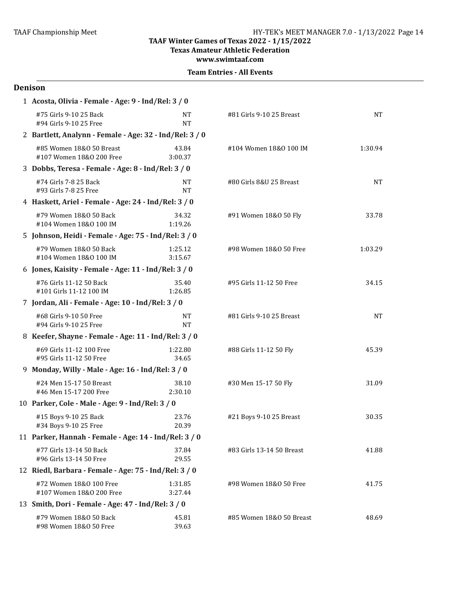**Texas Amateur Athletic Federation**

**www.swimtaaf.com**

|  | <b>Team Entries - All Events</b> |  |  |
|--|----------------------------------|--|--|
|--|----------------------------------|--|--|

#### **Denison**

| 1 Acosta, Olivia - Female - Age: 9 - Ind/Rel: 3 / 0     |                    |                           |           |  |  |  |
|---------------------------------------------------------|--------------------|---------------------------|-----------|--|--|--|
| #75 Girls 9-10 25 Back<br>#94 Girls 9-10 25 Free        | NT<br><b>NT</b>    | #81 Girls 9-10 25 Breast  | <b>NT</b> |  |  |  |
| 2 Bartlett, Analynn - Female - Age: 32 - Ind/Rel: 3 / 0 |                    |                           |           |  |  |  |
| #85 Women 18&0 50 Breast<br>#107 Women 18&0 200 Free    | 43.84<br>3:00.37   | #104 Women 18&0 100 IM    | 1:30.94   |  |  |  |
| 3 Dobbs, Teresa - Female - Age: 8 - Ind/Rel: 3 / 0      |                    |                           |           |  |  |  |
| #74 Girls 7-8 25 Back<br>#93 Girls 7-8 25 Free          | NT<br>NT           | #80 Girls 8&U 25 Breast   | <b>NT</b> |  |  |  |
| 4 Haskett, Ariel - Female - Age: 24 - Ind/Rel: 3 / 0    |                    |                           |           |  |  |  |
| #79 Women 18&0 50 Back<br>#104 Women 18&0 100 IM        | 34.32<br>1:19.26   | #91 Women 18&0 50 Fly     | 33.78     |  |  |  |
| 5 Johnson, Heidi - Female - Age: 75 - Ind/Rel: 3 / 0    |                    |                           |           |  |  |  |
| #79 Women 18&0 50 Back<br>#104 Women 18&0 100 IM        | 1:25.12<br>3:15.67 | #98 Women 18&0 50 Free    | 1:03.29   |  |  |  |
| 6 Jones, Kaisity - Female - Age: 11 - Ind/Rel: 3 / 0    |                    |                           |           |  |  |  |
| #76 Girls 11-12 50 Back<br>#101 Girls 11-12 100 IM      | 35.40<br>1:26.85   | #95 Girls 11-12 50 Free   | 34.15     |  |  |  |
| 7 Jordan, Ali - Female - Age: 10 - Ind/Rel: 3 / 0       |                    |                           |           |  |  |  |
| #68 Girls 9-10 50 Free<br>#94 Girls 9-10 25 Free        | NT<br><b>NT</b>    | #81 Girls 9-10 25 Breast  | <b>NT</b> |  |  |  |
| 8 Keefer, Shayne - Female - Age: 11 - Ind/Rel: 3 / 0    |                    |                           |           |  |  |  |
| #69 Girls 11-12 100 Free<br>#95 Girls 11-12 50 Free     | 1:22.80<br>34.65   | #88 Girls 11-12 50 Fly    | 45.39     |  |  |  |
| 9 Monday, Willy - Male - Age: 16 - Ind/Rel: 3 / 0       |                    |                           |           |  |  |  |
| #24 Men 15-17 50 Breast<br>#46 Men 15-17 200 Free       | 38.10<br>2:30.10   | #30 Men 15-17 50 Fly      | 31.09     |  |  |  |
| 10 Parker, Cole - Male - Age: 9 - Ind/Rel: 3 / 0        |                    |                           |           |  |  |  |
| #15 Boys 9-10 25 Back<br>#34 Boys 9-10 25 Free          | 23.76<br>20.39     | #21 Boys 9-10 25 Breast   | 30.35     |  |  |  |
| 11 Parker, Hannah - Female - Age: 14 - Ind/Rel: 3 / 0   |                    |                           |           |  |  |  |
| #77 Girls 13-14 50 Back<br>#96 Girls 13-14 50 Free      | 37.84<br>29.55     | #83 Girls 13-14 50 Breast | 41.88     |  |  |  |
| 12 Riedl, Barbara - Female - Age: 75 - Ind/Rel: 3 / 0   |                    |                           |           |  |  |  |
| #72 Women 18&0 100 Free<br>#107 Women 18&0 200 Free     | 1:31.85<br>3:27.44 | #98 Women 18&0 50 Free    | 41.75     |  |  |  |
| 13 Smith, Dori - Female - Age: 47 - Ind/Rel: 3 / 0      |                    |                           |           |  |  |  |
| #79 Women 18&0 50 Back<br>#98 Women 18&0 50 Free        | 45.81<br>39.63     | #85 Women 18&0 50 Breast  | 48.69     |  |  |  |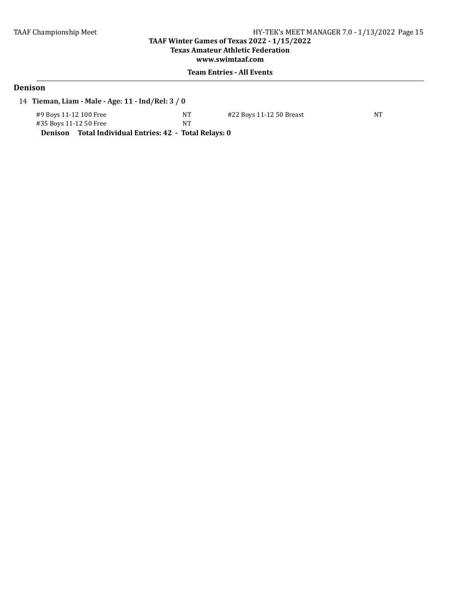## **TAAF Winter Games of Texas 2022 - 1/15/2022 Texas Amateur Athletic Federation**

**www.swimtaaf.com**

## **Team Entries - All Events**

# **Denison**

14 Tieman, Liam - Male - Age: 11 - Ind/Rel: 3 / 0

| #9 Boys 11-12 100 Free                                 | NT | #22 Boys 11-12 50 Breast | NΤ |
|--------------------------------------------------------|----|--------------------------|----|
| #35 Boys 11-12 50 Free                                 | NΊ |                          |    |
| Denison Total Individual Entries: 42 - Total Relays: 0 |    |                          |    |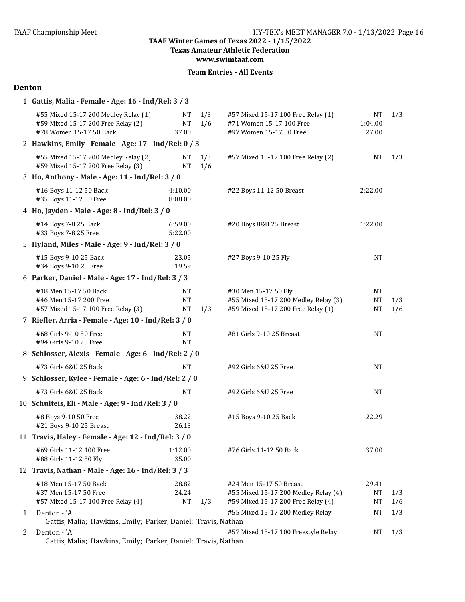**Texas Amateur Athletic Federation** 

**www.swimtaaf.com**

### **Team Entries - All Events**

### **Denton**

|   | 1 Gattis, Malia - Female - Age: 16 - Ind/Rel: 3 / 3                                                   |                          |            |                                                                                                       |                                 |            |
|---|-------------------------------------------------------------------------------------------------------|--------------------------|------------|-------------------------------------------------------------------------------------------------------|---------------------------------|------------|
|   | #55 Mixed 15-17 200 Medley Relay (1)<br>#59 Mixed 15-17 200 Free Relay (2)<br>#78 Women 15-17 50 Back | NT<br><b>NT</b><br>37.00 | 1/3<br>1/6 | #57 Mixed 15-17 100 Free Relay (1)<br>#71 Women 15-17 100 Free<br>#97 Women 15-17 50 Free             | NT<br>1:04.00<br>27.00          | 1/3        |
|   | 2 Hawkins, Emily - Female - Age: 17 - Ind/Rel: 0 / 3                                                  |                          |            |                                                                                                       |                                 |            |
|   | #55 Mixed 15-17 200 Medley Relay (2)<br>#59 Mixed 15-17 200 Free Relay (3)                            | NT<br><b>NT</b>          | 1/3<br>1/6 | #57 Mixed 15-17 100 Free Relay (2)                                                                    | <b>NT</b>                       | 1/3        |
|   | 3 Ho, Anthony - Male - Age: 11 - Ind/Rel: 3 / 0                                                       |                          |            |                                                                                                       |                                 |            |
|   | #16 Boys 11-12 50 Back<br>#35 Boys 11-12 50 Free                                                      | 4:10.00<br>8:08.00       |            | #22 Boys 11-12 50 Breast                                                                              | 2:22.00                         |            |
|   | 4 Ho, Jayden - Male - Age: 8 - Ind/Rel: 3 / 0                                                         |                          |            |                                                                                                       |                                 |            |
|   | #14 Boys 7-8 25 Back<br>#33 Boys 7-8 25 Free                                                          | 6:59.00<br>5:22.00       |            | #20 Boys 8&U 25 Breast                                                                                | 1:22.00                         |            |
|   | 5 Hyland, Miles - Male - Age: 9 - Ind/Rel: 3 / 0                                                      |                          |            |                                                                                                       |                                 |            |
|   | #15 Boys 9-10 25 Back<br>#34 Boys 9-10 25 Free                                                        | 23.05<br>19.59           |            | #27 Boys 9-10 25 Fly                                                                                  | <b>NT</b>                       |            |
|   | 6 Parker, Daniel - Male - Age: 17 - Ind/Rel: 3 / 3                                                    |                          |            |                                                                                                       |                                 |            |
|   | #18 Men 15-17 50 Back<br>#46 Men 15-17 200 Free<br>#57 Mixed 15-17 100 Free Relay (3)                 | NT<br>NT<br><b>NT</b>    | 1/3        | #30 Men 15-17 50 Fly<br>#55 Mixed 15-17 200 Medley Relay (3)<br>#59 Mixed 15-17 200 Free Relay (1)    | NT<br>NT<br><b>NT</b>           | 1/3<br>1/6 |
|   | 7 Riefler, Arria - Female - Age: 10 - Ind/Rel: 3 / 0                                                  |                          |            |                                                                                                       |                                 |            |
|   | #68 Girls 9-10 50 Free<br>#94 Girls 9-10 25 Free                                                      | <b>NT</b><br>NT          |            | #81 Girls 9-10 25 Breast                                                                              | <b>NT</b>                       |            |
|   | 8 Schlosser, Alexis - Female - Age: 6 - Ind/Rel: 2 / 0                                                |                          |            |                                                                                                       |                                 |            |
|   | #73 Girls 6&U 25 Back                                                                                 | NT                       |            | #92 Girls 6&U 25 Free                                                                                 | <b>NT</b>                       |            |
|   | 9 Schlosser, Kylee - Female - Age: 6 - Ind/Rel: 2 / 0                                                 |                          |            |                                                                                                       |                                 |            |
|   | #73 Girls 6&U 25 Back                                                                                 | <b>NT</b>                |            | #92 Girls 6&U 25 Free                                                                                 | <b>NT</b>                       |            |
|   | 10 Schulteis, Eli - Male - Age: 9 - Ind/Rel: 3 / 0                                                    |                          |            |                                                                                                       |                                 |            |
|   | #8 Boys 9-10 50 Free<br>#21 Boys 9-10 25 Breast                                                       | 38.22<br>26.13           |            | #15 Boys 9-10 25 Back                                                                                 | 22.29                           |            |
|   | 11 Travis, Haley - Female - Age: 12 - Ind/Rel: 3 / 0                                                  |                          |            |                                                                                                       |                                 |            |
|   | #69 Girls 11-12 100 Free<br>#88 Girls 11-12 50 Fly                                                    | 1:12.00<br>35.00         |            | #76 Girls 11-12 50 Back                                                                               | 37.00                           |            |
|   | 12 Travis, Nathan - Male - Age: 16 - Ind/Rel: 3 / 3                                                   |                          |            |                                                                                                       |                                 |            |
|   | #18 Men 15-17 50 Back<br>#37 Men 15-17 50 Free<br>#57 Mixed 15-17 100 Free Relay (4)                  | 28.82<br>24.24<br>NT     | 1/3        | #24 Men 15-17 50 Breast<br>#55 Mixed 15-17 200 Medley Relay (4)<br>#59 Mixed 15-17 200 Free Relay (4) | 29.41<br><b>NT</b><br><b>NT</b> | 1/3<br>1/6 |
| 1 | Denton - 'A'                                                                                          |                          |            | #55 Mixed 15-17 200 Medley Relay                                                                      | NT                              | 1/3        |
| 2 | Gattis, Malia; Hawkins, Emily; Parker, Daniel; Travis, Nathan<br>Denton - 'A'                         |                          |            | #57 Mixed 15-17 100 Freestyle Relay                                                                   | NT                              | 1/3        |
|   | Gattis, Malia; Hawkins, Emily; Parker, Daniel; Travis, Nathan                                         |                          |            |                                                                                                       |                                 |            |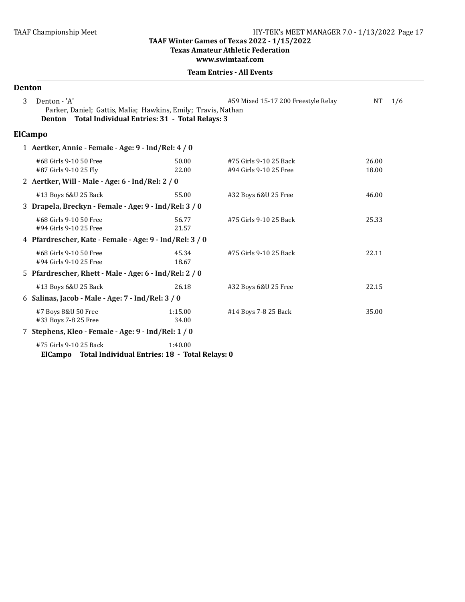#### **Texas Amateur Athletic Federation**

**www.swimtaaf.com**

| <b>Denton</b> |                                                                                                                                        |                  |                                                  |                  |  |
|---------------|----------------------------------------------------------------------------------------------------------------------------------------|------------------|--------------------------------------------------|------------------|--|
| 3             | Denton - 'A'<br>Parker, Daniel; Gattis, Malia; Hawkins, Emily; Travis, Nathan<br>Denton Total Individual Entries: 31 - Total Relays: 3 |                  | #59 Mixed 15-17 200 Freestyle Relay              | <b>NT</b><br>1/6 |  |
|               | <b>ElCampo</b>                                                                                                                         |                  |                                                  |                  |  |
|               | 1 Aertker, Annie - Female - Age: 9 - Ind/Rel: 4 / 0                                                                                    |                  |                                                  |                  |  |
|               | #68 Girls 9-10 50 Free<br>#87 Girls 9-10 25 Fly<br>2 Aertker, Will - Male - Age: 6 - Ind/Rel: 2 / 0                                    | 50.00<br>22.00   | #75 Girls 9-10 25 Back<br>#94 Girls 9-10 25 Free | 26.00<br>18.00   |  |
|               | #13 Boys 6&U 25 Back<br>3 Drapela, Breckyn - Female - Age: 9 - Ind/Rel: 3 / 0                                                          | 55.00            | #32 Boys 6&U 25 Free                             | 46.00            |  |
|               | #68 Girls 9-10 50 Free<br>#94 Girls 9-10 25 Free                                                                                       | 56.77<br>21.57   | #75 Girls 9-10 25 Back                           | 25.33            |  |
|               | 4 Pfardrescher, Kate - Female - Age: 9 - Ind/Rel: 3 / 0                                                                                |                  |                                                  |                  |  |
|               | #68 Girls 9-10 50 Free<br>#94 Girls 9-10 25 Free                                                                                       | 45.34<br>18.67   | #75 Girls 9-10 25 Back                           | 22.11            |  |
|               | 5 Pfardrescher, Rhett - Male - Age: 6 - Ind/Rel: 2 / 0                                                                                 |                  |                                                  |                  |  |
|               | #13 Boys 6&U 25 Back                                                                                                                   | 26.18            | #32 Boys 6&U 25 Free                             | 22.15            |  |
|               | 6 Salinas, Jacob - Male - Age: 7 - Ind/Rel: 3 / 0                                                                                      |                  |                                                  |                  |  |
|               | #7 Boys 8&U 50 Free<br>#33 Boys 7-8 25 Free                                                                                            | 1:15.00<br>34.00 | #14 Boys 7-8 25 Back                             | 35.00            |  |
|               | 7 Stephens, Kleo - Female - Age: 9 - Ind/Rel: 1 / 0                                                                                    |                  |                                                  |                  |  |
|               | #75 Girls 9-10 25 Back<br>ElCampo Total Individual Entries: 18 - Total Relays: 0                                                       | 1:40.00          |                                                  |                  |  |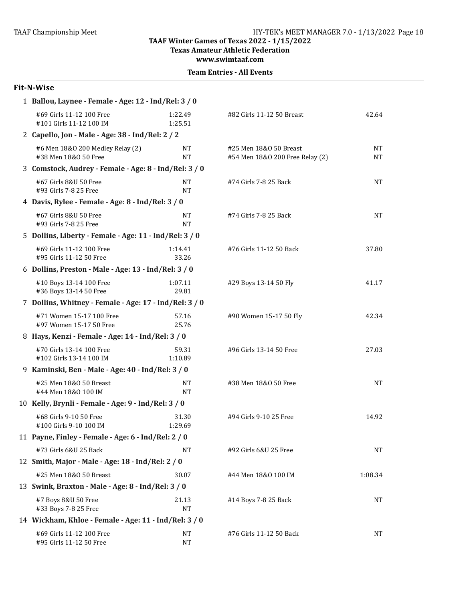**Texas Amateur Athletic Federation**

**www.swimtaaf.com**

| <b>Team Entries - All Events</b> |  |  |
|----------------------------------|--|--|
|----------------------------------|--|--|

# **Fit-N-Wise**

| 1 Ballou, Laynee - Female - Age: 12 - Ind/Rel: 3 / 0     |                        |                                                           |                        |
|----------------------------------------------------------|------------------------|-----------------------------------------------------------|------------------------|
| #69 Girls 11-12 100 Free<br>#101 Girls 11-12 100 IM      | 1:22.49<br>1:25.51     | #82 Girls 11-12 50 Breast                                 | 42.64                  |
| 2 Capello, Jon - Male - Age: 38 - Ind/Rel: 2 / 2         |                        |                                                           |                        |
| #6 Men 18&0 200 Medley Relay (2)<br>#38 Men 18&0 50 Free | <b>NT</b><br><b>NT</b> | #25 Men 18&0 50 Breast<br>#54 Men 18&0 200 Free Relay (2) | <b>NT</b><br><b>NT</b> |
| 3 Comstock, Audrey - Female - Age: 8 - Ind/Rel: 3 / 0    |                        |                                                           |                        |
| #67 Girls 8&U 50 Free<br>#93 Girls 7-8 25 Free           | <b>NT</b><br><b>NT</b> | #74 Girls 7-8 25 Back                                     | <b>NT</b>              |
| 4 Davis, Rylee - Female - Age: 8 - Ind/Rel: 3 / 0        |                        |                                                           |                        |
| #67 Girls 8&U 50 Free<br>#93 Girls 7-8 25 Free           | <b>NT</b><br><b>NT</b> | #74 Girls 7-8 25 Back                                     | <b>NT</b>              |
| 5 Dollins, Liberty - Female - Age: 11 - Ind/Rel: 3 / 0   |                        |                                                           |                        |
| #69 Girls 11-12 100 Free<br>#95 Girls 11-12 50 Free      | 1:14.41<br>33.26       | #76 Girls 11-12 50 Back                                   | 37.80                  |
| 6 Dollins, Preston - Male - Age: 13 - Ind/Rel: 3 / 0     |                        |                                                           |                        |
| #10 Boys 13-14 100 Free<br>#36 Boys 13-14 50 Free        | 1:07.11<br>29.81       | #29 Boys 13-14 50 Fly                                     | 41.17                  |
| 7 Dollins, Whitney - Female - Age: 17 - Ind/Rel: 3 / 0   |                        |                                                           |                        |
| #71 Women 15-17 100 Free<br>#97 Women 15-17 50 Free      | 57.16<br>25.76         | #90 Women 15-17 50 Fly                                    | 42.34                  |
| 8 Hays, Kenzi - Female - Age: 14 - Ind/Rel: 3 / 0        |                        |                                                           |                        |
| #70 Girls 13-14 100 Free<br>#102 Girls 13-14 100 IM      | 59.31<br>1:10.89       | #96 Girls 13-14 50 Free                                   | 27.03                  |
| 9 Kaminski, Ben - Male - Age: 40 - Ind/Rel: 3 / 0        |                        |                                                           |                        |
| #25 Men 18&0 50 Breast<br>#44 Men 18&0 100 IM            | NT<br><b>NT</b>        | #38 Men 18&0 50 Free                                      | <b>NT</b>              |
| 10 Kelly, Brynli - Female - Age: 9 - Ind/Rel: 3 / 0      |                        |                                                           |                        |
| #68 Girls 9-10 50 Free<br>#100 Girls 9-10 100 IM         | 31.30<br>1:29.69       | #94 Girls 9-10 25 Free                                    | 14.92                  |
| 11 Payne, Finley - Female - Age: 6 - Ind/Rel: 2 / 0      |                        |                                                           |                        |
| #73 Girls 6&U 25 Back                                    | <b>NT</b>              | #92 Girls 6&U 25 Free                                     | NΤ                     |
| 12 Smith, Major - Male - Age: 18 - Ind/Rel: 2 / 0        |                        |                                                           |                        |
| #25 Men 18&0 50 Breast                                   | 30.07                  | #44 Men 18&0 100 IM                                       | 1:08.34                |
| 13 Swink, Braxton - Male - Age: 8 - Ind/Rel: 3 / 0       |                        |                                                           |                        |
| #7 Boys 8&U 50 Free<br>#33 Boys 7-8 25 Free              | 21.13<br><b>NT</b>     | #14 Boys 7-8 25 Back                                      | NΤ                     |
| 14 Wickham, Khloe - Female - Age: 11 - Ind/Rel: 3 / 0    |                        |                                                           |                        |
| #69 Girls 11-12 100 Free<br>#95 Girls 11-12 50 Free      | <b>NT</b><br><b>NT</b> | #76 Girls 11-12 50 Back                                   | NΤ                     |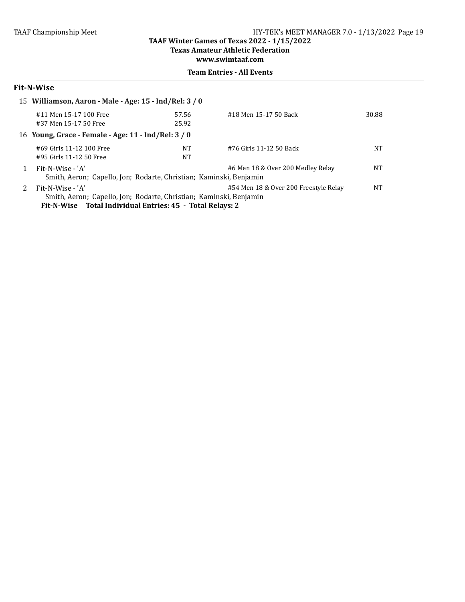#### **TAAF Winter Games of Texas 2022 - 1/15/2022 Texas Amateur Athletic Federation**

**www.swimtaaf.com**

#### **Team Entries - All Events**

# **Fit-N-Wise**

| 15 Williamson, Aaron - Male - Age: 15 - Ind/Rel: 3 / 0                                             |       |                                       |           |
|----------------------------------------------------------------------------------------------------|-------|---------------------------------------|-----------|
| #11 Men 15-17 100 Free                                                                             | 57.56 | #18 Men 15-17 50 Back                 | 30.88     |
| #37 Men 15-17 50 Free                                                                              | 25.92 |                                       |           |
| 16 Young, Grace - Female - Age: 11 - Ind/Rel: 3 / 0                                                |       |                                       |           |
| #69 Girls 11-12 100 Free                                                                           | NT    | #76 Girls 11-12 50 Back               | NT        |
| #95 Girls 11-12 50 Free                                                                            | NT    |                                       |           |
| Fit-N-Wise - 'A'                                                                                   |       | #6 Men 18 & Over 200 Medley Relay     | NT        |
| Smith, Aeron; Capello, Jon; Rodarte, Christian; Kaminski, Benjamin                                 |       |                                       |           |
| Fit-N-Wise - 'A'                                                                                   |       | #54 Men 18 & Over 200 Freestyle Relay | <b>NT</b> |
| Smith, Aeron; Capello, Jon; Rodarte, Christian; Kaminski, Benjamin                                 |       |                                       |           |
| $P_{11}$ M Miles $P_{21}$ He distributed $P_{31}$ and $P_{41}$ $P_{51}$ $P_{61}$ $P_{71}$ $P_{81}$ |       |                                       |           |

Fit-N-Wise Total Individual Entries: 45 - Total Relays: 2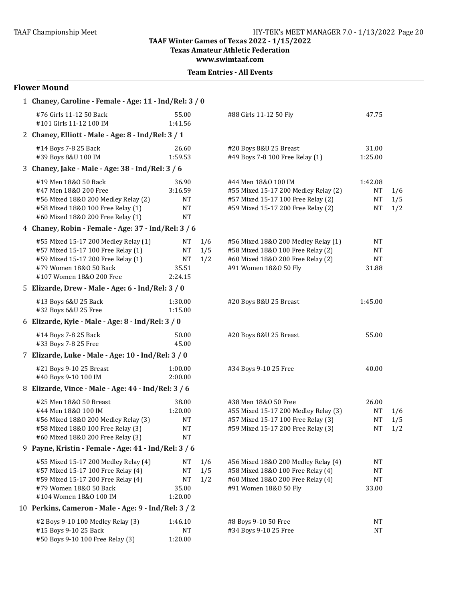**Texas Amateur Athletic Federation** 

**www.swimtaaf.com**

| <b>Flower Mound</b>                                                                                                                                                    |                                                         |                   |                                                                                                                                          |                                       |                   |
|------------------------------------------------------------------------------------------------------------------------------------------------------------------------|---------------------------------------------------------|-------------------|------------------------------------------------------------------------------------------------------------------------------------------|---------------------------------------|-------------------|
| 1 Chaney, Caroline - Female - Age: 11 - Ind/Rel: 3 / 0                                                                                                                 |                                                         |                   |                                                                                                                                          |                                       |                   |
| #76 Girls 11-12 50 Back<br>#101 Girls 11-12 100 IM                                                                                                                     | 55.00<br>1:41.56                                        |                   | #88 Girls 11-12 50 Fly                                                                                                                   | 47.75                                 |                   |
| 2 Chaney, Elliott - Male - Age: 8 - Ind/Rel: 3 / 1                                                                                                                     |                                                         |                   |                                                                                                                                          |                                       |                   |
| #14 Boys 7-8 25 Back<br>#39 Boys 8&U 100 IM                                                                                                                            | 26.60<br>1:59.53                                        |                   | #20 Boys 8&U 25 Breast<br>#49 Boys 7-8 100 Free Relay (1)                                                                                | 31.00<br>1:25.00                      |                   |
| 3 Chaney, Jake - Male - Age: 38 - Ind/Rel: 3 / 6                                                                                                                       |                                                         |                   |                                                                                                                                          |                                       |                   |
| #19 Men 18&0 50 Back<br>#47 Men 18&0 200 Free<br>#56 Mixed 18&0 200 Medley Relay (2)<br>#58 Mixed 18&0 100 Free Relay (1)<br>#60 Mixed 18&0 200 Free Relay (1)         | 36.90<br>3:16.59<br><b>NT</b><br><b>NT</b><br><b>NT</b> |                   | #44 Men 18&0 100 IM<br>#55 Mixed 15-17 200 Medley Relay (2)<br>#57 Mixed 15-17 100 Free Relay (2)<br>#59 Mixed 15-17 200 Free Relay (2)  | 1:42.08<br>NT<br>NT<br><b>NT</b>      | 1/6<br>1/5<br>1/2 |
| 4 Chaney, Robin - Female - Age: 37 - Ind/Rel: 3/6                                                                                                                      |                                                         |                   |                                                                                                                                          |                                       |                   |
| #55 Mixed 15-17 200 Medley Relay (1)<br>#57 Mixed 15-17 100 Free Relay (1)<br>#59 Mixed 15-17 200 Free Relay (1)<br>#79 Women 18&0 50 Back<br>#107 Women 18&0 200 Free | NT<br><b>NT</b><br>NT<br>35.51<br>2:24.15               | 1/6<br>1/5<br>1/2 | #56 Mixed 18&0 200 Medley Relay (1)<br>#58 Mixed 18&0 100 Free Relay (2)<br>#60 Mixed 18&0 200 Free Relay (2)<br>#91 Women 18&0 50 Fly   | NT<br><b>NT</b><br><b>NT</b><br>31.88 |                   |
| 5 Elizarde, Drew - Male - Age: 6 - Ind/Rel: 3 / 0                                                                                                                      |                                                         |                   |                                                                                                                                          |                                       |                   |
| #13 Boys 6&U 25 Back<br>#32 Boys 6&U 25 Free                                                                                                                           | 1:30.00<br>1:15.00                                      |                   | #20 Boys 8&U 25 Breast                                                                                                                   | 1:45.00                               |                   |
| 6 Elizarde, Kyle - Male - Age: 8 - Ind/Rel: 3 / 0                                                                                                                      |                                                         |                   |                                                                                                                                          |                                       |                   |
| #14 Boys 7-8 25 Back<br>#33 Boys 7-8 25 Free                                                                                                                           | 50.00<br>45.00                                          |                   | #20 Boys 8&U 25 Breast                                                                                                                   | 55.00                                 |                   |
| 7 Elizarde, Luke - Male - Age: 10 - Ind/Rel: 3 / 0                                                                                                                     |                                                         |                   |                                                                                                                                          |                                       |                   |
| #21 Boys 9-10 25 Breast<br>#40 Boys 9-10 100 IM                                                                                                                        | 1:00.00<br>2:00.00                                      |                   | #34 Boys 9-10 25 Free                                                                                                                    | 40.00                                 |                   |
| 8 Elizarde, Vince - Male - Age: 44 - Ind/Rel: 3 / 6                                                                                                                    |                                                         |                   |                                                                                                                                          |                                       |                   |
| #25 Men 18&0 50 Breast<br>#44 Men 18&0 100 IM<br>#56 Mixed 18&0 200 Medley Relay (3)<br>#58 Mixed 18&0 100 Free Relay (3)<br>#60 Mixed 18&0 200 Free Relay (3)         | 38.00<br>1:20.00<br>NT<br>NT<br><b>NT</b>               |                   | #38 Men 18&0 50 Free<br>#55 Mixed 15-17 200 Medley Relay (3)<br>#57 Mixed 15-17 100 Free Relay (3)<br>#59 Mixed 15-17 200 Free Relay (3) | 26.00<br><b>NT</b><br>NT<br><b>NT</b> | 1/6<br>1/5<br>1/2 |
| 9 Payne, Kristin - Female - Age: 41 - Ind/Rel: 3 / 6                                                                                                                   |                                                         |                   |                                                                                                                                          |                                       |                   |
| #55 Mixed 15-17 200 Medley Relay (4)<br>#57 Mixed 15-17 100 Free Relay (4)<br>#59 Mixed 15-17 200 Free Relay (4)<br>#79 Women 18&0 50 Back<br>#104 Women 18&0 100 IM   | NT<br>NT<br>NT<br>35.00<br>1:20.00                      | 1/6<br>1/5<br>1/2 | #56 Mixed 18&0 200 Medley Relay (4)<br>#58 Mixed 18&0 100 Free Relay (4)<br>#60 Mixed 18&0 200 Free Relay (4)<br>#91 Women 18&0 50 Fly   | NT<br>NT<br>NT<br>33.00               |                   |
| 10 Perkins, Cameron - Male - Age: 9 - Ind/Rel: 3 / 2                                                                                                                   |                                                         |                   |                                                                                                                                          |                                       |                   |
| #2 Boys 9-10 100 Medley Relay (3)<br>#15 Boys 9-10 25 Back<br>#50 Boys 9-10 100 Free Relay (3)                                                                         | 1:46.10<br>NT<br>1:20.00                                |                   | #8 Boys 9-10 50 Free<br>#34 Boys 9-10 25 Free                                                                                            | NT<br>NT                              |                   |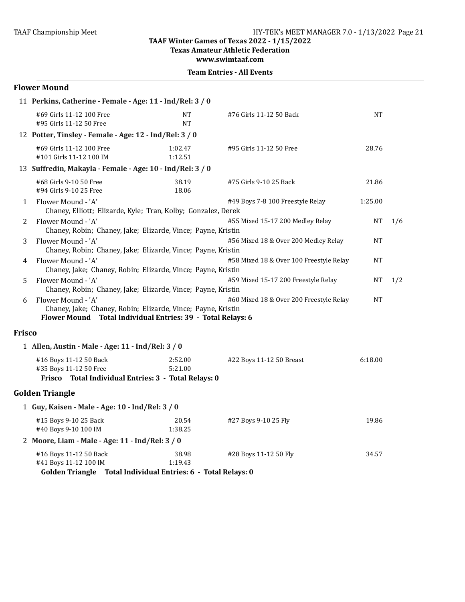**Texas Amateur Athletic Federation** 

**www.swimtaaf.com**

|  | <b>Team Entries - All Events</b> |  |  |
|--|----------------------------------|--|--|
|--|----------------------------------|--|--|

### **Flower Mound**

|               | 11 Perkins, Catherine - Female - Age: 11 - Ind/Rel: 3 / 0                                                                                         |                        |                                         |           |     |
|---------------|---------------------------------------------------------------------------------------------------------------------------------------------------|------------------------|-----------------------------------------|-----------|-----|
|               | #69 Girls 11-12 100 Free<br>#95 Girls 11-12 50 Free                                                                                               | <b>NT</b><br><b>NT</b> | #76 Girls 11-12 50 Back                 | <b>NT</b> |     |
|               | 12 Potter, Tinsley - Female - Age: 12 - Ind/Rel: 3 / 0                                                                                            |                        |                                         |           |     |
|               | #69 Girls 11-12 100 Free<br>#101 Girls 11-12 100 IM                                                                                               | 1:02.47<br>1:12.51     | #95 Girls 11-12 50 Free                 | 28.76     |     |
|               | 13 Suffredin, Makayla - Female - Age: 10 - Ind/Rel: 3 / 0                                                                                         |                        |                                         |           |     |
|               | #68 Girls 9-10 50 Free<br>#94 Girls 9-10 25 Free                                                                                                  | 38.19<br>18.06         | #75 Girls 9-10 25 Back                  | 21.86     |     |
| 1             | Flower Mound - 'A'<br>Chaney, Elliott; Elizarde, Kyle; Tran, Kolby; Gonzalez, Derek                                                               |                        | #49 Boys 7-8 100 Freestyle Relay        | 1:25.00   |     |
| 2             | Flower Mound - 'A'<br>Chaney, Robin; Chaney, Jake; Elizarde, Vince; Payne, Kristin                                                                |                        | #55 Mixed 15-17 200 Medley Relay        | <b>NT</b> | 1/6 |
| 3             | Flower Mound - 'A'<br>Chaney, Robin; Chaney, Jake; Elizarde, Vince; Payne, Kristin                                                                |                        | #56 Mixed 18 & Over 200 Medley Relay    | <b>NT</b> |     |
| 4             | Flower Mound - 'A'<br>Chaney, Jake; Chaney, Robin; Elizarde, Vince; Payne, Kristin                                                                |                        | #58 Mixed 18 & Over 100 Freestyle Relay | <b>NT</b> |     |
| 5             | Flower Mound - 'A'<br>Chaney, Robin; Chaney, Jake; Elizarde, Vince; Payne, Kristin                                                                |                        | #59 Mixed 15-17 200 Freestyle Relay     | NT        | 1/2 |
| 6             | Flower Mound - 'A'<br>Chaney, Jake; Chaney, Robin; Elizarde, Vince; Payne, Kristin<br>Flower Mound Total Individual Entries: 39 - Total Relays: 6 |                        | #60 Mixed 18 & Over 200 Freestyle Relay | <b>NT</b> |     |
| <b>Frisco</b> |                                                                                                                                                   |                        |                                         |           |     |
|               | 1 Allen, Austin - Male - Age: 11 - Ind/Rel: 3 / 0                                                                                                 |                        |                                         |           |     |
|               | #16 Boys 11-12 50 Back<br>#35 Boys 11-12 50 Free<br>Frisco Total Individual Entries: 3 - Total Relays: 0                                          | 2:52.00<br>5:21.00     | #22 Boys 11-12 50 Breast                | 6:18.00   |     |
|               | <b>Golden Triangle</b>                                                                                                                            |                        |                                         |           |     |
|               | 1 Guy, Kaisen - Male - Age: 10 - Ind/Rel: 3 / 0                                                                                                   |                        |                                         |           |     |
|               | #15 Boys 9-10 25 Back<br>#40 Boys 9-10 100 IM                                                                                                     | 20.54<br>1:38.25       | #27 Boys 9-10 25 Fly                    | 19.86     |     |
|               | 2 Moore, Liam - Male - Age: 11 - Ind/Rel: 3 / 0                                                                                                   |                        |                                         |           |     |
|               | #16 Boys 11-12 50 Back                                                                                                                            | 38.98                  | #28 Boys 11-12 50 Fly                   | 34.57     |     |

#41 Boys 11-12 100 IM 1:19.43

Golden Triangle Total Individual Entries: 6 - Total Relays: 0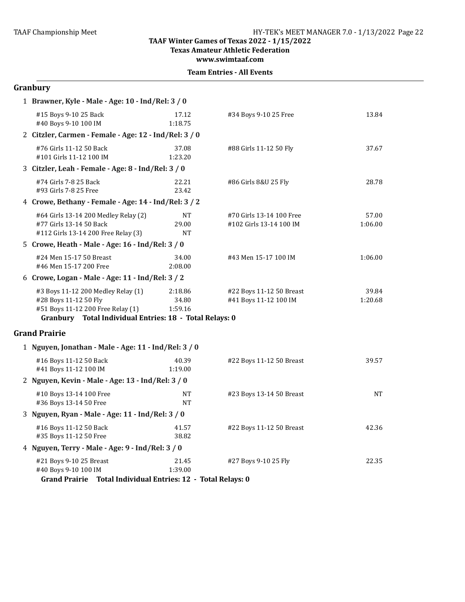**Texas Amateur Athletic Federation**

**www.swimtaaf.com**

|  | <b>Team Entries - All Events</b> |  |  |
|--|----------------------------------|--|--|
|--|----------------------------------|--|--|

# **Granbury**

| 1 Brawner, Kyle - Male - Age: 10 - Ind/Rel: 3 / 0                                                                                                           |                                 |                                                     |                  |
|-------------------------------------------------------------------------------------------------------------------------------------------------------------|---------------------------------|-----------------------------------------------------|------------------|
| #15 Boys 9-10 25 Back<br>#40 Boys 9-10 100 IM                                                                                                               | 17.12<br>1:18.75                | #34 Boys 9-10 25 Free                               | 13.84            |
| 2 Citzler, Carmen - Female - Age: 12 - Ind/Rel: 3 / 0                                                                                                       |                                 |                                                     |                  |
| #76 Girls 11-12 50 Back<br>#101 Girls 11-12 100 IM                                                                                                          | 37.08<br>1:23.20                | #88 Girls 11-12 50 Fly                              | 37.67            |
| 3 Citzler, Leah - Female - Age: 8 - Ind/Rel: 3 / 0                                                                                                          |                                 |                                                     |                  |
| #74 Girls 7-8 25 Back<br>#93 Girls 7-8 25 Free                                                                                                              | 22.21<br>23.42                  | #86 Girls 8&U 25 Fly                                | 28.78            |
| 4 Crowe, Bethany - Female - Age: 14 - Ind/Rel: 3 / 2                                                                                                        |                                 |                                                     |                  |
| #64 Girls 13-14 200 Medley Relay (2)<br>#77 Girls 13-14 50 Back<br>#112 Girls 13-14 200 Free Relay (3)                                                      | <b>NT</b><br>29.00<br><b>NT</b> | #70 Girls 13-14 100 Free<br>#102 Girls 13-14 100 IM | 57.00<br>1:06.00 |
| 5 Crowe, Heath - Male - Age: 16 - Ind/Rel: 3 / 0                                                                                                            |                                 |                                                     |                  |
| #24 Men 15-17 50 Breast<br>#46 Men 15-17 200 Free                                                                                                           | 34.00<br>2:08.00                | #43 Men 15-17 100 IM                                | 1:06.00          |
| 6 Crowe, Logan - Male - Age: 11 - Ind/Rel: 3 / 2                                                                                                            |                                 |                                                     |                  |
| #3 Boys 11-12 200 Medley Relay (1)<br>#28 Boys 11-12 50 Fly<br>#51 Boys 11-12 200 Free Relay (1)<br>Granbury Total Individual Entries: 18 - Total Relays: 0 | 2:18.86<br>34.80<br>1:59.16     | #22 Boys 11-12 50 Breast<br>#41 Boys 11-12 100 IM   | 39.84<br>1:20.68 |
| <b>Grand Prairie</b>                                                                                                                                        |                                 |                                                     |                  |
| 1 Nguyen, Jonathan - Male - Age: 11 - Ind/Rel: 3 / 0                                                                                                        |                                 |                                                     |                  |
| #16 Boys 11-12 50 Back<br>#41 Boys 11-12 100 IM                                                                                                             | 40.39<br>1:19.00                | #22 Boys 11-12 50 Breast                            | 39.57            |
| 2 Nguyen, Kevin - Male - Age: 13 - Ind/Rel: 3 / 0                                                                                                           |                                 |                                                     |                  |
| #10 Boys 13-14 100 Free<br>#36 Boys 13-14 50 Free                                                                                                           | <b>NT</b><br><b>NT</b>          | #23 Boys 13-14 50 Breast                            | <b>NT</b>        |
| 3 Nguyen, Ryan - Male - Age: 11 - Ind/Rel: 3 / 0                                                                                                            |                                 |                                                     |                  |
| #16 Boys 11-12 50 Back<br>#35 Boys 11-12 50 Free                                                                                                            | 41.57<br>38.82                  | #22 Boys 11-12 50 Breast                            | 42.36            |
| 4 Nguyen, Terry - Male - Age: 9 - Ind/Rel: 3 / 0                                                                                                            |                                 |                                                     |                  |
| #21 Boys 9-10 25 Breast<br>#40 Boys 9-10 100 IM<br>Grand Prairie Total Individual Entries: 12 - Total Relays: 0                                             | 21.45<br>1:39.00                | #27 Boys 9-10 25 Fly                                | 22.35            |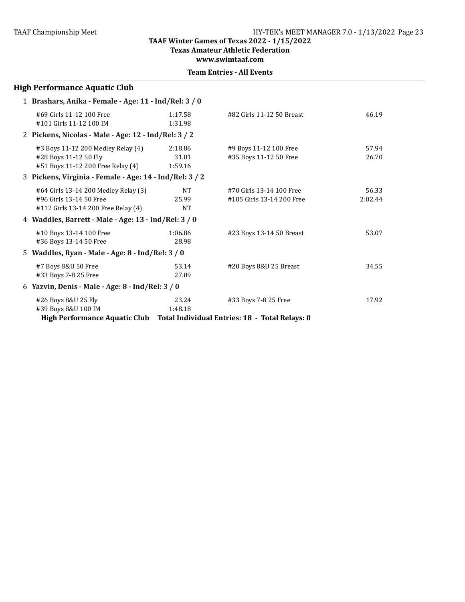**Texas Amateur Athletic Federation**

**www.swimtaaf.com**

|  | <b>Team Entries - All Events</b> |  |  |
|--|----------------------------------|--|--|
|--|----------------------------------|--|--|

| <b>High Performance Aquatic Club</b>                                                                   |                                 |                                                                        |                  |
|--------------------------------------------------------------------------------------------------------|---------------------------------|------------------------------------------------------------------------|------------------|
| 1 Brashars, Anika - Female - Age: 11 - Ind/Rel: 3 / 0                                                  |                                 |                                                                        |                  |
| #69 Girls 11-12 100 Free<br>#101 Girls 11-12 100 IM                                                    | 1:17.58<br>1:31.98              | #82 Girls 11-12 50 Breast                                              | 46.19            |
| 2 Pickens, Nicolas - Male - Age: 12 - Ind/Rel: 3 / 2                                                   |                                 |                                                                        |                  |
| #3 Boys 11-12 200 Medley Relay (4)<br>#28 Boys 11-12 50 Fly<br>#51 Boys 11-12 200 Free Relay (4)       | 2:18.86<br>31.01<br>1:59.16     | #9 Boys 11-12 100 Free<br>#35 Boys 11-12 50 Free                       | 57.94<br>26.70   |
| 3 Pickens, Virginia - Female - Age: 14 - Ind/Rel: 3 / 2                                                |                                 |                                                                        |                  |
| #64 Girls 13-14 200 Medley Relay (3)<br>#96 Girls 13-14 50 Free<br>#112 Girls 13-14 200 Free Relay (4) | <b>NT</b><br>25.99<br><b>NT</b> | #70 Girls 13-14 100 Free<br>#105 Girls 13-14 200 Free                  | 56.33<br>2:02.44 |
| 4 Waddles, Barrett - Male - Age: 13 - Ind/Rel: 3 / 0                                                   |                                 |                                                                        |                  |
| #10 Boys 13-14 100 Free<br>#36 Boys 13-14 50 Free                                                      | 1:06.86<br>28.98                | #23 Boys 13-14 50 Breast                                               | 53.07            |
| 5 Waddles, Ryan - Male - Age: 8 - Ind/Rel: 3 / 0                                                       |                                 |                                                                        |                  |
| #7 Boys 8&U 50 Free<br>#33 Boys 7-8 25 Free                                                            | 53.14<br>27.09                  | #20 Boys 8&U 25 Breast                                                 | 34.55            |
| 6 Yazvin, Denis - Male - Age: 8 - Ind/Rel: 3 / 0                                                       |                                 |                                                                        |                  |
| #26 Boys 8&U 25 Fly<br>#39 Boys 8&U 100 IM<br><b>High Performance Aquatic Club</b>                     | 23.24<br>1:48.18                | #33 Boys 7-8 25 Free<br>Total Individual Entries: 18 - Total Relays: 0 | 17.92            |
|                                                                                                        |                                 |                                                                        |                  |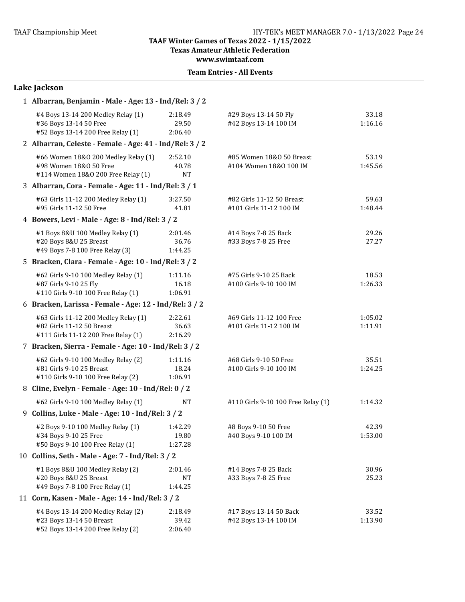**Texas Amateur Athletic Federation** 

**www.swimtaaf.com**

| Lake Jackson                                                                                             |                               |                                                      |                    |
|----------------------------------------------------------------------------------------------------------|-------------------------------|------------------------------------------------------|--------------------|
| 1 Albarran, Benjamin - Male - Age: 13 - Ind/Rel: 3 / 2                                                   |                               |                                                      |                    |
| #4 Boys 13-14 200 Medley Relay (1)<br>#36 Boys 13-14 50 Free<br>#52 Boys 13-14 200 Free Relay (1)        | 2:18.49<br>29.50<br>2:06.40   | #29 Boys 13-14 50 Fly<br>#42 Boys 13-14 100 IM       | 33.18<br>1:16.16   |
| 2 Albarran, Celeste - Female - Age: 41 - Ind/Rel: 3 / 2                                                  |                               |                                                      |                    |
| #66 Women 18&0 200 Medley Relay (1)<br>#98 Women 18&0 50 Free<br>#114 Women 18&0 200 Free Relay (1)      | 2:52.10<br>40.78<br><b>NT</b> | #85 Women 18&0 50 Breast<br>#104 Women 18&0 100 IM   | 53.19<br>1:45.56   |
| 3 Albarran, Cora - Female - Age: 11 - Ind/Rel: 3 / 1                                                     |                               |                                                      |                    |
| #63 Girls 11-12 200 Medley Relay (1)<br>#95 Girls 11-12 50 Free                                          | 3:27.50<br>41.81              | #82 Girls 11-12 50 Breast<br>#101 Girls 11-12 100 IM | 59.63<br>1:48.44   |
| 4 Bowers, Levi - Male - Age: 8 - Ind/Rel: 3 / 2                                                          |                               |                                                      |                    |
| #1 Boys 8&U 100 Medley Relay (1)<br>#20 Boys 8&U 25 Breast<br>#49 Boys 7-8 100 Free Relay (3)            | 2:01.46<br>36.76<br>1:44.25   | #14 Boys 7-8 25 Back<br>#33 Boys 7-8 25 Free         | 29.26<br>27.27     |
| 5 Bracken, Clara - Female - Age: 10 - Ind/Rel: 3 / 2                                                     |                               |                                                      |                    |
| #62 Girls 9-10 100 Medley Relay (1)<br>#87 Girls 9-10 25 Fly<br>#110 Girls 9-10 100 Free Relay (1)       | 1:11.16<br>16.18<br>1:06.91   | #75 Girls 9-10 25 Back<br>#100 Girls 9-10 100 IM     | 18.53<br>1:26.33   |
| 6 Bracken, Larissa - Female - Age: 12 - Ind/Rel: 3 / 2                                                   |                               |                                                      |                    |
| #63 Girls 11-12 200 Medley Relay (1)<br>#82 Girls 11-12 50 Breast<br>#111 Girls 11-12 200 Free Relay (1) | 2:22.61<br>36.63<br>2:16.29   | #69 Girls 11-12 100 Free<br>#101 Girls 11-12 100 IM  | 1:05.02<br>1:11.91 |
| 7 Bracken, Sierra - Female - Age: 10 - Ind/Rel: 3 / 2                                                    |                               |                                                      |                    |
| #62 Girls 9-10 100 Medley Relay (2)<br>#81 Girls 9-10 25 Breast<br>#110 Girls 9-10 100 Free Relay (2)    | 1:11.16<br>18.24<br>1:06.91   | #68 Girls 9-10 50 Free<br>#100 Girls 9-10 100 IM     | 35.51<br>1:24.25   |
| 8 Cline, Evelyn - Female - Age: 10 - Ind/Rel: 0 / 2                                                      |                               |                                                      |                    |
| #62 Girls 9-10 100 Medley Relay (1)                                                                      | <b>NT</b>                     | #110 Girls 9-10 100 Free Relay (1)                   | 1:14.32            |
| 9 Collins, Luke - Male - Age: 10 - Ind/Rel: 3 / 2                                                        |                               |                                                      |                    |
| #2 Boys 9-10 100 Medley Relay (1)<br>#34 Boys 9-10 25 Free<br>#50 Boys 9-10 100 Free Relay (1)           | 1:42.29<br>19.80<br>1:27.28   | #8 Boys 9-10 50 Free<br>#40 Boys 9-10 100 IM         | 42.39<br>1:53.00   |
| 10 Collins, Seth - Male - Age: 7 - Ind/Rel: 3 / 2                                                        |                               |                                                      |                    |
| #1 Boys 8&U 100 Medley Relay (2)<br>#20 Boys 8&U 25 Breast<br>#49 Boys 7-8 100 Free Relay (1)            | 2:01.46<br>NT<br>1:44.25      | #14 Boys 7-8 25 Back<br>#33 Boys 7-8 25 Free         | 30.96<br>25.23     |
| 11 Corn, Kasen - Male - Age: 14 - Ind/Rel: 3 / 2                                                         |                               |                                                      |                    |
| #4 Boys 13-14 200 Medley Relay (2)<br>#23 Boys 13-14 50 Breast<br>#52 Boys 13-14 200 Free Relay (2)      | 2:18.49<br>39.42<br>2:06.40   | #17 Boys 13-14 50 Back<br>#42 Boys 13-14 100 IM      | 33.52<br>1:13.90   |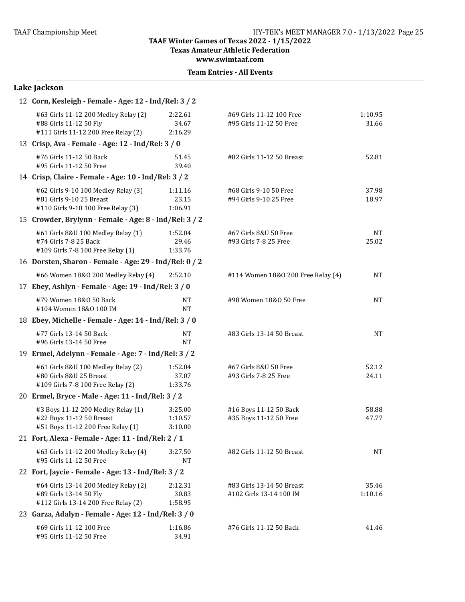**Texas Amateur Athletic Federation**

**www.swimtaaf.com**

|                                                     | Lake Jackson                                                                                          |                               |                                                      |                    |
|-----------------------------------------------------|-------------------------------------------------------------------------------------------------------|-------------------------------|------------------------------------------------------|--------------------|
|                                                     | 12 Corn, Kesleigh - Female - Age: 12 - Ind/Rel: 3 / 2                                                 |                               |                                                      |                    |
|                                                     | #63 Girls 11-12 200 Medley Relay (2)<br>#88 Girls 11-12 50 Fly<br>#111 Girls 11-12 200 Free Relay (2) | 2:22.61<br>34.67<br>2:16.29   | #69 Girls 11-12 100 Free<br>#95 Girls 11-12 50 Free  | 1:10.95<br>31.66   |
|                                                     | 13 Crisp, Ava - Female - Age: 12 - Ind/Rel: 3 / 0                                                     |                               |                                                      |                    |
|                                                     | #76 Girls 11-12 50 Back<br>#95 Girls 11-12 50 Free                                                    | 51.45<br>39.40                | #82 Girls 11-12 50 Breast                            | 52.81              |
|                                                     | 14 Crisp, Claire - Female - Age: 10 - Ind/Rel: 3 / 2                                                  |                               |                                                      |                    |
|                                                     | #62 Girls 9-10 100 Medley Relay (3)<br>#81 Girls 9-10 25 Breast<br>#110 Girls 9-10 100 Free Relay (3) | 1:11.16<br>23.15<br>1:06.91   | #68 Girls 9-10 50 Free<br>#94 Girls 9-10 25 Free     | 37.98<br>18.97     |
|                                                     | 15 Crowder, Brylynn - Female - Age: 8 - Ind/Rel: 3 / 2                                                |                               |                                                      |                    |
|                                                     | #61 Girls 8&U 100 Medley Relay (1)<br>#74 Girls 7-8 25 Back<br>#109 Girls 7-8 100 Free Relay (1)      | 1:52.04<br>29.46<br>1:33.76   | #67 Girls 8&U 50 Free<br>#93 Girls 7-8 25 Free       | <b>NT</b><br>25.02 |
|                                                     | 16 Dorsten, Sharon - Female - Age: 29 - Ind/Rel: 0 / 2                                                |                               |                                                      |                    |
|                                                     | #66 Women 18&0 200 Medley Relay (4)                                                                   | 2:52.10                       | #114 Women 18&0 200 Free Relay (4)                   | <b>NT</b>          |
| 17 Ebey, Ashlyn - Female - Age: 19 - Ind/Rel: 3 / 0 |                                                                                                       |                               |                                                      |                    |
|                                                     | #79 Women 18&0 50 Back<br>#104 Women 18&0 100 IM                                                      | NT<br><b>NT</b>               | #98 Women 18&0 50 Free                               | <b>NT</b>          |
|                                                     | 18 Ebey, Michelle - Female - Age: 14 - Ind/Rel: 3 / 0                                                 |                               |                                                      |                    |
|                                                     | #77 Girls 13-14 50 Back<br>#96 Girls 13-14 50 Free                                                    | <b>NT</b><br><b>NT</b>        | #83 Girls 13-14 50 Breast                            | <b>NT</b>          |
|                                                     | 19 Ermel, Adelynn - Female - Age: 7 - Ind/Rel: 3 / 2                                                  |                               |                                                      |                    |
|                                                     | #61 Girls 8&U 100 Medley Relay (2)<br>#80 Girls 8&U 25 Breast<br>#109 Girls 7-8 100 Free Relay (2)    | 1:52.04<br>37.07<br>1:33.76   | #67 Girls 8&U 50 Free<br>#93 Girls 7-8 25 Free       | 52.12<br>24.11     |
|                                                     | 20 Ermel, Bryce - Male - Age: 11 - Ind/Rel: 3 / 2                                                     |                               |                                                      |                    |
|                                                     | #3 Boys 11-12 200 Medley Relay (1)<br>#22 Boys 11-12 50 Breast<br>#51 Boys 11-12 200 Free Relay (1)   | 3:25.00<br>1:10.57<br>3:10.00 | #16 Boys 11-12 50 Back<br>#35 Boys 11-12 50 Free     | 58.88<br>47.77     |
|                                                     | 21 Fort, Alexa - Female - Age: 11 - Ind/Rel: 2 / 1                                                    |                               |                                                      |                    |
|                                                     | #63 Girls 11-12 200 Medley Relay (4)<br>#95 Girls 11-12 50 Free                                       | 3:27.50<br><b>NT</b>          | #82 Girls 11-12 50 Breast                            | <b>NT</b>          |
|                                                     | 22 Fort, Jaycie - Female - Age: 13 - Ind/Rel: 3 / 2                                                   |                               |                                                      |                    |
|                                                     | #64 Girls 13-14 200 Medley Relay (2)<br>#89 Girls 13-14 50 Fly<br>#112 Girls 13-14 200 Free Relay (2) | 2:12.31<br>30.83<br>1:58.95   | #83 Girls 13-14 50 Breast<br>#102 Girls 13-14 100 IM | 35.46<br>1:10.16   |
|                                                     | 23 Garza, Adalyn - Female - Age: 12 - Ind/Rel: 3 / 0                                                  |                               |                                                      |                    |
|                                                     | #69 Girls 11-12 100 Free<br>#95 Girls 11-12 50 Free                                                   | 1:16.86<br>34.91              | #76 Girls 11-12 50 Back                              | 41.46              |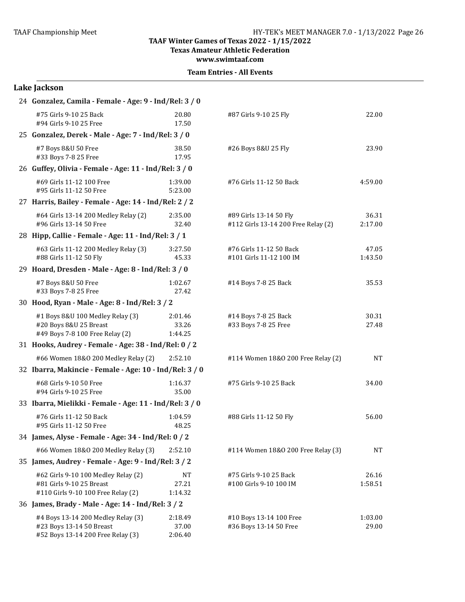**Texas Amateur Athletic Federation** 

**www.swimtaaf.com**

| 24 Gonzalez, Camila - Female - Age: 9 - Ind/Rel: 3 / 0                                                |                             |                                                               |                  |
|-------------------------------------------------------------------------------------------------------|-----------------------------|---------------------------------------------------------------|------------------|
| #75 Girls 9-10 25 Back<br>#94 Girls 9-10 25 Free                                                      | 20.80<br>17.50              | #87 Girls 9-10 25 Fly                                         | 22.00            |
| 25 Gonzalez, Derek - Male - Age: 7 - Ind/Rel: 3 / 0                                                   |                             |                                                               |                  |
| #7 Boys 8&U 50 Free<br>#33 Boys 7-8 25 Free                                                           | 38.50<br>17.95              | #26 Boys 8&U 25 Fly                                           | 23.90            |
| 26 Guffey, Olivia - Female - Age: 11 - Ind/Rel: 3 / 0                                                 |                             |                                                               |                  |
| #69 Girls 11-12 100 Free<br>#95 Girls 11-12 50 Free                                                   | 1:39.00<br>5:23.00          | #76 Girls 11-12 50 Back                                       | 4:59.00          |
| 27 Harris, Bailey - Female - Age: 14 - Ind/Rel: 2 / 2                                                 |                             |                                                               |                  |
| #64 Girls 13-14 200 Medley Relay (2)<br>#96 Girls 13-14 50 Free                                       | 2:35.00<br>32.40            | #89 Girls 13-14 50 Fly<br>#112 Girls 13-14 200 Free Relay (2) | 36.31<br>2:17.00 |
| 28 Hipp, Callie - Female - Age: 11 - Ind/Rel: 3 / 1                                                   |                             |                                                               |                  |
| #63 Girls 11-12 200 Medley Relay (3)<br>#88 Girls 11-12 50 Fly                                        | 3:27.50<br>45.33            | #76 Girls 11-12 50 Back<br>#101 Girls 11-12 100 IM            | 47.05<br>1:43.50 |
| 29 Hoard, Dresden - Male - Age: 8 - Ind/Rel: 3 / 0                                                    |                             |                                                               |                  |
| #7 Boys 8&U 50 Free<br>#33 Boys 7-8 25 Free                                                           | 1:02.67<br>27.42            | #14 Boys 7-8 25 Back                                          | 35.53            |
| 30 Hood, Ryan - Male - Age: 8 - Ind/Rel: 3 / 2                                                        |                             |                                                               |                  |
| #1 Boys 8&U 100 Medley Relay (3)<br>#20 Boys 8&U 25 Breast<br>#49 Boys 7-8 100 Free Relay (2)         | 2:01.46<br>33.26<br>1:44.25 | #14 Boys 7-8 25 Back<br>#33 Boys 7-8 25 Free                  | 30.31<br>27.48   |
| 31 Hooks, Audrey - Female - Age: 38 - Ind/Rel: 0 / 2                                                  |                             |                                                               |                  |
| #66 Women 18&0 200 Medley Relay (2)                                                                   | 2:52.10                     | #114 Women 18&0 200 Free Relay (2)                            | <b>NT</b>        |
| 32 Ibarra, Makincie - Female - Age: 10 - Ind/Rel: 3 / 0                                               |                             |                                                               |                  |
| #68 Girls 9-10 50 Free<br>#94 Girls 9-10 25 Free                                                      | 1:16.37<br>35.00            | #75 Girls 9-10 25 Back                                        | 34.00            |
| 33 Ibarra, Mielikki - Female - Age: 11 - Ind/Rel: 3 / 0                                               |                             |                                                               |                  |
| #76 Girls 11-12 50 Back<br>#95 Girls 11-12 50 Free                                                    | 1:04.59<br>48.25            | #88 Girls 11-12 50 Fly                                        | 56.00            |
| 34 James, Alyse - Female - Age: 34 - Ind/Rel: 0 / 2                                                   |                             |                                                               |                  |
| #66 Women 18&0 200 Medley Relay (3)                                                                   | 2:52.10                     | #114 Women 18&0 200 Free Relay (3)                            | <b>NT</b>        |
| 35 James, Audrey - Female - Age: 9 - Ind/Rel: 3 / 2                                                   |                             |                                                               |                  |
| #62 Girls 9-10 100 Medley Relay (2)<br>#81 Girls 9-10 25 Breast<br>#110 Girls 9-10 100 Free Relay (2) | NT<br>27.21<br>1:14.32      | #75 Girls 9-10 25 Back<br>#100 Girls 9-10 100 IM              | 26.16<br>1:58.51 |
| 36 James, Brady - Male - Age: 14 - Ind/Rel: 3 / 2                                                     |                             |                                                               |                  |
| #4 Boys 13-14 200 Medley Relay (3)<br>#23 Boys 13-14 50 Breast<br>#52 Boys 13-14 200 Free Relay (3)   | 2:18.49<br>37.00<br>2:06.40 | #10 Boys 13-14 100 Free<br>#36 Boys 13-14 50 Free             | 1:03.00<br>29.00 |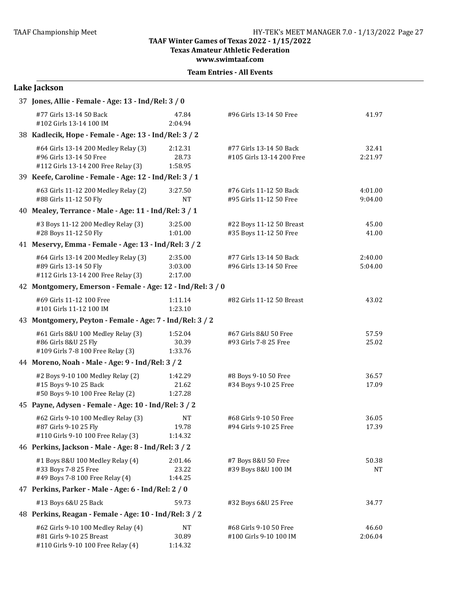**Texas Amateur Athletic Federation**

**www.swimtaaf.com**

|  | <b>Team Entries - All Events</b> |  |  |
|--|----------------------------------|--|--|
|--|----------------------------------|--|--|

# **Lake Jackson**

| 37 Jones, Allie - Female - Age: 13 - Ind/Rel: 3 / 0                                                    |                                                            |                                                      |                    |  |  |  |
|--------------------------------------------------------------------------------------------------------|------------------------------------------------------------|------------------------------------------------------|--------------------|--|--|--|
| #77 Girls 13-14 50 Back<br>#102 Girls 13-14 100 IM                                                     | 47.84<br>2:04.94                                           | #96 Girls 13-14 50 Free                              | 41.97              |  |  |  |
| 38 Kadlecik, Hope - Female - Age: 13 - Ind/Rel: 3 / 2                                                  |                                                            |                                                      |                    |  |  |  |
| #64 Girls 13-14 200 Medley Relay (3)<br>#96 Girls 13-14 50 Free<br>#112 Girls 13-14 200 Free Relay (3) | 2:12.31<br>28.73<br>1:58.95                                | #77 Girls 13-14 50 Back<br>#105 Girls 13-14 200 Free | 32.41<br>2:21.97   |  |  |  |
| 39 Keefe, Caroline - Female - Age: 12 - Ind/Rel: 3 / 1                                                 |                                                            |                                                      |                    |  |  |  |
| #63 Girls 11-12 200 Medley Relay (2)<br>#88 Girls 11-12 50 Fly                                         | 3:27.50<br><b>NT</b>                                       | #76 Girls 11-12 50 Back<br>#95 Girls 11-12 50 Free   | 4:01.00<br>9:04.00 |  |  |  |
| 40 Mealey, Terrance - Male - Age: 11 - Ind/Rel: 3 / 1                                                  |                                                            |                                                      |                    |  |  |  |
| #3 Boys 11-12 200 Medley Relay (3)<br>#28 Boys 11-12 50 Fly                                            | 3:25.00<br>1:01.00                                         | #22 Boys 11-12 50 Breast<br>#35 Boys 11-12 50 Free   | 45.00<br>41.00     |  |  |  |
| 41 Meservy, Emma - Female - Age: 13 - Ind/Rel: 3 / 2                                                   |                                                            |                                                      |                    |  |  |  |
| #64 Girls 13-14 200 Medley Relay (3)<br>#89 Girls 13-14 50 Fly<br>#112 Girls 13-14 200 Free Relay (3)  | 2:35.00<br>3:03.00<br>2:17.00                              | #77 Girls 13-14 50 Back<br>#96 Girls 13-14 50 Free   | 2:40.00<br>5:04.00 |  |  |  |
|                                                                                                        | 42 Montgomery, Emerson - Female - Age: 12 - Ind/Rel: 3 / 0 |                                                      |                    |  |  |  |
| #69 Girls 11-12 100 Free<br>#101 Girls 11-12 100 IM                                                    | 1:11.14<br>1:23.10                                         | #82 Girls 11-12 50 Breast                            | 43.02              |  |  |  |
| 43 Montgomery, Peyton - Female - Age: 7 - Ind/Rel: 3 / 2                                               |                                                            |                                                      |                    |  |  |  |
| #61 Girls 8&U 100 Medley Relay (3)<br>#86 Girls 8&U 25 Fly<br>#109 Girls 7-8 100 Free Relay (3)        | 1:52.04<br>30.39<br>1:33.76                                | #67 Girls 8&U 50 Free<br>#93 Girls 7-8 25 Free       | 57.59<br>25.02     |  |  |  |
| 44 Moreno, Noah - Male - Age: 9 - Ind/Rel: 3 / 2                                                       |                                                            |                                                      |                    |  |  |  |
| #2 Boys 9-10 100 Medley Relay (2)<br>#15 Boys 9-10 25 Back<br>#50 Boys 9-10 100 Free Relay (2)         | 1:42.29<br>21.62<br>1:27.28                                | #8 Boys 9-10 50 Free<br>#34 Boys 9-10 25 Free        | 36.57<br>17.09     |  |  |  |
| 45 Payne, Adysen - Female - Age: 10 - Ind/Rel: 3 / 2                                                   |                                                            |                                                      |                    |  |  |  |
| #62 Girls 9-10 100 Medley Relay (3)<br>#87 Girls 9-10 25 Fly<br>#110 Girls 9-10 100 Free Relay (3)     | <b>NT</b><br>19.78<br>1:14.32                              | #68 Girls 9-10 50 Free<br>#94 Girls 9-10 25 Free     | 36.05<br>17.39     |  |  |  |
| 46 Perkins, Jackson - Male - Age: 8 - Ind/Rel: 3 / 2                                                   |                                                            |                                                      |                    |  |  |  |
| #1 Boys 8&U 100 Medley Relay (4)<br>#33 Boys 7-8 25 Free<br>#49 Boys 7-8 100 Free Relay (4)            | 2:01.46<br>23.22<br>1:44.25                                | #7 Boys 8&U 50 Free<br>#39 Boys 8&U 100 IM           | 50.38<br>NΤ        |  |  |  |
| 47 Perkins, Parker - Male - Age: 6 - Ind/Rel: 2 / 0                                                    |                                                            |                                                      |                    |  |  |  |
| #13 Boys 6&U 25 Back                                                                                   | 59.73                                                      | #32 Boys 6&U 25 Free                                 | 34.77              |  |  |  |
| 48 Perkins, Reagan - Female - Age: 10 - Ind/Rel: 3 / 2                                                 |                                                            |                                                      |                    |  |  |  |
| #62 Girls 9-10 100 Medley Relay (4)<br>#81 Girls 9-10 25 Breast<br>#110 Girls 9-10 100 Free Relay (4)  | <b>NT</b><br>30.89<br>1:14.32                              | #68 Girls 9-10 50 Free<br>#100 Girls 9-10 100 IM     | 46.60<br>2:06.04   |  |  |  |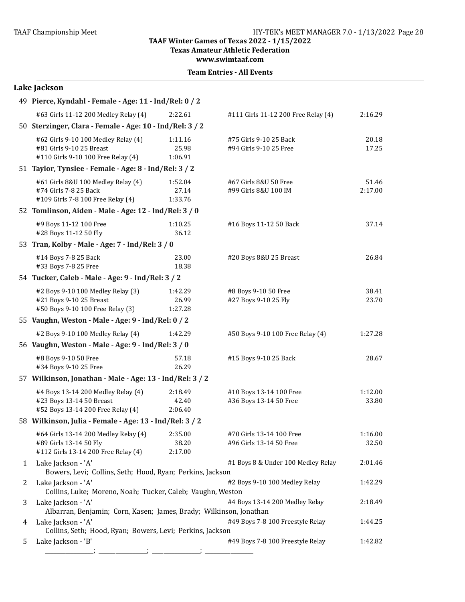**Texas Amateur Athletic Federation** 

**www.swimtaaf.com**

|                | Lake Jackson                                                                                          |                                                          |                                                     |                  |  |  |  |
|----------------|-------------------------------------------------------------------------------------------------------|----------------------------------------------------------|-----------------------------------------------------|------------------|--|--|--|
|                | 49 Pierce, Kyndahl - Female - Age: 11 - Ind/Rel: 0 / 2                                                |                                                          |                                                     |                  |  |  |  |
|                | #63 Girls 11-12 200 Medley Relay (4)                                                                  | 2:22.61                                                  | #111 Girls 11-12 200 Free Relay (4)                 | 2:16.29          |  |  |  |
|                |                                                                                                       | 50 Sterzinger, Clara - Female - Age: 10 - Ind/Rel: 3 / 2 |                                                     |                  |  |  |  |
|                | #62 Girls 9-10 100 Medley Relay (4)<br>#81 Girls 9-10 25 Breast<br>#110 Girls 9-10 100 Free Relay (4) | 1:11.16<br>25.98<br>1:06.91                              | #75 Girls 9-10 25 Back<br>#94 Girls 9-10 25 Free    | 20.18<br>17.25   |  |  |  |
|                | 51 Taylor, Tynslee - Female - Age: 8 - Ind/Rel: 3 / 2                                                 |                                                          |                                                     |                  |  |  |  |
|                | #61 Girls 8&U 100 Medley Relay (4)<br>#74 Girls 7-8 25 Back<br>#109 Girls 7-8 100 Free Relay (4)      | 1:52.04<br>27.14<br>1:33.76                              | #67 Girls 8&U 50 Free<br>#99 Girls 8&U 100 IM       | 51.46<br>2:17.00 |  |  |  |
|                | 52 Tomlinson, Aiden - Male - Age: 12 - Ind/Rel: 3 / 0                                                 |                                                          |                                                     |                  |  |  |  |
|                | #9 Boys 11-12 100 Free<br>#28 Boys 11-12 50 Fly                                                       | 1:10.25<br>36.12                                         | #16 Boys 11-12 50 Back                              | 37.14            |  |  |  |
|                | 53 Tran, Kolby - Male - Age: 7 - Ind/Rel: 3 / 0                                                       |                                                          |                                                     |                  |  |  |  |
|                | #14 Boys 7-8 25 Back<br>#33 Boys 7-8 25 Free                                                          | 23.00<br>18.38                                           | #20 Boys 8&U 25 Breast                              | 26.84            |  |  |  |
|                | 54 Tucker, Caleb - Male - Age: 9 - Ind/Rel: 3 / 2                                                     |                                                          |                                                     |                  |  |  |  |
|                | #2 Boys 9-10 100 Medley Relay (3)<br>#21 Boys 9-10 25 Breast<br>#50 Boys 9-10 100 Free Relay (3)      | 1:42.29<br>26.99<br>1:27.28                              | #8 Boys 9-10 50 Free<br>#27 Boys 9-10 25 Fly        | 38.41<br>23.70   |  |  |  |
|                | 55 Vaughn, Weston - Male - Age: 9 - Ind/Rel: 0 / 2                                                    |                                                          |                                                     |                  |  |  |  |
|                | #2 Boys 9-10 100 Medley Relay (4)                                                                     | 1:42.29                                                  | #50 Boys 9-10 100 Free Relay (4)                    | 1:27.28          |  |  |  |
|                | 56 Vaughn, Weston - Male - Age: 9 - Ind/Rel: 3 / 0                                                    |                                                          |                                                     |                  |  |  |  |
|                | #8 Boys 9-10 50 Free<br>#34 Boys 9-10 25 Free                                                         | 57.18<br>26.29                                           | #15 Boys 9-10 25 Back                               | 28.67            |  |  |  |
|                | 57 Wilkinson, Jonathan - Male - Age: 13 - Ind/Rel: 3 / 2                                              |                                                          |                                                     |                  |  |  |  |
|                | #4 Boys 13-14 200 Medley Relay (4)<br>#23 Boys 13-14 50 Breast<br>#52 Boys 13-14 200 Free Relay (4)   | 2:18.49<br>42.40<br>2:06.40                              | #10 Boys 13-14 100 Free<br>#36 Boys 13-14 50 Free   | 1:12.00<br>33.80 |  |  |  |
|                | 58 Wilkinson, Julia - Female - Age: 13 - Ind/Rel: 3 / 2                                               |                                                          |                                                     |                  |  |  |  |
|                | #64 Girls 13-14 200 Medley Relay (4)<br>#89 Girls 13-14 50 Fly<br>#112 Girls 13-14 200 Free Relay (4) | 2:35.00<br>38.20<br>2:17.00                              | #70 Girls 13-14 100 Free<br>#96 Girls 13-14 50 Free | 1:16.00<br>32.50 |  |  |  |
| $\mathbf{1}$   | Lake Jackson - 'A'<br>Bowers, Levi; Collins, Seth; Hood, Ryan; Perkins, Jackson                       |                                                          | #1 Boys 8 & Under 100 Medley Relay                  | 2:01.46          |  |  |  |
| $\overline{2}$ | Lake Jackson - 'A'<br>Collins, Luke; Moreno, Noah; Tucker, Caleb; Vaughn, Weston                      |                                                          | #2 Boys 9-10 100 Medley Relay                       | 1:42.29          |  |  |  |
| 3              | Lake Jackson - 'A'<br>Albarran, Benjamin; Corn, Kasen; James, Brady; Wilkinson, Jonathan              |                                                          | #4 Boys 13-14 200 Medley Relay                      | 2:18.49          |  |  |  |
| 4              | Lake Jackson - 'A'<br>Collins, Seth; Hood, Ryan; Bowers, Levi; Perkins, Jackson                       |                                                          | #49 Boys 7-8 100 Freestyle Relay                    | 1:44.25          |  |  |  |
| 5              | Lake Jackson - 'B'                                                                                    |                                                          | #49 Boys 7-8 100 Freestyle Relay                    | 1:42.82          |  |  |  |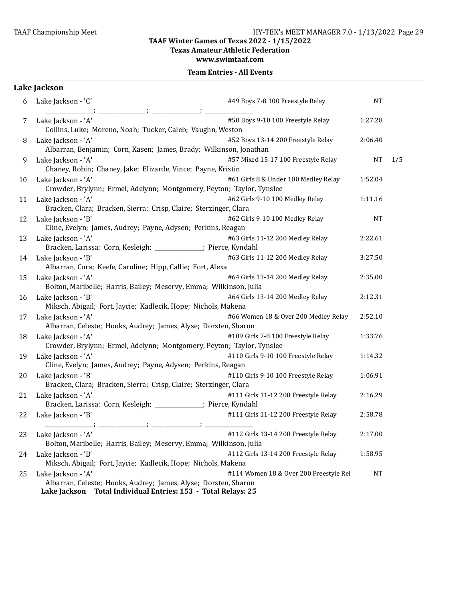**Texas Amateur Athletic Federation** 

**www.swimtaaf.com**

#### **Team Entries - All Events**

# **Lake Jackson**

| 6  | Lake Jackson - 'C'                                                                                                                                        | #49 Boys 7-8 100 Freestyle Relay       | <b>NT</b> |     |
|----|-----------------------------------------------------------------------------------------------------------------------------------------------------------|----------------------------------------|-----------|-----|
| 7  | Lake Jackson - 'A'<br>Collins, Luke; Moreno, Noah; Tucker, Caleb; Vaughn, Weston                                                                          | #50 Boys 9-10 100 Freestyle Relay      | 1:27.28   |     |
| 8  | Lake Jackson - 'A'<br>Albarran, Benjamin; Corn, Kasen; James, Brady; Wilkinson, Jonathan                                                                  | #52 Boys 13-14 200 Freestyle Relay     | 2:06.40   |     |
| 9  | Lake Jackson - 'A'<br>Chaney, Robin; Chaney, Jake; Elizarde, Vince; Payne, Kristin                                                                        | #57 Mixed 15-17 100 Freestyle Relay    | <b>NT</b> | 1/5 |
| 10 | Lake Jackson - 'A'<br>Crowder, Brylynn; Ermel, Adelynn; Montgomery, Peyton; Taylor, Tynslee                                                               | #61 Girls 8 & Under 100 Medley Relay   | 1:52.04   |     |
| 11 | Lake Jackson - 'A'<br>Bracken, Clara; Bracken, Sierra; Crisp, Claire; Sterzinger, Clara                                                                   | #62 Girls 9-10 100 Medley Relay        | 1:11.16   |     |
| 12 | Lake Jackson - 'B'<br>Cline, Evelyn; James, Audrey; Payne, Adysen; Perkins, Reagan                                                                        | #62 Girls 9-10 100 Medley Relay        | <b>NT</b> |     |
| 13 | Lake Jackson - 'A'<br>Bracken, Larissa; Corn, Kesleigh; _____________; Pierce, Kyndahl                                                                    | #63 Girls 11-12 200 Medley Relay       | 2:22.61   |     |
| 14 | Lake Jackson - 'B'<br>Albarran, Cora; Keefe, Caroline; Hipp, Callie; Fort, Alexa                                                                          | #63 Girls 11-12 200 Medley Relay       | 3:27.50   |     |
| 15 | Lake Jackson - 'A'<br>Bolton, Maribelle; Harris, Bailey; Meservy, Emma; Wilkinson, Julia                                                                  | #64 Girls 13-14 200 Medley Relay       | 2:35.00   |     |
| 16 | Lake Jackson - 'B'<br>Miksch, Abigail; Fort, Jaycie; Kadlecik, Hope; Nichols, Makena                                                                      | #64 Girls 13-14 200 Medley Relay       | 2:12.31   |     |
| 17 | Lake Jackson - 'A'<br>Albarran, Celeste; Hooks, Audrey; James, Alyse; Dorsten, Sharon                                                                     | #66 Women 18 & Over 200 Medley Relay   | 2:52.10   |     |
| 18 | Lake Jackson - 'A'<br>Crowder, Brylynn; Ermel, Adelynn; Montgomery, Peyton; Taylor, Tynslee                                                               | #109 Girls 7-8 100 Freestyle Relay     | 1:33.76   |     |
| 19 | Lake Jackson - 'A'<br>Cline, Evelyn; James, Audrey; Payne, Adysen; Perkins, Reagan                                                                        | #110 Girls 9-10 100 Freestyle Relay    | 1:14.32   |     |
| 20 | Lake Jackson - 'B'<br>Bracken, Clara; Bracken, Sierra; Crisp, Claire; Sterzinger, Clara                                                                   | #110 Girls 9-10 100 Freestyle Relay    | 1:06.91   |     |
| 21 | Lake Jackson - 'A'<br>Bracken, Larissa; Corn, Kesleigh; _____________; Pierce, Kyndahl                                                                    | #111 Girls 11-12 200 Freestyle Relay   | 2:16.29   |     |
| 22 | Lake Jackson - 'B'                                                                                                                                        | #111 Girls 11-12 200 Freestyle Relay   | 2:58.78   |     |
|    | 23 Lake Jackson - 'A'<br>Bolton, Maribelle; Harris, Bailey; Meservy, Emma; Wilkinson, Julia                                                               | #112 Girls 13-14 200 Freestyle Relay   | 2:17.00   |     |
| 24 | Lake Jackson - 'B'<br>Miksch, Abigail; Fort, Jaycie; Kadlecik, Hope; Nichols, Makena                                                                      | #112 Girls 13-14 200 Freestyle Relay   | 1:58.95   |     |
| 25 | Lake Jackson - 'A'<br>Albarran, Celeste; Hooks, Audrey; James, Alyse; Dorsten, Sharon<br>Total Individual Entries: 153 - Total Relays: 25<br>Lake Jackson | #114 Women 18 & Over 200 Freestyle Rel | <b>NT</b> |     |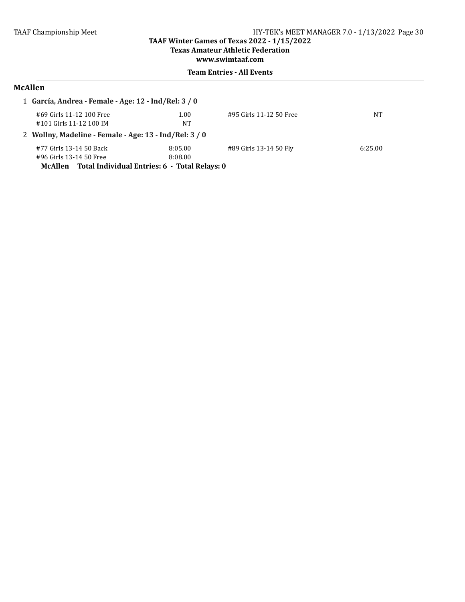# **Texas Amateur Athletic Federation**

**www.swimtaaf.com**

## **Team Entries - All Events**

# **McAllen**

|                                                        | 1 García, Andrea - Female - Age: 12 - Ind/Rel: 3 / 0     |         |                         |         |  |
|--------------------------------------------------------|----------------------------------------------------------|---------|-------------------------|---------|--|
|                                                        | #69 Girls 11-12 100 Free                                 | 1.00    | #95 Girls 11-12 50 Free | NΤ      |  |
|                                                        | #101 Girls 11-12 100 IM                                  | NT      |                         |         |  |
| 2 Wollny, Madeline - Female - Age: 13 - Ind/Rel: 3 / 0 |                                                          |         |                         |         |  |
|                                                        | #77 Girls 13-14 50 Back                                  | 8:05.00 | #89 Girls 13-14 50 Fly  | 6:25.00 |  |
|                                                        | #96 Girls 13-14 50 Free                                  | 8:08.00 |                         |         |  |
|                                                        | Total Individual Entries: 6 - Total Relays: 0<br>McAllen |         |                         |         |  |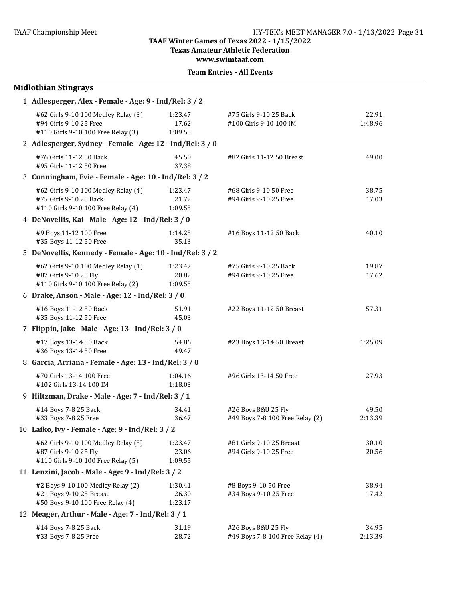**Texas Amateur Athletic Federation**

**www.swimtaaf.com**

| <b>Team Entries - All Events</b> |  |
|----------------------------------|--|
|----------------------------------|--|

| <b>Midlothian Stingrays</b>                                                                         |                             |                                                        |                  |  |  |
|-----------------------------------------------------------------------------------------------------|-----------------------------|--------------------------------------------------------|------------------|--|--|
| 1 Adlesperger, Alex - Female - Age: 9 - Ind/Rel: 3 / 2                                              |                             |                                                        |                  |  |  |
| #62 Girls 9-10 100 Medley Relay (3)<br>#94 Girls 9-10 25 Free<br>#110 Girls 9-10 100 Free Relay (3) | 1:23.47<br>17.62<br>1:09.55 | #75 Girls 9-10 25 Back<br>#100 Girls 9-10 100 IM       | 22.91<br>1:48.96 |  |  |
| 2 Adlesperger, Sydney - Female - Age: 12 - Ind/Rel: 3 / 0                                           |                             |                                                        |                  |  |  |
| #76 Girls 11-12 50 Back<br>#95 Girls 11-12 50 Free                                                  | 45.50<br>37.38              | #82 Girls 11-12 50 Breast                              | 49.00            |  |  |
| 3 Cunningham, Evie - Female - Age: 10 - Ind/Rel: 3/2                                                |                             |                                                        |                  |  |  |
| #62 Girls 9-10 100 Medley Relay (4)<br>#75 Girls 9-10 25 Back<br>#110 Girls 9-10 100 Free Relay (4) | 1:23.47<br>21.72<br>1:09.55 | #68 Girls 9-10 50 Free<br>#94 Girls 9-10 25 Free       | 38.75<br>17.03   |  |  |
| 4 DeNovellis, Kai - Male - Age: 12 - Ind/Rel: 3 / 0                                                 |                             |                                                        |                  |  |  |
| #9 Boys 11-12 100 Free<br>#35 Boys 11-12 50 Free                                                    | 1:14.25<br>35.13            | #16 Boys 11-12 50 Back                                 | 40.10            |  |  |
| 5 DeNovellis, Kennedy - Female - Age: 10 - Ind/Rel: 3 / 2                                           |                             |                                                        |                  |  |  |
| #62 Girls 9-10 100 Medley Relay (1)<br>#87 Girls 9-10 25 Fly<br>#110 Girls 9-10 100 Free Relay (2)  | 1:23.47<br>20.82<br>1:09.55 | #75 Girls 9-10 25 Back<br>#94 Girls 9-10 25 Free       | 19.87<br>17.62   |  |  |
| 6 Drake, Anson - Male - Age: 12 - Ind/Rel: 3 / 0                                                    |                             |                                                        |                  |  |  |
| #16 Boys 11-12 50 Back<br>#35 Boys 11-12 50 Free                                                    | 51.91<br>45.03              | #22 Boys 11-12 50 Breast                               | 57.31            |  |  |
| 7 Flippin, Jake - Male - Age: 13 - Ind/Rel: 3 / 0                                                   |                             |                                                        |                  |  |  |
| #17 Boys 13-14 50 Back<br>#36 Boys 13-14 50 Free                                                    | 54.86<br>49.47              | #23 Boys 13-14 50 Breast                               | 1:25.09          |  |  |
| 8 Garcia, Arriana - Female - Age: 13 - Ind/Rel: 3 / 0                                               |                             |                                                        |                  |  |  |
| #70 Girls 13-14 100 Free<br>#102 Girls 13-14 100 IM                                                 | 1:04.16<br>1:18.03          | #96 Girls 13-14 50 Free                                | 27.93            |  |  |
| 9 Hiltzman, Drake - Male - Age: 7 - Ind/Rel: 3 / 1                                                  |                             |                                                        |                  |  |  |
| #14 Boys 7-8 25 Back<br>#33 Boys 7-8 25 Free                                                        | 34.41<br>36.47              | #26 Boys 8&U 25 Fly<br>#49 Boys 7-8 100 Free Relay (2) | 49.50<br>2:13.39 |  |  |
| 10 Lafko, Ivy - Female - Age: 9 - Ind/Rel: 3 / 2                                                    |                             |                                                        |                  |  |  |
| #62 Girls 9-10 100 Medley Relay (5)<br>#87 Girls 9-10 25 Fly<br>#110 Girls 9-10 100 Free Relay (5)  | 1:23.47<br>23.06<br>1:09.55 | #81 Girls 9-10 25 Breast<br>#94 Girls 9-10 25 Free     | 30.10<br>20.56   |  |  |
| 11 Lenzini, Jacob - Male - Age: 9 - Ind/Rel: 3 / 2                                                  |                             |                                                        |                  |  |  |
| #2 Boys 9-10 100 Medley Relay (2)<br>#21 Boys 9-10 25 Breast<br>#50 Boys 9-10 100 Free Relay (4)    | 1:30.41<br>26.30<br>1:23.17 | #8 Boys 9-10 50 Free<br>#34 Boys 9-10 25 Free          | 38.94<br>17.42   |  |  |
| 12 Meager, Arthur - Male - Age: 7 - Ind/Rel: 3 / 1                                                  |                             |                                                        |                  |  |  |
| #14 Boys 7-8 25 Back<br>#33 Boys 7-8 25 Free                                                        | 31.19<br>28.72              | #26 Boys 8&U 25 Fly<br>#49 Boys 7-8 100 Free Relay (4) | 34.95<br>2:13.39 |  |  |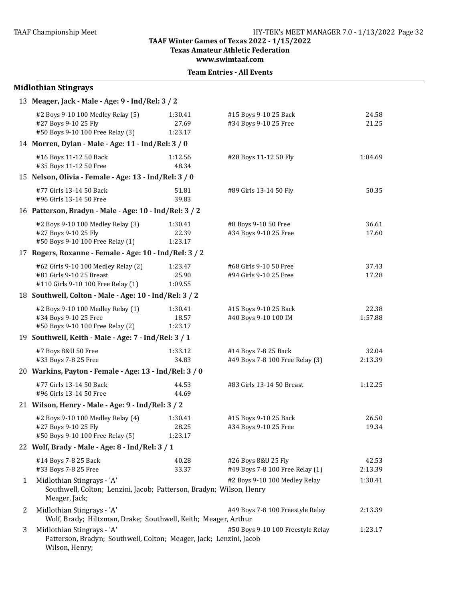**Texas Amateur Athletic Federation**

**www.swimtaaf.com**

|   | <b>Midlothian Stingrays</b>                                                                                        |                             |                                                         |                  |  |  |
|---|--------------------------------------------------------------------------------------------------------------------|-----------------------------|---------------------------------------------------------|------------------|--|--|
|   | 13 Meager, Jack - Male - Age: 9 - Ind/Rel: 3 / 2                                                                   |                             |                                                         |                  |  |  |
|   | #2 Boys 9-10 100 Medley Relay (5)<br>#27 Boys 9-10 25 Fly<br>#50 Boys 9-10 100 Free Relay (3)                      | 1:30.41<br>27.69<br>1:23.17 | #15 Boys 9-10 25 Back<br>#34 Boys 9-10 25 Free          | 24.58<br>21.25   |  |  |
|   | 14 Morren, Dylan - Male - Age: 11 - Ind/Rel: 3 / 0                                                                 |                             |                                                         |                  |  |  |
|   | #16 Boys 11-12 50 Back<br>#35 Boys 11-12 50 Free                                                                   | 1:12.56<br>48.34            | #28 Boys 11-12 50 Fly                                   | 1:04.69          |  |  |
|   | 15 Nelson, Olivia - Female - Age: 13 - Ind/Rel: 3 / 0                                                              |                             |                                                         |                  |  |  |
|   | #77 Girls 13-14 50 Back<br>#96 Girls 13-14 50 Free                                                                 | 51.81<br>39.83              | #89 Girls 13-14 50 Fly                                  | 50.35            |  |  |
|   | 16 Patterson, Bradyn - Male - Age: 10 - Ind/Rel: 3 / 2                                                             |                             |                                                         |                  |  |  |
|   | #2 Boys 9-10 100 Medley Relay (3)<br>#27 Boys 9-10 25 Fly<br>#50 Boys 9-10 100 Free Relay (1)                      | 1:30.41<br>22.39<br>1:23.17 | #8 Boys 9-10 50 Free<br>#34 Boys 9-10 25 Free           | 36.61<br>17.60   |  |  |
|   | 17 Rogers, Roxanne - Female - Age: 10 - Ind/Rel: 3 / 2                                                             |                             |                                                         |                  |  |  |
|   | #62 Girls 9-10 100 Medley Relay (2)<br>#81 Girls 9-10 25 Breast<br>#110 Girls 9-10 100 Free Relay (1)              | 1:23.47<br>25.90<br>1:09.55 | #68 Girls 9-10 50 Free<br>#94 Girls 9-10 25 Free        | 37.43<br>17.28   |  |  |
|   | 18 Southwell, Colton - Male - Age: 10 - Ind/Rel: 3 / 2                                                             |                             |                                                         |                  |  |  |
|   | #2 Boys 9-10 100 Medley Relay (1)<br>#34 Boys 9-10 25 Free<br>#50 Boys 9-10 100 Free Relay (2)                     | 1:30.41<br>18.57<br>1:23.17 | #15 Boys 9-10 25 Back<br>#40 Boys 9-10 100 IM           | 22.38<br>1:57.88 |  |  |
|   | 19 Southwell, Keith - Male - Age: 7 - Ind/Rel: 3 / 1                                                               |                             |                                                         |                  |  |  |
|   | #7 Boys 8&U 50 Free<br>#33 Boys 7-8 25 Free                                                                        | 1:33.12<br>34.83            | #14 Boys 7-8 25 Back<br>#49 Boys 7-8 100 Free Relay (3) | 32.04<br>2:13.39 |  |  |
|   | 20 Warkins, Payton - Female - Age: 13 - Ind/Rel: 3 / 0                                                             |                             |                                                         |                  |  |  |
|   | #77 Girls 13-14 50 Back<br>#96 Girls 13-14 50 Free                                                                 | 44.53<br>44.69              | #83 Girls 13-14 50 Breast                               | 1:12.25          |  |  |
|   | 21 Wilson, Henry - Male - Age: 9 - Ind/Rel: 3 / 2                                                                  |                             |                                                         |                  |  |  |
|   | #2 Boys 9-10 100 Medley Relay (4)<br>#27 Boys 9-10 25 Fly<br>#50 Boys 9-10 100 Free Relay (5)                      | 1:30.41<br>28.25<br>1:23.17 | #15 Boys 9-10 25 Back<br>#34 Boys 9-10 25 Free          | 26.50<br>19.34   |  |  |
|   | 22 Wolf, Brady - Male - Age: 8 - Ind/Rel: 3 / 1                                                                    |                             |                                                         |                  |  |  |
|   | #14 Boys 7-8 25 Back<br>#33 Boys 7-8 25 Free                                                                       | 40.28<br>33.37              | #26 Boys 8&U 25 Fly<br>#49 Boys 7-8 100 Free Relay (1)  | 42.53<br>2:13.39 |  |  |
| 1 | Midlothian Stingrays - 'A'<br>Southwell, Colton; Lenzini, Jacob; Patterson, Bradyn; Wilson, Henry<br>Meager, Jack; |                             | #2 Boys 9-10 100 Medley Relay                           | 1:30.41          |  |  |
| 2 | Midlothian Stingrays - 'A'<br>Wolf, Brady; Hiltzman, Drake; Southwell, Keith; Meager, Arthur                       |                             | #49 Boys 7-8 100 Freestyle Relay                        | 2:13.39          |  |  |
| 3 | Midlothian Stingrays - 'A'<br>Patterson, Bradyn; Southwell, Colton; Meager, Jack; Lenzini, Jacob<br>Wilson, Henry; |                             | #50 Boys 9-10 100 Freestyle Relay                       | 1:23.17          |  |  |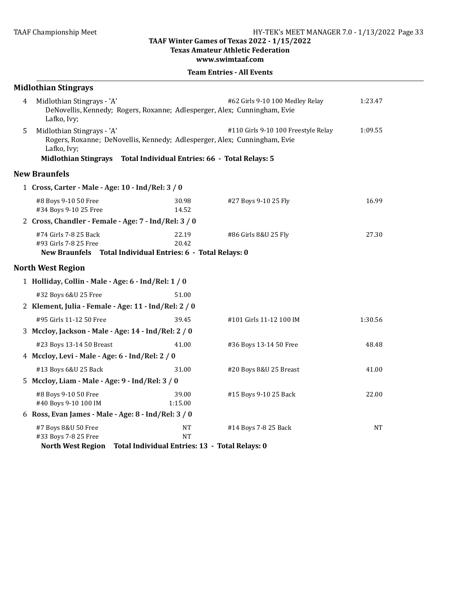**Texas Amateur Athletic Federation** 

#### **www.swimtaaf.com**

|   | <b>Midlothian Stingrays</b>                                                                                            |                                                                          |                                     |         |
|---|------------------------------------------------------------------------------------------------------------------------|--------------------------------------------------------------------------|-------------------------------------|---------|
| 4 | Midlothian Stingrays - 'A'<br>DeNovellis, Kennedy; Rogers, Roxanne; Adlesperger, Alex; Cunningham, Evie<br>Lafko, Ivy; |                                                                          | #62 Girls 9-10 100 Medley Relay     | 1:23.47 |
| 5 | Midlothian Stingrays - 'A'<br>Rogers, Roxanne; DeNovellis, Kennedy; Adlesperger, Alex; Cunningham, Evie<br>Lafko, Ivy; |                                                                          | #110 Girls 9-10 100 Freestyle Relay | 1:09.55 |
|   | Midlothian Stingrays Total Individual Entries: 66 - Total Relays: 5                                                    |                                                                          |                                     |         |
|   | <b>New Braunfels</b>                                                                                                   |                                                                          |                                     |         |
|   | 1 Cross, Carter - Male - Age: 10 - Ind/Rel: 3 / 0                                                                      |                                                                          |                                     |         |
|   | #8 Boys 9-10 50 Free<br>#34 Boys 9-10 25 Free                                                                          | 30.98<br>14.52                                                           | #27 Boys 9-10 25 Fly                | 16.99   |
|   | 2 Cross, Chandler - Female - Age: 7 - Ind/Rel: 3 / 0                                                                   |                                                                          |                                     |         |
|   | #74 Girls 7-8 25 Back<br>#93 Girls 7-8 25 Free<br>New Braunfels Total Individual Entries: 6 - Total Relays: 0          | 22.19<br>20.42                                                           | #86 Girls 8&U 25 Fly                | 27.30   |
|   | <b>North West Region</b>                                                                                               |                                                                          |                                     |         |
|   | 1 Holliday, Collin - Male - Age: 6 - Ind/Rel: 1 / 0                                                                    |                                                                          |                                     |         |
|   | #32 Boys 6&U 25 Free                                                                                                   | 51.00                                                                    |                                     |         |
|   | 2 Klement, Julia - Female - Age: 11 - Ind/Rel: 2 / 0                                                                   |                                                                          |                                     |         |
|   | #95 Girls 11-12 50 Free                                                                                                | 39.45                                                                    | #101 Girls 11-12 100 IM             | 1:30.56 |
|   | 3 Mccloy, Jackson - Male - Age: 14 - Ind/Rel: 2 / 0                                                                    |                                                                          |                                     |         |
|   | #23 Boys 13-14 50 Breast                                                                                               | 41.00                                                                    | #36 Boys 13-14 50 Free              | 48.48   |
|   | 4 Mccloy, Levi - Male - Age: 6 - Ind/Rel: 2 / 0                                                                        |                                                                          |                                     |         |
|   | #13 Boys 6&U 25 Back                                                                                                   | 31.00                                                                    | #20 Boys 8&U 25 Breast              | 41.00   |
|   | 5 Mccloy, Liam - Male - Age: 9 - Ind/Rel: 3 / 0                                                                        |                                                                          |                                     |         |
|   | #8 Boys 9-10 50 Free<br>#40 Boys 9-10 100 IM                                                                           | 39.00<br>1:15.00                                                         | #15 Boys 9-10 25 Back               | 22.00   |
|   | 6 Ross, Evan James - Male - Age: 8 - Ind/Rel: 3 / 0                                                                    |                                                                          |                                     |         |
|   | #7 Boys 8&U 50 Free<br>#33 Boys 7-8 25 Free<br><b>North West Region</b>                                                | <b>NT</b><br><b>NT</b><br>Total Individual Entries: 13 - Total Relays: 0 | #14 Boys 7-8 25 Back                | NT      |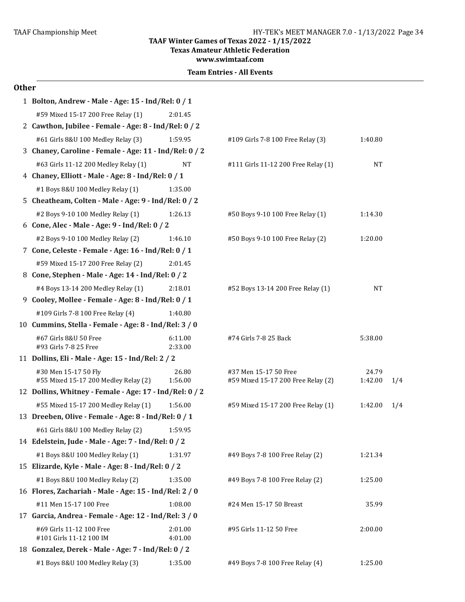**Texas Amateur Athletic Federation** 

**www.swimtaaf.com**

**Team Entries - All Events** 

#### **Other**

| 1 Bolton, Andrew - Male - Age: 15 - Ind/Rel: 0 / 1           |                    |                                                             |                  |     |
|--------------------------------------------------------------|--------------------|-------------------------------------------------------------|------------------|-----|
| #59 Mixed 15-17 200 Free Relay (1)                           | 2:01.45            |                                                             |                  |     |
| 2 Cawthon, Jubilee - Female - Age: 8 - Ind/Rel: 0 / 2        |                    |                                                             |                  |     |
| #61 Girls 8&U 100 Medley Relay (3)                           | 1:59.95            | #109 Girls 7-8 100 Free Relay (3)                           | 1:40.80          |     |
| 3 Chaney, Caroline - Female - Age: 11 - Ind/Rel: 0 / 2       |                    |                                                             |                  |     |
| #63 Girls 11-12 200 Medley Relay (1)                         | NT                 | #111 Girls 11-12 200 Free Relay (1)                         | <b>NT</b>        |     |
| 4 Chaney, Elliott - Male - Age: 8 - Ind/Rel: 0 / 1           |                    |                                                             |                  |     |
| #1 Boys 8&U 100 Medley Relay (1)                             | 1:35.00            |                                                             |                  |     |
| 5 Cheatheam, Colten - Male - Age: 9 - Ind/Rel: 0 / 2         |                    |                                                             |                  |     |
| #2 Boys 9-10 100 Medley Relay (1)                            | 1:26.13            | #50 Boys 9-10 100 Free Relay (1)                            | 1:14.30          |     |
| 6 Cone, Alec - Male - Age: 9 - Ind/Rel: 0 / 2                |                    |                                                             |                  |     |
| #2 Boys 9-10 100 Medley Relay (2)                            | 1:46.10            | #50 Boys 9-10 100 Free Relay (2)                            | 1:20.00          |     |
| 7 Cone, Celeste - Female - Age: 16 - Ind/Rel: 0 / 1          |                    |                                                             |                  |     |
| #59 Mixed 15-17 200 Free Relay (2)                           | 2:01.45            |                                                             |                  |     |
| 8 Cone, Stephen - Male - Age: 14 - Ind/Rel: 0 / 2            |                    |                                                             |                  |     |
| #4 Boys 13-14 200 Medley Relay (1)                           | 2:18.01            | #52 Boys 13-14 200 Free Relay (1)                           | <b>NT</b>        |     |
| 9 Cooley, Mollee - Female - Age: 8 - Ind/Rel: 0 / 1          |                    |                                                             |                  |     |
| #109 Girls 7-8 100 Free Relay (4)                            | 1:40.80            |                                                             |                  |     |
| 10 Cummins, Stella - Female - Age: 8 - Ind/Rel: 3 / 0        |                    |                                                             |                  |     |
| #67 Girls 8&U 50 Free<br>#93 Girls 7-8 25 Free               | 6:11.00<br>2:33.00 | #74 Girls 7-8 25 Back                                       | 5:38.00          |     |
| 11 Dollins, Eli - Male - Age: 15 - Ind/Rel: 2 / 2            |                    |                                                             |                  |     |
| #30 Men 15-17 50 Fly<br>#55 Mixed 15-17 200 Medley Relay (2) | 26.80<br>1:56.00   | #37 Men 15-17 50 Free<br>#59 Mixed 15-17 200 Free Relay (2) | 24.79<br>1:42.00 | 1/4 |
| 12 Dollins, Whitney - Female - Age: 17 - Ind/Rel: 0 / 2      |                    |                                                             |                  |     |
| #55 Mixed 15-17 200 Medley Relay (1)                         | 1:56.00            | #59 Mixed 15-17 200 Free Relay (1)                          | 1:42.00          | 1/4 |
| 13 Dreeben, Olive - Female - Age: 8 - Ind/Rel: 0 / 1         |                    |                                                             |                  |     |
| #61 Girls 8&U 100 Medley Relay (2)                           | 1:59.95            |                                                             |                  |     |
| 14 Edelstein, Jude - Male - Age: 7 - Ind/Rel: 0 / 2          |                    |                                                             |                  |     |
| #1 Boys 8&U 100 Medley Relay (1)                             | 1:31.97            | #49 Boys 7-8 100 Free Relay (2)                             | 1:21.34          |     |
| 15 Elizarde, Kyle - Male - Age: 8 - Ind/Rel: 0 / 2           |                    |                                                             |                  |     |
| #1 Boys 8&U 100 Medley Relay (2)                             | 1:35.00            | #49 Boys 7-8 100 Free Relay (2)                             | 1:25.00          |     |
| 16 Flores, Zachariah - Male - Age: 15 - Ind/Rel: 2 / 0       |                    |                                                             |                  |     |
| #11 Men 15-17 100 Free                                       | 1:08.00            | #24 Men 15-17 50 Breast                                     | 35.99            |     |
| 17 Garcia, Andrea - Female - Age: 12 - Ind/Rel: 3 / 0        |                    |                                                             |                  |     |
| #69 Girls 11-12 100 Free<br>#101 Girls 11-12 100 IM          | 2:01.00<br>4:01.00 | #95 Girls 11-12 50 Free                                     | 2:00.00          |     |
| 18 Gonzalez, Derek - Male - Age: 7 - Ind/Rel: 0 / 2          |                    |                                                             |                  |     |
| #1 Boys 8&U 100 Medley Relay (3)                             | 1:35.00            | #49 Boys 7-8 100 Free Relay (4)                             | 1:25.00          |     |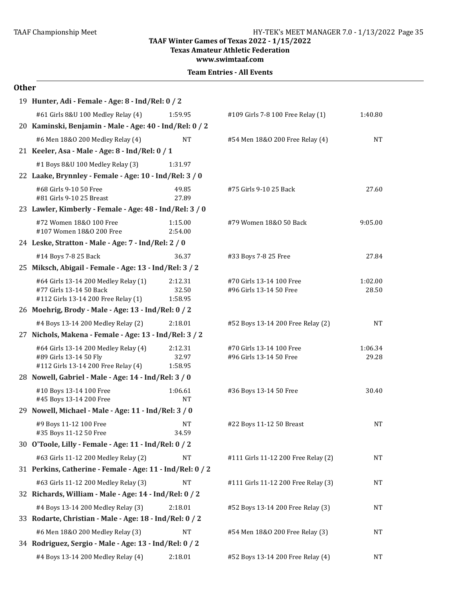#### TAAF Championship Meet TAAF Championship Meet Factor Championship Meet Taas Championship Meet Taas Championship Meet

**TAAF Winter Games of Texas 2022 - 1/15/2022**

**Texas Amateur Athletic Federation** 

**www.swimtaaf.com**

#### **Team Entries - All Events**

#### **Other**

| 19 Hunter, Adi - Female - Age: 8 - Ind/Rel: 0 / 2                                                      |                             |                                                     |                  |  |
|--------------------------------------------------------------------------------------------------------|-----------------------------|-----------------------------------------------------|------------------|--|
| #61 Girls 8&U 100 Medley Relay (4)                                                                     | 1:59.95                     | #109 Girls 7-8 100 Free Relay (1)                   | 1:40.80          |  |
| 20 Kaminski, Benjamin - Male - Age: 40 - Ind/Rel: 0 / 2                                                |                             |                                                     |                  |  |
| #6 Men 18&0 200 Medley Relay (4)                                                                       | NT                          | #54 Men 18&0 200 Free Relay (4)                     | NT               |  |
| 21 Keeler, Asa - Male - Age: 8 - Ind/Rel: 0 / 1                                                        |                             |                                                     |                  |  |
| #1 Boys 8&U 100 Medley Relay (3)                                                                       | 1:31.97                     |                                                     |                  |  |
| 22 Laake, Brynnley - Female - Age: 10 - Ind/Rel: 3 / 0                                                 |                             |                                                     |                  |  |
| #68 Girls 9-10 50 Free<br>#81 Girls 9-10 25 Breast                                                     | 49.85<br>27.89              | #75 Girls 9-10 25 Back                              | 27.60            |  |
| 23 Lawler, Kimberly - Female - Age: 48 - Ind/Rel: 3 / 0                                                |                             |                                                     |                  |  |
| #72 Women 18&0 100 Free<br>#107 Women 18&0 200 Free                                                    | 1:15.00<br>2:54.00          | #79 Women 18&0 50 Back                              | 9:05.00          |  |
| 24 Leske, Stratton - Male - Age: 7 - Ind/Rel: 2 / 0                                                    |                             |                                                     |                  |  |
| #14 Boys 7-8 25 Back                                                                                   | 36.37                       | #33 Boys 7-8 25 Free                                | 27.84            |  |
| 25 Miksch, Abigail - Female - Age: 13 - Ind/Rel: 3 / 2                                                 |                             |                                                     |                  |  |
| #64 Girls 13-14 200 Medley Relay (1)<br>#77 Girls 13-14 50 Back<br>#112 Girls 13-14 200 Free Relay (1) | 2:12.31<br>32.50<br>1:58.95 | #70 Girls 13-14 100 Free<br>#96 Girls 13-14 50 Free | 1:02.00<br>28.50 |  |
| 26 Moehrig, Brody - Male - Age: 13 - Ind/Rel: 0 / 2                                                    |                             |                                                     |                  |  |
| #4 Boys 13-14 200 Medley Relay (2)                                                                     | 2:18.01                     | #52 Boys 13-14 200 Free Relay (2)                   | NT               |  |
| 27 Nichols, Makena - Female - Age: 13 - Ind/Rel: 3 / 2                                                 |                             |                                                     |                  |  |
| #64 Girls 13-14 200 Medley Relay (4)<br>#89 Girls 13-14 50 Fly<br>#112 Girls 13-14 200 Free Relay (4)  | 2:12.31<br>32.97<br>1:58.95 | #70 Girls 13-14 100 Free<br>#96 Girls 13-14 50 Free | 1:06.34<br>29.28 |  |
| 28 Nowell, Gabriel - Male - Age: 14 - Ind/Rel: 3 / 0                                                   |                             |                                                     |                  |  |
| #10 Boys 13-14 100 Free<br>#45 Boys 13-14 200 Free                                                     | 1:06.61<br><b>NT</b>        | #36 Boys 13-14 50 Free                              | 30.40            |  |
| 29 Nowell, Michael - Male - Age: 11 - Ind/Rel: 3 / 0                                                   |                             |                                                     |                  |  |
| #9 Boys 11-12 100 Free<br>#35 Boys 11-12 50 Free                                                       | NΤ<br>34.59                 | #22 Boys 11-12 50 Breast                            | NT               |  |
| 30 O'Toole, Lilly - Female - Age: 11 - Ind/Rel: 0 / 2                                                  |                             |                                                     |                  |  |
| #63 Girls 11-12 200 Medley Relay (2)                                                                   | <b>NT</b>                   | #111 Girls 11-12 200 Free Relay (2)                 | NT               |  |
| 31 Perkins, Catherine - Female - Age: 11 - Ind/Rel: 0 / 2                                              |                             |                                                     |                  |  |
| #63 Girls 11-12 200 Medley Relay (3)                                                                   | <b>NT</b>                   | #111 Girls 11-12 200 Free Relay (3)                 | NT               |  |
| 32 Richards, William - Male - Age: 14 - Ind/Rel: 0 / 2                                                 |                             |                                                     |                  |  |
| #4 Boys 13-14 200 Medley Relay (3)                                                                     | 2:18.01                     | #52 Boys 13-14 200 Free Relay (3)                   | NT               |  |
| 33 Rodarte, Christian - Male - Age: 18 - Ind/Rel: 0 / 2                                                |                             |                                                     |                  |  |
| #6 Men 18&0 200 Medley Relay (3)                                                                       | <b>NT</b>                   | #54 Men 18&0 200 Free Relay (3)                     | NT               |  |
| 34 Rodriguez, Sergio - Male - Age: 13 - Ind/Rel: 0 / 2                                                 |                             |                                                     |                  |  |
| #4 Boys 13-14 200 Medley Relay (4)                                                                     | 2:18.01                     | #52 Boys 13-14 200 Free Relay (4)                   | NT               |  |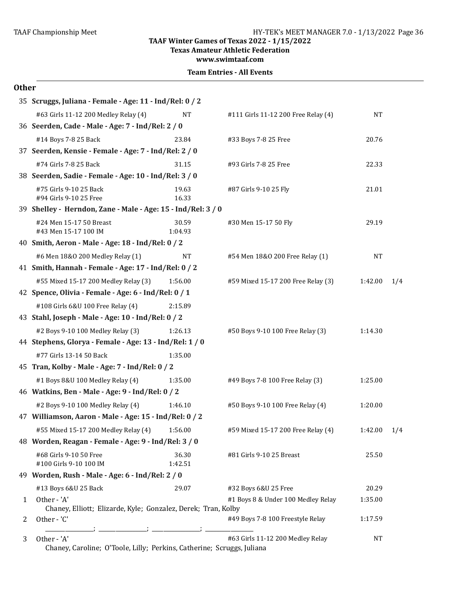**Texas Amateur Athletic Federation**

**www.swimtaaf.com**

|  | <b>Team Entries - All Events</b> |  |  |
|--|----------------------------------|--|--|
|--|----------------------------------|--|--|

| ×<br>۰,<br>۰.<br>×<br>×<br>۰. |
|-------------------------------|
|-------------------------------|

|   | 35 Scruggs, Juliana - Female - Age: 11 - Ind/Rel: 0 / 2                      |                  |                                     |           |     |
|---|------------------------------------------------------------------------------|------------------|-------------------------------------|-----------|-----|
|   | #63 Girls 11-12 200 Medley Relay (4)                                         | <b>NT</b>        | #111 Girls 11-12 200 Free Relay (4) | <b>NT</b> |     |
|   | 36 Seerden, Cade - Male - Age: 7 - Ind/Rel: 2 / 0                            |                  |                                     |           |     |
|   | #14 Boys 7-8 25 Back                                                         | 23.84            | #33 Boys 7-8 25 Free                | 20.76     |     |
|   | 37 Seerden, Kensie - Female - Age: 7 - Ind/Rel: 2 / 0                        |                  |                                     |           |     |
|   | #74 Girls 7-8 25 Back                                                        | 31.15            | #93 Girls 7-8 25 Free               | 22.33     |     |
|   | 38 Seerden, Sadie - Female - Age: 10 - Ind/Rel: 3 / 0                        |                  |                                     |           |     |
|   | #75 Girls 9-10 25 Back<br>#94 Girls 9-10 25 Free                             | 19.63<br>16.33   | #87 Girls 9-10 25 Fly               | 21.01     |     |
|   | 39 Shelley - Herndon, Zane - Male - Age: 15 - Ind/Rel: 3 / 0                 |                  |                                     |           |     |
|   | #24 Men 15-17 50 Breast<br>#43 Men 15-17 100 IM                              | 30.59<br>1:04.93 | #30 Men 15-17 50 Fly                | 29.19     |     |
|   | 40 Smith, Aeron - Male - Age: 18 - Ind/Rel: 0 / 2                            |                  |                                     |           |     |
|   | #6 Men 18&0 200 Medley Relay (1)                                             | <b>NT</b>        | #54 Men 18&0 200 Free Relay (1)     | NT        |     |
|   | 41 Smith, Hannah - Female - Age: 17 - Ind/Rel: 0 / 2                         |                  |                                     |           |     |
|   | #55 Mixed 15-17 200 Medley Relay (3)                                         | 1:56.00          | #59 Mixed 15-17 200 Free Relay (3)  | 1:42.00   | 1/4 |
|   | 42 Spence, Olivia - Female - Age: 6 - Ind/Rel: 0 / 1                         |                  |                                     |           |     |
|   | #108 Girls 6&U 100 Free Relay (4)                                            | 2:15.89          |                                     |           |     |
|   | 43 Stahl, Joseph - Male - Age: 10 - Ind/Rel: 0 / 2                           |                  |                                     |           |     |
|   | #2 Boys 9-10 100 Medley Relay (3)                                            | 1:26.13          | #50 Boys 9-10 100 Free Relay (3)    | 1:14.30   |     |
|   | 44 Stephens, Glorya - Female - Age: 13 - Ind/Rel: 1 / 0                      |                  |                                     |           |     |
|   | #77 Girls 13-14 50 Back                                                      | 1:35.00          |                                     |           |     |
|   | 45 Tran, Kolby - Male - Age: 7 - Ind/Rel: 0 / 2                              |                  |                                     |           |     |
|   | #1 Boys 8&U 100 Medley Relay (4)                                             | 1:35.00          | #49 Boys 7-8 100 Free Relay (3)     | 1:25.00   |     |
|   | 46 Watkins, Ben - Male - Age: 9 - Ind/Rel: 0 / 2                             |                  |                                     |           |     |
|   | #2 Boys 9-10 100 Medley Relay (4)                                            | 1:46.10          | #50 Boys 9-10 100 Free Relay (4)    | 1:20.00   |     |
|   | 47 Williamson, Aaron - Male - Age: 15 - Ind/Rel: 0 / 2                       |                  |                                     |           |     |
|   | #55 Mixed 15-17 200 Medley Relay (4)                                         | 1:56.00          | #59 Mixed 15-17 200 Free Relay (4)  | 1:42.00   | 1/4 |
|   | 48 Worden, Reagan - Female - Age: 9 - Ind/Rel: 3 / 0                         |                  |                                     |           |     |
|   | #68 Girls 9-10 50 Free<br>#100 Girls 9-10 100 IM                             | 36.30<br>1:42.51 | #81 Girls 9-10 25 Breast            | 25.50     |     |
|   | 49 Worden, Rush - Male - Age: 6 - Ind/Rel: 2 / 0                             |                  |                                     |           |     |
|   | #13 Boys 6&U 25 Back                                                         | 29.07            | #32 Boys 6&U 25 Free                | 20.29     |     |
| 1 | Other - 'A'<br>Chaney, Elliott; Elizarde, Kyle; Gonzalez, Derek; Tran, Kolby |                  | #1 Boys 8 & Under 100 Medley Relay  | 1:35.00   |     |
| 2 | Other - 'C'                                                                  |                  | #49 Boys 7-8 100 Freestyle Relay    | 1:17.59   |     |
| 3 | Other - 'A'                                                                  |                  | #63 Girls 11-12 200 Medley Relay    | NT        |     |

Chaney, Caroline; O'Toole, Lilly; Perkins, Catherine; Scruggs, Juliana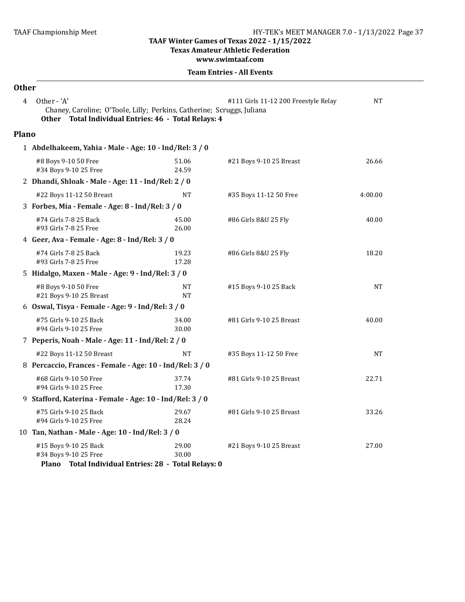**Texas Amateur Athletic Federation** 

**www.swimtaaf.com**

| <b>Other</b> |                                                                                                                                               |                 |                                      |           |  |  |  |
|--------------|-----------------------------------------------------------------------------------------------------------------------------------------------|-----------------|--------------------------------------|-----------|--|--|--|
| 4            | Other - 'A'<br>Chaney, Caroline; O'Toole, Lilly; Perkins, Catherine; Scruggs, Juliana<br>Other Total Individual Entries: 46 - Total Relays: 4 |                 | #111 Girls 11-12 200 Freestyle Relay | NT        |  |  |  |
| <b>Plano</b> |                                                                                                                                               |                 |                                      |           |  |  |  |
|              | 1 Abdelhakeem, Yahia - Male - Age: 10 - Ind/Rel: 3 / 0                                                                                        |                 |                                      |           |  |  |  |
|              | #8 Boys 9-10 50 Free<br>#34 Boys 9-10 25 Free                                                                                                 | 51.06<br>24.59  | #21 Boys 9-10 25 Breast              | 26.66     |  |  |  |
|              | 2 Dhandi, Shloak - Male - Age: 11 - Ind/Rel: 2 / 0                                                                                            |                 |                                      |           |  |  |  |
|              | #22 Boys 11-12 50 Breast                                                                                                                      | NT              | #35 Boys 11-12 50 Free               | 4:00.00   |  |  |  |
|              | 3 Forbes, Mia - Female - Age: 8 - Ind/Rel: 3 / 0                                                                                              |                 |                                      |           |  |  |  |
|              | #74 Girls 7-8 25 Back<br>#93 Girls 7-8 25 Free                                                                                                | 45.00<br>26.00  | #86 Girls 8&U 25 Fly                 | 40.00     |  |  |  |
|              | 4 Geer, Ava - Female - Age: 8 - Ind/Rel: 3 / 0                                                                                                |                 |                                      |           |  |  |  |
|              | #74 Girls 7-8 25 Back<br>#93 Girls 7-8 25 Free                                                                                                | 19.23<br>17.28  | #86 Girls 8&U 25 Fly                 | 18.20     |  |  |  |
|              | 5 Hidalgo, Maxen - Male - Age: 9 - Ind/Rel: 3 / 0                                                                                             |                 |                                      |           |  |  |  |
|              | #8 Boys 9-10 50 Free<br>#21 Boys 9-10 25 Breast                                                                                               | NT<br><b>NT</b> | #15 Boys 9-10 25 Back                | <b>NT</b> |  |  |  |
|              | 6 Oswal, Tisya - Female - Age: 9 - Ind/Rel: 3 / 0                                                                                             |                 |                                      |           |  |  |  |
|              | #75 Girls 9-10 25 Back<br>#94 Girls 9-10 25 Free                                                                                              | 34.00<br>30.00  | #81 Girls 9-10 25 Breast             | 40.00     |  |  |  |
|              | 7 Peperis, Noah - Male - Age: 11 - Ind/Rel: 2 / 0                                                                                             |                 |                                      |           |  |  |  |
|              | #22 Boys 11-12 50 Breast                                                                                                                      | NT              | #35 Boys 11-12 50 Free               | NT        |  |  |  |
|              | 8 Percaccio, Frances - Female - Age: 10 - Ind/Rel: 3 / 0                                                                                      |                 |                                      |           |  |  |  |
|              | #68 Girls 9-10 50 Free<br>#94 Girls 9-10 25 Free                                                                                              | 37.74<br>17.30  | #81 Girls 9-10 25 Breast             | 22.71     |  |  |  |
|              | 9 Stafford, Katerina - Female - Age: 10 - Ind/Rel: 3 / 0                                                                                      |                 |                                      |           |  |  |  |
|              | #75 Girls 9-10 25 Back<br>#94 Girls 9-10 25 Free                                                                                              | 29.67<br>28.24  | #81 Girls 9-10 25 Breast             | 33.26     |  |  |  |
|              | 10 Tan, Nathan - Male - Age: 10 - Ind/Rel: 3 / 0                                                                                              |                 |                                      |           |  |  |  |
|              | #15 Boys 9-10 25 Back<br>#34 Boys 9-10 25 Free<br>Plano Total Individual Entries: 28 - Total Relays: 0                                        | 29.00<br>30.00  | #21 Boys 9-10 25 Breast              | 27.00     |  |  |  |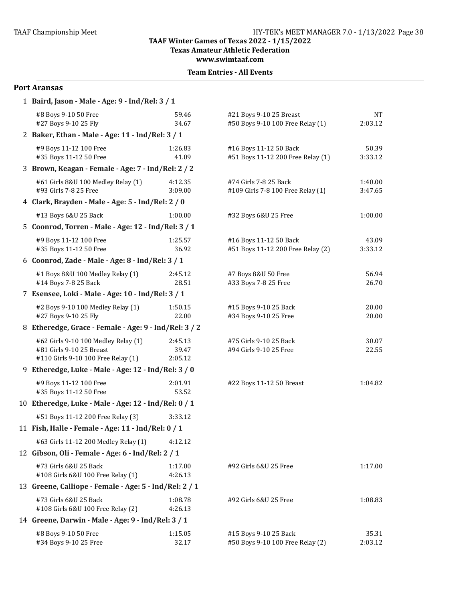#### **TAAF Winter Games of Texas 2022 - 1/15/2022 Texas Amateur Athletic Federation**

**www.swimtaaf.com**

#### **Team Entries - All Events**

#### **Port Aransas**

| 1 Baird, Jason - Male - Age: 9 - Ind/Rel: 3 / 1                                                       |                             |                                                             |                      |
|-------------------------------------------------------------------------------------------------------|-----------------------------|-------------------------------------------------------------|----------------------|
| #8 Boys 9-10 50 Free<br>#27 Boys 9-10 25 Fly                                                          | 59.46<br>34.67              | #21 Boys 9-10 25 Breast<br>#50 Boys 9-10 100 Free Relay (1) | <b>NT</b><br>2:03.12 |
| 2 Baker, Ethan - Male - Age: 11 - Ind/Rel: 3 / 1                                                      |                             |                                                             |                      |
| #9 Boys 11-12 100 Free<br>#35 Boys 11-12 50 Free                                                      | 1:26.83<br>41.09            | #16 Boys 11-12 50 Back<br>#51 Boys 11-12 200 Free Relay (1) | 50.39<br>3:33.12     |
| 3 Brown, Keagan - Female - Age: 7 - Ind/Rel: 2 / 2                                                    |                             |                                                             |                      |
| #61 Girls 8&U 100 Medley Relay (1)<br>#93 Girls 7-8 25 Free                                           | 4:12.35<br>3:09.00          | #74 Girls 7-8 25 Back<br>#109 Girls 7-8 100 Free Relay (1)  | 1:40.00<br>3:47.65   |
| 4 Clark, Brayden - Male - Age: 5 - Ind/Rel: 2 / 0                                                     |                             |                                                             |                      |
| #13 Boys 6&U 25 Back                                                                                  | 1:00.00                     | #32 Boys 6&U 25 Free                                        | 1:00.00              |
| 5 Coonrod, Torren - Male - Age: 12 - Ind/Rel: 3 / 1                                                   |                             |                                                             |                      |
| #9 Boys 11-12 100 Free<br>#35 Boys 11-12 50 Free                                                      | 1:25.57<br>36.92            | #16 Boys 11-12 50 Back<br>#51 Boys 11-12 200 Free Relay (2) | 43.09<br>3:33.12     |
| 6 Coonrod, Zade - Male - Age: 8 - Ind/Rel: 3 / 1                                                      |                             |                                                             |                      |
| #1 Boys 8&U 100 Medley Relay (1)<br>#14 Boys 7-8 25 Back                                              | 2:45.12<br>28.51            | #7 Boys 8&U 50 Free<br>#33 Boys 7-8 25 Free                 | 56.94<br>26.70       |
| 7 Esensee, Loki - Male - Age: 10 - Ind/Rel: 3 / 1                                                     |                             |                                                             |                      |
| #2 Boys 9-10 100 Medley Relay (1)<br>#27 Boys 9-10 25 Fly                                             | 1:50.15<br>22.00            | #15 Boys 9-10 25 Back<br>#34 Boys 9-10 25 Free              | 20.00<br>20.00       |
| 8 Etheredge, Grace - Female - Age: 9 - Ind/Rel: 3 / 2                                                 |                             |                                                             |                      |
| #62 Girls 9-10 100 Medley Relay (1)<br>#81 Girls 9-10 25 Breast<br>#110 Girls 9-10 100 Free Relay (1) | 2:45.13<br>39.47<br>2:05.12 | #75 Girls 9-10 25 Back<br>#94 Girls 9-10 25 Free            | 30.07<br>22.55       |
| 9 Etheredge, Luke - Male - Age: 12 - Ind/Rel: 3 / 0                                                   |                             |                                                             |                      |
| #9 Boys 11-12 100 Free<br>#35 Boys 11-12 50 Free                                                      | 2:01.91<br>53.52            | #22 Boys 11-12 50 Breast                                    | 1:04.82              |
| 10 Etheredge, Luke - Male - Age: 12 - Ind/Rel: 0 / 1                                                  |                             |                                                             |                      |
| #51 Boys 11-12 200 Free Relay (3)                                                                     | 3:33.12                     |                                                             |                      |
| 11 Fish, Halle - Female - Age: 11 - Ind/Rel: 0 / 1                                                    |                             |                                                             |                      |
| #63 Girls 11-12 200 Medley Relay (1)                                                                  | 4:12.12                     |                                                             |                      |
| 12 Gibson, Oli - Female - Age: 6 - Ind/Rel: 2 / 1                                                     |                             |                                                             |                      |
| #73 Girls 6&U 25 Back<br>#108 Girls 6&U 100 Free Relay (1)                                            | 1:17.00<br>4:26.13          | #92 Girls 6&U 25 Free                                       | 1:17.00              |
| 13 Greene, Calliope - Female - Age: 5 - Ind/Rel: 2 / 1                                                |                             |                                                             |                      |
| #73 Girls 6&U 25 Back<br>#108 Girls 6&U 100 Free Relay (2)                                            | 1:08.78<br>4:26.13          | #92 Girls 6&U 25 Free                                       | 1:08.83              |
| 14 Greene, Darwin - Male - Age: 9 - Ind/Rel: 3 / 1                                                    |                             |                                                             |                      |
| #8 Boys 9-10 50 Free<br>#34 Boys 9-10 25 Free                                                         | 1:15.05<br>32.17            | #15 Boys 9-10 25 Back<br>#50 Boys 9-10 100 Free Relay (2)   | 35.31<br>2:03.12     |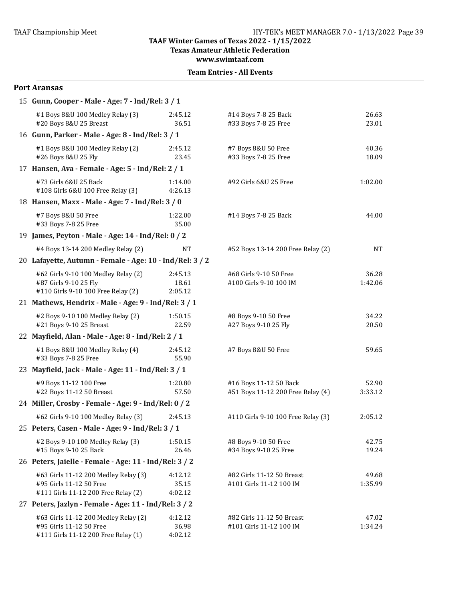**Texas Amateur Athletic Federation**

**www.swimtaaf.com**

#### **Team Entries - All Events**

# **Port Aransas** 15 **Gunn, Cooper** - Male - Age: 7 - Ind/Rel: 3 / 1 #1 Boys 8&U 100 Medley Relay (3) 2:45.12 #14 Boys 7-8 25 Back 26.63 #20 Boys 8&U 25 Breast 36.51 #33 Boys 7-8 25 Free 23.01 16 **Gunn, Parker - Male - Age: 8 - Ind/Rel: 3/1** #1 Boys 8&U 100 Medley Relay (2) 2:45.12 #7 Boys 8&U 50 Free 40.36 #26 Boys 8&U 25 Fly 23.45 #33 Boys 7-8 25 Free 18.09 17 **Hansen, Ava - Female - Age: 5 - Ind/Rel: 2/1** #73 Girls 6&U 25 Back 1:14.00 #92 Girls 6&U 25 Free 1:02.00 #108 Girls 6&U 100 Free Relay (3) 4:26.13 18 **Hansen, Maxx** - Male - Age: 7 - Ind/Rel: 3 / 0 #7 Boys 8&U 50 Free 1:22.00 #14 Boys 7-8 25 Back 44.00 #33 Boys 7-8 25 Free 35.00 19 **James, Peyton - Male - Age: 14 - Ind/Rel: 0 / 2** #4 Boys 13-14 200 Medley Relay (2) NT #52 Boys 13-14 200 Free Relay (2) NT 20 Lafayette, Autumn - Female - Age: 10 - Ind/Rel: 3 / 2 #62 Girls 9-10 100 Medley Relay (2) 2:45.13 #68 Girls 9-10 50 Free 36.28 #87 Girls 9-10 25 Fly 18.61 #100 Girls 9-10 100 IM 1:42.06 #110 Girls 9-10 100 Free Relay (2) 2:05.12 21 Mathews, Hendrix - Male - Age:  $9$  - Ind/Rel:  $3/1$ #2 Boys 9-10 100 Medley Relay (2) 1:50.15 #8 Boys 9-10 50 Free 34.22 #21 Boys 9-10 25 Breast 22.59 #27 Boys 9-10 25 Fly 20.50 22 Mayfield, Alan - Male - Age: 8 - Ind/Rel: 2 / 1 #1 Boys 8&U 100 Medley Relay (4) 2:45.12 #7 Boys 8&U 50 Free 59.65 #33 Boys 7-8 25 Free 55.90 23 Mayfield, Jack - Male - Age: 11 - Ind/Rel: 3 / 1 #9 Boys 11-12 100 Free 1:20.80 #16 Boys 11-12 50 Back 52.90 #22 Boys 11-12 50 Breast 57.50 #51 Boys 11-12 200 Free Relay (4) 3:33.12 24 Miller, Crosby - Female - Age: 9 - Ind/Rel: 0 / 2 #62 Girls 9-10 100 Medley Relay (3) 2:45.13 #110 Girls 9-10 100 Free Relay (3) 2:05.12 25 Peters, Casen - Male - Age: 9 - Ind/Rel: 3 / 1 #2 Boys 9-10 100 Medley Relay (3) 1:50.15 #8 Boys 9-10 50 Free 42.75 #15 Boys 9-10 25 Back 26.46 #34 Boys 9-10 25 Free 19.24 26 Peters, Jaielle - Female - Age: 11 - Ind/Rel: 3 / 2 #63 Girls 11-12 200 Medley Relay (3) 4:12.12 #82 Girls 11-12 50 Breast 49.68 #95 Girls 11-12 50 Free 35.15 #101 Girls 11-12 100 IM 1:35.99 #111 Girls 11-12 200 Free Relay (2) 4:02.12 27 Peters, Jazlyn - Female - Age: 11 - Ind/Rel: 3 / 2 #63 Girls 11-12 200 Medley Relay (2) 4:12.12 #82 Girls 11-12 50 Breast 47.02 #95 Girls 11-12 50 Free 36.98 #101 Girls 11-12 100 IM 1:34.24 #111 Girls 11-12 200 Free Relay (1) 4:02.12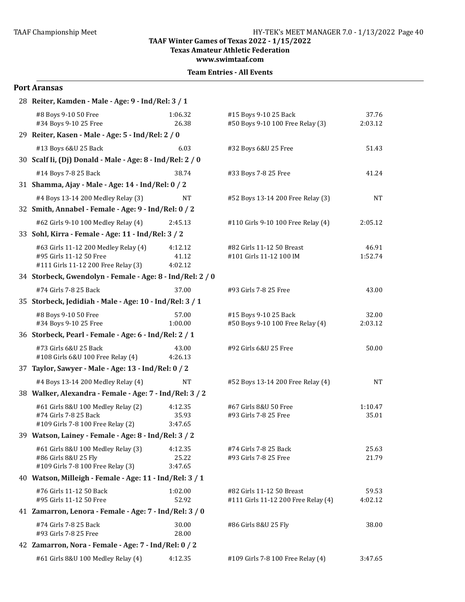**Texas Amateur Athletic Federation** 

**www.swimtaaf.com**

#### **Team Entries - All Events**

#### **Port Aransas**

| 28 Reiter, Kamden - Male - Age: 9 - Ind/Rel: 3 / 1                                        |                  |                                                                  |                  |
|-------------------------------------------------------------------------------------------|------------------|------------------------------------------------------------------|------------------|
| #8 Boys 9-10 50 Free<br>#34 Boys 9-10 25 Free                                             | 1:06.32<br>26.38 | #15 Boys 9-10 25 Back<br>#50 Boys 9-10 100 Free Relay (3)        | 37.76<br>2:03.12 |
| 29 Reiter, Kasen - Male - Age: 5 - Ind/Rel: 2 / 0                                         |                  |                                                                  |                  |
| #13 Boys 6&U 25 Back                                                                      | 6.03             | #32 Boys 6&U 25 Free                                             | 51.43            |
| 30 Scalf Ii, (Dj) Donald - Male - Age: 8 - Ind/Rel: 2 / 0                                 |                  |                                                                  |                  |
| #14 Boys 7-8 25 Back                                                                      | 38.74            | #33 Boys 7-8 25 Free                                             | 41.24            |
| 31 Shamma, Ajay - Male - Age: 14 - Ind/Rel: 0 / 2                                         |                  |                                                                  |                  |
| #4 Boys 13-14 200 Medley Relay (3)                                                        | NT               | #52 Boys 13-14 200 Free Relay (3)                                | <b>NT</b>        |
| 32 Smith, Annabel - Female - Age: 9 - Ind/Rel: 0 / 2                                      |                  |                                                                  |                  |
| #62 Girls 9-10 100 Medley Relay (4)                                                       | 2:45.13          | #110 Girls 9-10 100 Free Relay (4)                               | 2:05.12          |
| 33 Sohl, Kirra - Female - Age: 11 - Ind/Rel: 3 / 2                                        |                  |                                                                  |                  |
| #63 Girls 11-12 200 Medley Relay (4)                                                      | 4:12.12          | #82 Girls 11-12 50 Breast                                        | 46.91            |
| #95 Girls 11-12 50 Free<br>#111 Girls 11-12 200 Free Relay (3)                            | 41.12<br>4:02.12 | #101 Girls 11-12 100 IM                                          | 1:52.74          |
| 34 Storbeck, Gwendolyn - Female - Age: 8 - Ind/Rel: 2 / 0                                 |                  |                                                                  |                  |
| #74 Girls 7-8 25 Back                                                                     | 37.00            | #93 Girls 7-8 25 Free                                            | 43.00            |
| 35 Storbeck, Jedidiah - Male - Age: 10 - Ind/Rel: 3 / 1                                   |                  |                                                                  |                  |
|                                                                                           |                  |                                                                  |                  |
| #8 Boys 9-10 50 Free<br>#34 Boys 9-10 25 Free                                             | 57.00<br>1:00.00 | #15 Boys 9-10 25 Back<br>#50 Boys 9-10 100 Free Relay (4)        | 32.00<br>2:03.12 |
| 36 Storbeck, Pearl - Female - Age: 6 - Ind/Rel: 2 / 1                                     |                  |                                                                  |                  |
| #73 Girls 6&U 25 Back<br>#108 Girls 6&U 100 Free Relay (4)                                | 43.00<br>4:26.13 | #92 Girls 6&U 25 Free                                            | 50.00            |
| 37 Taylor, Sawyer - Male - Age: 13 - Ind/Rel: 0 / 2                                       |                  |                                                                  |                  |
| #4 Boys 13-14 200 Medley Relay (4)                                                        | NT               | #52 Boys 13-14 200 Free Relay (4)                                | NT               |
| 38 Walker, Alexandra - Female - Age: 7 - Ind/Rel: 3 / 2                                   |                  |                                                                  |                  |
| #61 Girls 8&U 100 Medley Relay (2)                                                        | 4:12.35          | #67 Girls 8&U 50 Free                                            | 1:10.47          |
| #74 Girls 7-8 25 Back                                                                     | 35.93<br>3:47.65 | #93 Girls 7-8 25 Free                                            | 35.01            |
| #109 Girls 7-8 100 Free Relay (2)<br>39 Watson, Lainey - Female - Age: 8 - Ind/Rel: 3 / 2 |                  |                                                                  |                  |
|                                                                                           |                  |                                                                  |                  |
| #61 Girls 8&U 100 Medley Relay (3)<br>#86 Girls 8&U 25 Fly                                | 4:12.35<br>25.22 | #74 Girls 7-8 25 Back<br>#93 Girls 7-8 25 Free                   | 25.63<br>21.79   |
| #109 Girls 7-8 100 Free Relay (3)                                                         | 3:47.65          |                                                                  |                  |
| 40 Watson, Milleigh - Female - Age: 11 - Ind/Rel: 3 / 1                                   |                  |                                                                  |                  |
| #76 Girls 11-12 50 Back<br>#95 Girls 11-12 50 Free                                        | 1:02.00<br>52.92 | #82 Girls 11-12 50 Breast<br>#111 Girls 11-12 200 Free Relay (4) | 59.53<br>4:02.12 |
| 41 Zamarron, Lenora - Female - Age: 7 - Ind/Rel: 3 / 0                                    |                  |                                                                  |                  |
| #74 Girls 7-8 25 Back<br>#93 Girls 7-8 25 Free                                            | 30.00<br>28.00   | #86 Girls 8&U 25 Fly                                             | 38.00            |
| 42 Zamarron, Nora - Female - Age: 7 - Ind/Rel: 0 / 2                                      |                  |                                                                  |                  |
| #61 Girls 8&U 100 Medley Relay (4)                                                        | 4:12.35          | #109 Girls 7-8 100 Free Relay (4)                                | 3:47.65          |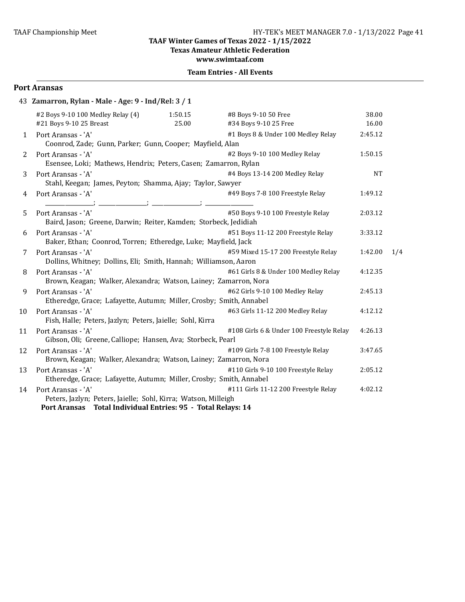Texas Amateur Athletic Federation

**www.swimtaaf.com**

#### **Team Entries - All Events**

#### **Port Aransas**

| #2 Boys 9-10 100 Medley Relay (4) | 1:50.15 | #8 Boys 9-10 50 Free                                | 38.00                                                                                                                                                                                                                                                                                                                                                                                                                                                                                                                                                                                                                                                                                                                                                                                                                                                                                                                                                    |     |
|-----------------------------------|---------|-----------------------------------------------------|----------------------------------------------------------------------------------------------------------------------------------------------------------------------------------------------------------------------------------------------------------------------------------------------------------------------------------------------------------------------------------------------------------------------------------------------------------------------------------------------------------------------------------------------------------------------------------------------------------------------------------------------------------------------------------------------------------------------------------------------------------------------------------------------------------------------------------------------------------------------------------------------------------------------------------------------------------|-----|
| #21 Boys 9-10 25 Breast           | 25.00   | #34 Boys 9-10 25 Free                               | 16.00                                                                                                                                                                                                                                                                                                                                                                                                                                                                                                                                                                                                                                                                                                                                                                                                                                                                                                                                                    |     |
| Port Aransas - 'A'                |         | #1 Boys 8 & Under 100 Medley Relay                  | 2:45.12                                                                                                                                                                                                                                                                                                                                                                                                                                                                                                                                                                                                                                                                                                                                                                                                                                                                                                                                                  |     |
| Port Aransas - 'A'                |         | #2 Boys 9-10 100 Medley Relay                       | 1:50.15                                                                                                                                                                                                                                                                                                                                                                                                                                                                                                                                                                                                                                                                                                                                                                                                                                                                                                                                                  |     |
| Port Aransas - 'A'                |         | #4 Boys 13-14 200 Medley Relay                      | <b>NT</b>                                                                                                                                                                                                                                                                                                                                                                                                                                                                                                                                                                                                                                                                                                                                                                                                                                                                                                                                                |     |
| Port Aransas - 'A'                |         | #49 Boys 7-8 100 Freestyle Relay                    | 1:49.12                                                                                                                                                                                                                                                                                                                                                                                                                                                                                                                                                                                                                                                                                                                                                                                                                                                                                                                                                  |     |
| Port Aransas - 'A'                |         | #50 Boys 9-10 100 Freestyle Relay                   | 2:03.12                                                                                                                                                                                                                                                                                                                                                                                                                                                                                                                                                                                                                                                                                                                                                                                                                                                                                                                                                  |     |
| Port Aransas - 'A'                |         | #51 Boys 11-12 200 Freestyle Relay                  | 3:33.12                                                                                                                                                                                                                                                                                                                                                                                                                                                                                                                                                                                                                                                                                                                                                                                                                                                                                                                                                  |     |
| Port Aransas - 'A'                |         | #59 Mixed 15-17 200 Freestyle Relay                 | 1:42.00                                                                                                                                                                                                                                                                                                                                                                                                                                                                                                                                                                                                                                                                                                                                                                                                                                                                                                                                                  | 1/4 |
| Port Aransas - 'A'                |         | #61 Girls 8 & Under 100 Medley Relay                | 4:12.35                                                                                                                                                                                                                                                                                                                                                                                                                                                                                                                                                                                                                                                                                                                                                                                                                                                                                                                                                  |     |
| Port Aransas - 'A'                |         | #62 Girls 9-10 100 Medley Relay                     | 2:45.13                                                                                                                                                                                                                                                                                                                                                                                                                                                                                                                                                                                                                                                                                                                                                                                                                                                                                                                                                  |     |
| Port Aransas - 'A'                |         | #63 Girls 11-12 200 Medley Relay                    | 4:12.12                                                                                                                                                                                                                                                                                                                                                                                                                                                                                                                                                                                                                                                                                                                                                                                                                                                                                                                                                  |     |
| Port Aransas - 'A'                |         | #108 Girls 6 & Under 100 Freestyle Relay            | 4:26.13                                                                                                                                                                                                                                                                                                                                                                                                                                                                                                                                                                                                                                                                                                                                                                                                                                                                                                                                                  |     |
| Port Aransas - 'A'                |         | #109 Girls 7-8 100 Freestyle Relay                  | 3:47.65                                                                                                                                                                                                                                                                                                                                                                                                                                                                                                                                                                                                                                                                                                                                                                                                                                                                                                                                                  |     |
| Port Aransas - 'A'                |         | #110 Girls 9-10 100 Freestyle Relay                 | 2:05.12                                                                                                                                                                                                                                                                                                                                                                                                                                                                                                                                                                                                                                                                                                                                                                                                                                                                                                                                                  |     |
| Port Aransas - 'A'                |         | #111 Girls 11-12 200 Freestyle Relay                | 4:02.12                                                                                                                                                                                                                                                                                                                                                                                                                                                                                                                                                                                                                                                                                                                                                                                                                                                                                                                                                  |     |
|                                   |         | 43 Zamarron, Rylan - Male - Age: 9 - Ind/Rel: 3 / 1 | Coonrod, Zade; Gunn, Parker; Gunn, Cooper; Mayfield, Alan<br>Esensee, Loki; Mathews, Hendrix; Peters, Casen; Zamarron, Rylan<br>Stahl, Keegan; James, Peyton; Shamma, Ajay; Taylor, Sawyer<br>Baird, Jason; Greene, Darwin; Reiter, Kamden; Storbeck, Jedidiah<br>Baker, Ethan; Coonrod, Torren; Etheredge, Luke; Mayfield, Jack<br>Dollins, Whitney; Dollins, Eli; Smith, Hannah; Williamson, Aaron<br>Brown, Keagan; Walker, Alexandra; Watson, Lainey; Zamarron, Nora<br>Etheredge, Grace; Lafayette, Autumn; Miller, Crosby; Smith, Annabel<br>Fish, Halle; Peters, Jazlyn; Peters, Jaielle; Sohl, Kirra<br>Gibson, Oli; Greene, Calliope; Hansen, Ava; Storbeck, Pearl<br>Brown, Keagan; Walker, Alexandra; Watson, Lainey; Zamarron, Nora<br>Etheredge, Grace; Lafayette, Autumn; Miller, Crosby; Smith, Annabel<br>Peters, Jazlyn; Peters, Jaielle; Sohl, Kirra; Watson, Milleigh<br>Port Aransas Total Individual Entries: 95 - Total Relays: 14 |     |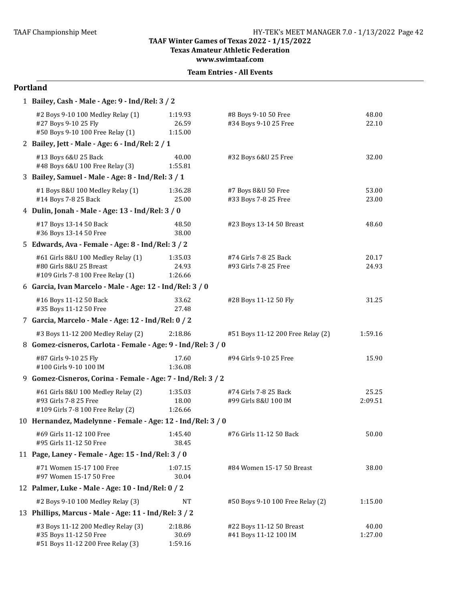**Texas Amateur Athletic Federation** 

**www.swimtaaf.com**

#### **Team Entries - All Events**

#### **Portland**

| 1 Bailey, Cash - Male - Age: 9 - Ind/Rel: 3 / 2                                                    |                             |                                                   |                  |
|----------------------------------------------------------------------------------------------------|-----------------------------|---------------------------------------------------|------------------|
| #2 Boys 9-10 100 Medley Relay (1)<br>#27 Boys 9-10 25 Fly<br>#50 Boys 9-10 100 Free Relay (1)      | 1:19.93<br>26.59<br>1:15.00 | #8 Boys 9-10 50 Free<br>#34 Boys 9-10 25 Free     | 48.00<br>22.10   |
| 2 Bailey, Jett - Male - Age: 6 - Ind/Rel: 2 / 1                                                    |                             |                                                   |                  |
| #13 Boys 6&U 25 Back<br>#48 Boys 6&U 100 Free Relay (3)                                            | 40.00<br>1:55.81            | #32 Boys 6&U 25 Free                              | 32.00            |
| 3 Bailey, Samuel - Male - Age: 8 - Ind/Rel: 3 / 1                                                  |                             |                                                   |                  |
| #1 Boys 8&U 100 Medley Relay (1)<br>#14 Boys 7-8 25 Back                                           | 1:36.28<br>25.00            | #7 Boys 8&U 50 Free<br>#33 Boys 7-8 25 Free       | 53.00<br>23.00   |
| 4 Dulin, Jonah - Male - Age: 13 - Ind/Rel: 3 / 0                                                   |                             |                                                   |                  |
| #17 Boys 13-14 50 Back<br>#36 Boys 13-14 50 Free                                                   | 48.50<br>38.00              | #23 Boys 13-14 50 Breast                          | 48.60            |
| 5 Edwards, Ava - Female - Age: 8 - Ind/Rel: 3 / 2                                                  |                             |                                                   |                  |
| #61 Girls 8&U 100 Medley Relay (1)<br>#80 Girls 8&U 25 Breast<br>#109 Girls 7-8 100 Free Relay (1) | 1:35.03<br>24.93<br>1:26.66 | #74 Girls 7-8 25 Back<br>#93 Girls 7-8 25 Free    | 20.17<br>24.93   |
| 6 Garcia, Ivan Marcelo - Male - Age: 12 - Ind/Rel: 3 / 0                                           |                             |                                                   |                  |
| #16 Boys 11-12 50 Back<br>#35 Boys 11-12 50 Free                                                   | 33.62<br>27.48              | #28 Boys 11-12 50 Fly                             | 31.25            |
| 7 Garcia, Marcelo - Male - Age: 12 - Ind/Rel: 0 / 2                                                |                             |                                                   |                  |
| #3 Boys 11-12 200 Medley Relay (2)                                                                 | 2:18.86                     | #51 Boys 11-12 200 Free Relay (2)                 | 1:59.16          |
| 8 Gomez-cisneros, Carlota - Female - Age: 9 - Ind/Rel: 3 / 0                                       |                             |                                                   |                  |
| #87 Girls 9-10 25 Fly<br>#100 Girls 9-10 100 IM                                                    | 17.60<br>1:36.08            | #94 Girls 9-10 25 Free                            | 15.90            |
| 9 Gomez-Cisneros, Corina - Female - Age: 7 - Ind/Rel: 3 / 2                                        |                             |                                                   |                  |
| #61 Girls 8&U 100 Medley Relay (2)<br>#93 Girls 7-8 25 Free<br>#109 Girls 7-8 100 Free Relay (2)   | 1:35.03<br>18.00<br>1:26.66 | #74 Girls 7-8 25 Back<br>#99 Girls 8&U 100 IM     | 25.25<br>2:09.51 |
| 10 Hernandez, Madelynne - Female - Age: 12 - Ind/Rel: 3 / 0                                        |                             |                                                   |                  |
| #69 Girls 11-12 100 Free<br>#95 Girls 11-12 50 Free                                                | 1:45.40<br>38.45            | #76 Girls 11-12 50 Back                           | 50.00            |
| 11 Page, Laney - Female - Age: 15 - Ind/Rel: 3 / 0                                                 |                             |                                                   |                  |
| #71 Women 15-17 100 Free<br>#97 Women 15-17 50 Free                                                | 1:07.15<br>30.04            | #84 Women 15-17 50 Breast                         | 38.00            |
| 12 Palmer, Luke - Male - Age: 10 - Ind/Rel: 0 / 2                                                  |                             |                                                   |                  |
| #2 Boys 9-10 100 Medley Relay (3)                                                                  | <b>NT</b>                   | #50 Boys 9-10 100 Free Relay (2)                  | 1:15.00          |
| 13 Phillips, Marcus - Male - Age: 11 - Ind/Rel: 3 / 2                                              |                             |                                                   |                  |
| #3 Boys 11-12 200 Medley Relay (3)<br>#35 Boys 11-12 50 Free<br>#51 Boys 11-12 200 Free Relay (3)  | 2:18.86<br>30.69<br>1:59.16 | #22 Boys 11-12 50 Breast<br>#41 Boys 11-12 100 IM | 40.00<br>1:27.00 |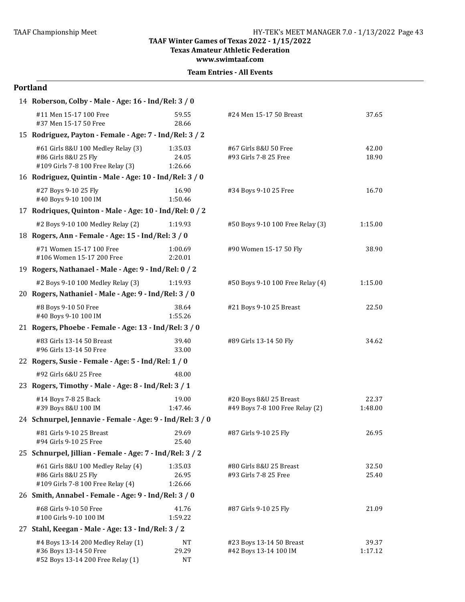**Texas Amateur Athletic Federation** 

**www.swimtaaf.com**

#### **Portland**

| 14 Roberson, Colby - Male - Age: 16 - Ind/Rel: 3 / 0                                              |                             |                                                           |                  |
|---------------------------------------------------------------------------------------------------|-----------------------------|-----------------------------------------------------------|------------------|
| #11 Men 15-17 100 Free<br>#37 Men 15-17 50 Free                                                   | 59.55<br>28.66              | #24 Men 15-17 50 Breast                                   | 37.65            |
| 15 Rodriguez, Payton - Female - Age: 7 - Ind/Rel: 3 / 2                                           |                             |                                                           |                  |
| #61 Girls 8&U 100 Medley Relay (3)<br>#86 Girls 8&U 25 Fly<br>#109 Girls 7-8 100 Free Relay (3)   | 1:35.03<br>24.05<br>1:26.66 | #67 Girls 8&U 50 Free<br>#93 Girls 7-8 25 Free            | 42.00<br>18.90   |
| 16 Rodriguez, Quintin - Male - Age: 10 - Ind/Rel: 3 / 0                                           |                             |                                                           |                  |
| #27 Boys 9-10 25 Fly<br>#40 Boys 9-10 100 IM                                                      | 16.90<br>1:50.46            | #34 Boys 9-10 25 Free                                     | 16.70            |
| 17 Rodriques, Quinton - Male - Age: 10 - Ind/Rel: 0 / 2                                           |                             |                                                           |                  |
| #2 Boys 9-10 100 Medley Relay (2)                                                                 | 1:19.93                     | #50 Boys 9-10 100 Free Relay (3)                          | 1:15.00          |
| 18 Rogers, Ann - Female - Age: 15 - Ind/Rel: 3 / 0                                                |                             |                                                           |                  |
| #71 Women 15-17 100 Free<br>#106 Women 15-17 200 Free                                             | 1:00.69<br>2:20.01          | #90 Women 15-17 50 Fly                                    | 38.90            |
| 19 Rogers, Nathanael - Male - Age: 9 - Ind/Rel: 0 / 2                                             |                             |                                                           |                  |
| #2 Boys 9-10 100 Medley Relay (3)                                                                 | 1:19.93                     | #50 Boys 9-10 100 Free Relay (4)                          | 1:15.00          |
| 20 Rogers, Nathaniel - Male - Age: 9 - Ind/Rel: 3 / 0                                             |                             |                                                           |                  |
| #8 Boys 9-10 50 Free<br>#40 Boys 9-10 100 IM                                                      | 38.64<br>1:55.26            | #21 Boys 9-10 25 Breast                                   | 22.50            |
| 21 Rogers, Phoebe - Female - Age: 13 - Ind/Rel: 3 / 0                                             |                             |                                                           |                  |
| #83 Girls 13-14 50 Breast<br>#96 Girls 13-14 50 Free                                              | 39.40<br>33.00              | #89 Girls 13-14 50 Fly                                    | 34.62            |
| 22 Rogers, Susie - Female - Age: 5 - Ind/Rel: 1 / 0                                               |                             |                                                           |                  |
| #92 Girls 6&U 25 Free                                                                             | 48.00                       |                                                           |                  |
| 23 Rogers, Timothy - Male - Age: 8 - Ind/Rel: 3 / 1                                               |                             |                                                           |                  |
| #14 Boys 7-8 25 Back<br>#39 Boys 8&U 100 IM                                                       | 19.00<br>1:47.46            | #20 Boys 8&U 25 Breast<br>#49 Boys 7-8 100 Free Relay (2) | 22.37<br>1:48.00 |
| 24 Schnurpel, Jennavie - Female - Age: 9 - Ind/Rel: 3 / 0                                         |                             |                                                           |                  |
| #81 Girls 9-10 25 Breast<br>#94 Girls 9-10 25 Free                                                | 29.69<br>25.40              | #87 Girls 9-10 25 Fly                                     | 26.95            |
| 25 Schnurpel, Jillian - Female - Age: 7 - Ind/Rel: 3 / 2                                          |                             |                                                           |                  |
| #61 Girls 8&U 100 Medley Relay (4)<br>#86 Girls 8&U 25 Fly<br>#109 Girls 7-8 100 Free Relay (4)   | 1:35.03<br>26.95<br>1:26.66 | #80 Girls 8&U 25 Breast<br>#93 Girls 7-8 25 Free          | 32.50<br>25.40   |
| 26 Smith, Annabel - Female - Age: 9 - Ind/Rel: 3 / 0                                              |                             |                                                           |                  |
| #68 Girls 9-10 50 Free<br>#100 Girls 9-10 100 IM                                                  | 41.76<br>1:59.22            | #87 Girls 9-10 25 Fly                                     | 21.09            |
| 27 Stahl, Keegan - Male - Age: 13 - Ind/Rel: 3 / 2                                                |                             |                                                           |                  |
| #4 Boys 13-14 200 Medley Relay (1)<br>#36 Boys 13-14 50 Free<br>#52 Boys 13-14 200 Free Relay (1) | NT<br>29.29<br><b>NT</b>    | #23 Boys 13-14 50 Breast<br>#42 Boys 13-14 100 IM         | 39.37<br>1:17.12 |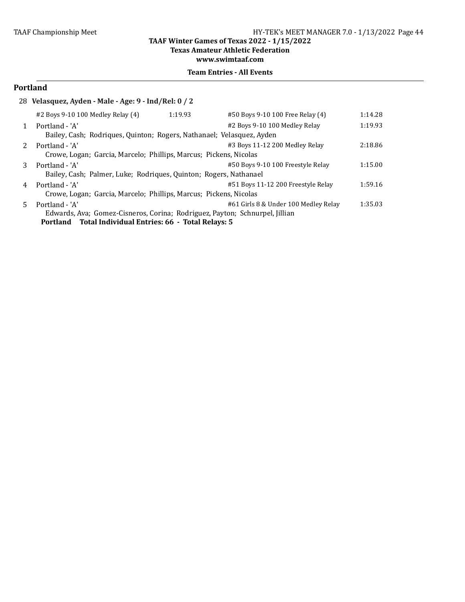**Texas Amateur Athletic Federation** 

**www.swimtaaf.com**

## **Team Entries - All Events**

## **Portland**

|  |  | 28   Velasquez, Ayden - Male - Age: 9 - Ind/Rel: 0 / 2 |  |
|--|--|--------------------------------------------------------|--|
|  |  |                                                        |  |

|    | #2 Boys 9-10 100 Medley Relay (4)                                           | 1:19.93 | #50 Boys 9-10 100 Free Relay (4)     | 1:14.28 |
|----|-----------------------------------------------------------------------------|---------|--------------------------------------|---------|
|    | Portland - 'A'                                                              |         | #2 Boys 9-10 100 Medley Relay        | 1:19.93 |
|    | Bailey, Cash; Rodriques, Quinton; Rogers, Nathanael; Velasquez, Ayden       |         |                                      |         |
|    | Portland - 'A'                                                              |         | #3 Boys 11-12 200 Medley Relay       | 2:18.86 |
|    | Crowe, Logan; Garcia, Marcelo; Phillips, Marcus; Pickens, Nicolas           |         |                                      |         |
| 3  | Portland - 'A'                                                              |         | #50 Boys 9-10 100 Freestyle Relay    | 1:15.00 |
|    | Bailey, Cash; Palmer, Luke; Rodriques, Quinton; Rogers, Nathanael           |         |                                      |         |
| 4  | Portland - 'A'                                                              |         | #51 Boys 11-12 200 Freestyle Relay   | 1:59.16 |
|    | Crowe, Logan; Garcia, Marcelo; Phillips, Marcus; Pickens, Nicolas           |         |                                      |         |
| 5. | Portland - 'A'                                                              |         | #61 Girls 8 & Under 100 Medley Relay | 1:35.03 |
|    | Edwards, Ava; Gomez-Cisneros, Corina; Rodriguez, Payton; Schnurpel, Jillian |         |                                      |         |
|    | Portland Total Individual Entries: 66 - Total Relays: 5                     |         |                                      |         |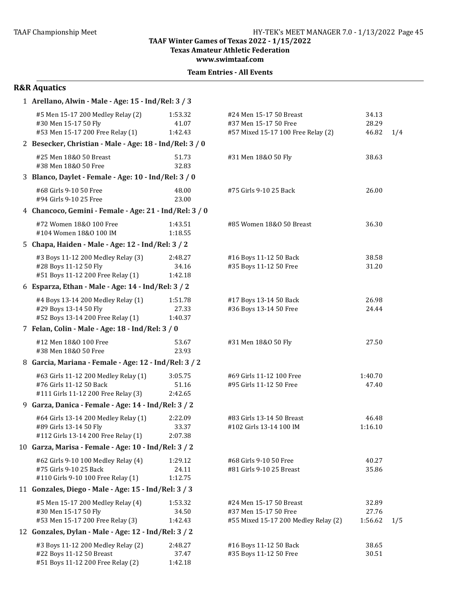**Texas Amateur Athletic Federation** 

**www.swimtaaf.com**

|  | <b>Team Entries - All Events</b> |  |  |
|--|----------------------------------|--|--|
|--|----------------------------------|--|--|

| 1 Arellano, Alwin - Male - Age: 15 - Ind/Rel: 3 / 3                                                    |                             |                                                                                          |                           |     |
|--------------------------------------------------------------------------------------------------------|-----------------------------|------------------------------------------------------------------------------------------|---------------------------|-----|
| #5 Men 15-17 200 Medley Relay (2)<br>#30 Men 15-17 50 Fly<br>#53 Men 15-17 200 Free Relay (1)          | 1:53.32<br>41.07<br>1:42.43 | #24 Men 15-17 50 Breast<br>#37 Men 15-17 50 Free<br>#57 Mixed 15-17 100 Free Relay (2)   | 34.13<br>28.29<br>46.82   | 1/4 |
| 2 Besecker, Christian - Male - Age: 18 - Ind/Rel: 3 / 0                                                |                             |                                                                                          |                           |     |
| #25 Men 18&0 50 Breast<br>#38 Men 18&0 50 Free                                                         | 51.73<br>32.83              | #31 Men 18&0 50 Fly                                                                      | 38.63                     |     |
| 3 Blanco, Daylet - Female - Age: 10 - Ind/Rel: 3 / 0                                                   |                             |                                                                                          |                           |     |
| #68 Girls 9-10 50 Free<br>#94 Girls 9-10 25 Free                                                       | 48.00<br>23.00              | #75 Girls 9-10 25 Back                                                                   | 26.00                     |     |
| 4 Chancoco, Gemini - Female - Age: 21 - Ind/Rel: 3 / 0                                                 |                             |                                                                                          |                           |     |
| #72 Women 18&0 100 Free<br>#104 Women 18&0 100 IM                                                      | 1:43.51<br>1:18.55          | #85 Women 18&0 50 Breast                                                                 | 36.30                     |     |
| 5 Chapa, Haiden - Male - Age: 12 - Ind/Rel: 3 / 2                                                      |                             |                                                                                          |                           |     |
| #3 Boys 11-12 200 Medley Relay (3)<br>#28 Boys 11-12 50 Fly<br>#51 Boys 11-12 200 Free Relay (1)       | 2:48.27<br>34.16<br>1:42.18 | #16 Boys 11-12 50 Back<br>#35 Boys 11-12 50 Free                                         | 38.58<br>31.20            |     |
| 6 Esparza, Ethan - Male - Age: 14 - Ind/Rel: 3 / 2                                                     |                             |                                                                                          |                           |     |
| #4 Boys 13-14 200 Medley Relay (1)<br>#29 Boys 13-14 50 Fly<br>#52 Boys 13-14 200 Free Relay (1)       | 1:51.78<br>27.33<br>1:40.37 | #17 Boys 13-14 50 Back<br>#36 Boys 13-14 50 Free                                         | 26.98<br>24.44            |     |
| 7 Felan, Colin - Male - Age: 18 - Ind/Rel: 3 / 0                                                       |                             |                                                                                          |                           |     |
| #12 Men 18&0 100 Free<br>#38 Men 18&0 50 Free                                                          | 53.67<br>23.93              | #31 Men 18&0 50 Fly                                                                      | 27.50                     |     |
| 8 Garcia, Mariana - Female - Age: 12 - Ind/Rel: 3 / 2                                                  |                             |                                                                                          |                           |     |
| #63 Girls 11-12 200 Medley Relay (1)<br>#76 Girls 11-12 50 Back<br>#111 Girls 11-12 200 Free Relay (3) | 3:05.75<br>51.16<br>2:42.65 | #69 Girls 11-12 100 Free<br>#95 Girls 11-12 50 Free                                      | 1:40.70<br>47.40          |     |
| 9 Garza, Danica - Female - Age: 14 - Ind/Rel: 3 / 2                                                    |                             |                                                                                          |                           |     |
| #64 Girls 13-14 200 Medley Relay (1)<br>#89 Girls 13-14 50 Fly<br>#112 Girls 13-14 200 Free Relay (1)  | 2:22.09<br>33.37<br>2:07.38 | #83 Girls 13-14 50 Breast<br>#102 Girls 13-14 100 IM                                     | 46.48<br>1:16.10          |     |
| 10 Garza, Marisa - Female - Age: 10 - Ind/Rel: 3 / 2                                                   |                             |                                                                                          |                           |     |
| #62 Girls 9-10 100 Medley Relay (4)<br>#75 Girls 9-10 25 Back<br>#110 Girls 9-10 100 Free Relay (1)    | 1:29.12<br>24.11<br>1:12.75 | #68 Girls 9-10 50 Free<br>#81 Girls 9-10 25 Breast                                       | 40.27<br>35.86            |     |
| 11 Gonzales, Diego - Male - Age: 15 - Ind/Rel: 3 / 3                                                   |                             |                                                                                          |                           |     |
| #5 Men 15-17 200 Medley Relay (4)<br>#30 Men 15-17 50 Fly<br>#53 Men 15-17 200 Free Relay (3)          | 1:53.32<br>34.50<br>1:42.43 | #24 Men 15-17 50 Breast<br>#37 Men 15-17 50 Free<br>#55 Mixed 15-17 200 Medley Relay (2) | 32.89<br>27.76<br>1:56.62 | 1/5 |
| 12 Gonzales, Dylan - Male - Age: 12 - Ind/Rel: 3 / 2                                                   |                             |                                                                                          |                           |     |
| #3 Boys 11-12 200 Medley Relay (2)<br>#22 Boys 11-12 50 Breast<br>#51 Boys 11-12 200 Free Relay (2)    | 2:48.27<br>37.47<br>1:42.18 | #16 Boys 11-12 50 Back<br>#35 Boys 11-12 50 Free                                         | 38.65<br>30.51            |     |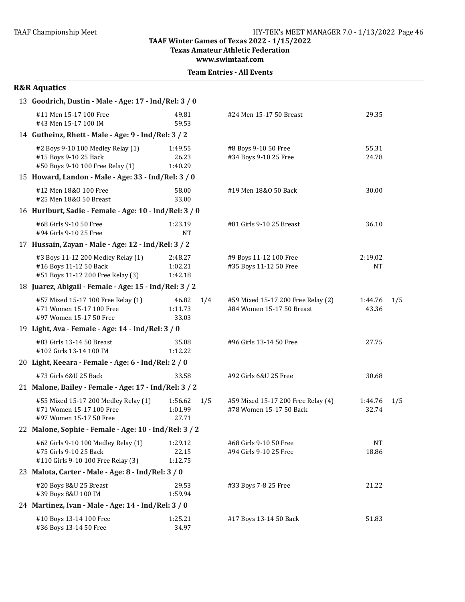**Texas Amateur Athletic Federation**

**www.swimtaaf.com**

**Team Entries - All Events** 

| 13 Goodrich, Dustin - Male - Age: 17 - Ind/Rel: 3 / 0                                               |                               |     |                                                                 |                    |     |
|-----------------------------------------------------------------------------------------------------|-------------------------------|-----|-----------------------------------------------------------------|--------------------|-----|
| #11 Men 15-17 100 Free<br>#43 Men 15-17 100 IM                                                      | 49.81<br>59.53                |     | #24 Men 15-17 50 Breast                                         | 29.35              |     |
| 14 Gutheinz, Rhett - Male - Age: 9 - Ind/Rel: 3 / 2                                                 |                               |     |                                                                 |                    |     |
| #2 Boys 9-10 100 Medley Relay (1)<br>#15 Boys 9-10 25 Back<br>#50 Boys 9-10 100 Free Relay (1)      | 1:49.55<br>26.23<br>1:40.29   |     | #8 Boys 9-10 50 Free<br>#34 Boys 9-10 25 Free                   | 55.31<br>24.78     |     |
| 15 Howard, Landon - Male - Age: 33 - Ind/Rel: 3 / 0                                                 |                               |     |                                                                 |                    |     |
| #12 Men 18&0 100 Free<br>#25 Men 18&0 50 Breast                                                     | 58.00<br>33.00                |     | #19 Men 18&0 50 Back                                            | 30.00              |     |
| 16 Hurlburt, Sadie - Female - Age: 10 - Ind/Rel: 3 / 0                                              |                               |     |                                                                 |                    |     |
| #68 Girls 9-10 50 Free<br>#94 Girls 9-10 25 Free                                                    | 1:23.19<br><b>NT</b>          |     | #81 Girls 9-10 25 Breast                                        | 36.10              |     |
| 17 Hussain, Zayan - Male - Age: 12 - Ind/Rel: 3 / 2                                                 |                               |     |                                                                 |                    |     |
| #3 Boys 11-12 200 Medley Relay (1)<br>#16 Boys 11-12 50 Back<br>#51 Boys 11-12 200 Free Relay (3)   | 2:48.27<br>1:02.21<br>1:42.18 |     | #9 Boys 11-12 100 Free<br>#35 Boys 11-12 50 Free                | 2:19.02<br>NT      |     |
| 18 Juarez, Abigail - Female - Age: 15 - Ind/Rel: 3 / 2                                              |                               |     |                                                                 |                    |     |
| #57 Mixed 15-17 100 Free Relay (1)<br>#71 Women 15-17 100 Free<br>#97 Women 15-17 50 Free           | 46.82<br>1:11.73<br>33.03     | 1/4 | #59 Mixed 15-17 200 Free Relay (2)<br>#84 Women 15-17 50 Breast | 1:44.76<br>43.36   | 1/5 |
| 19 Light, Ava - Female - Age: 14 - Ind/Rel: 3 / 0                                                   |                               |     |                                                                 |                    |     |
| #83 Girls 13-14 50 Breast<br>#102 Girls 13-14 100 IM                                                | 35.08<br>1:12.22              |     | #96 Girls 13-14 50 Free                                         | 27.75              |     |
| 20 Light, Keeara - Female - Age: 6 - Ind/Rel: 2 / 0                                                 |                               |     |                                                                 |                    |     |
| #73 Girls 6&U 25 Back                                                                               | 33.58                         |     | #92 Girls 6&U 25 Free                                           | 30.68              |     |
| 21 Malone, Bailey - Female - Age: 17 - Ind/Rel: 3 / 2                                               |                               |     |                                                                 |                    |     |
| #55 Mixed 15-17 200 Medley Relay (1)<br>#71 Women 15-17 100 Free<br>#97 Women 15-17 50 Free         | 1:56.62<br>1:01.99<br>27.71   | 1/5 | #59 Mixed 15-17 200 Free Relay (4)<br>#78 Women 15-17 50 Back   | 1:44.76<br>32.74   | 1/5 |
| 22 Malone, Sophie - Female - Age: 10 - Ind/Rel: 3 / 2                                               |                               |     |                                                                 |                    |     |
| #62 Girls 9-10 100 Medley Relay (1)<br>#75 Girls 9-10 25 Back<br>#110 Girls 9-10 100 Free Relay (3) | 1:29.12<br>22.15<br>1:12.75   |     | #68 Girls 9-10 50 Free<br>#94 Girls 9-10 25 Free                | <b>NT</b><br>18.86 |     |
| 23 Malota, Carter - Male - Age: 8 - Ind/Rel: 3 / 0                                                  |                               |     |                                                                 |                    |     |
| #20 Boys 8&U 25 Breast<br>#39 Boys 8&U 100 IM                                                       | 29.53<br>1:59.94              |     | #33 Boys 7-8 25 Free                                            | 21.22              |     |
| 24 Martinez, Ivan - Male - Age: 14 - Ind/Rel: 3 / 0                                                 |                               |     |                                                                 |                    |     |
| #10 Boys 13-14 100 Free<br>#36 Boys 13-14 50 Free                                                   | 1:25.21<br>34.97              |     | #17 Boys 13-14 50 Back                                          | 51.83              |     |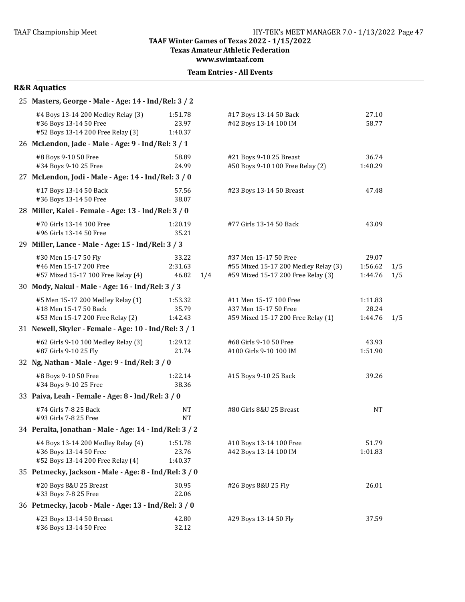**Texas Amateur Athletic Federation**

**www.swimtaaf.com**

**Team Entries - All Events** 

| 25 Masters, George - Male - Age: 14 - Ind/Rel: 3 / 2                                              |                                  |                                                                                                     |                             |            |
|---------------------------------------------------------------------------------------------------|----------------------------------|-----------------------------------------------------------------------------------------------------|-----------------------------|------------|
| #4 Boys 13-14 200 Medley Relay (3)<br>#36 Boys 13-14 50 Free<br>#52 Boys 13-14 200 Free Relay (3) | 1:51.78<br>23.97<br>1:40.37      | #17 Boys 13-14 50 Back<br>#42 Boys 13-14 100 IM                                                     | 27.10<br>58.77              |            |
| 26 McLendon, Jade - Male - Age: 9 - Ind/Rel: 3 / 1                                                |                                  |                                                                                                     |                             |            |
| #8 Boys 9-10 50 Free<br>#34 Boys 9-10 25 Free                                                     | 58.89<br>24.99                   | #21 Boys 9-10 25 Breast<br>#50 Boys 9-10 100 Free Relay (2)                                         | 36.74<br>1:40.29            |            |
| 27 McLendon, Jodi - Male - Age: 14 - Ind/Rel: 3 / 0                                               |                                  |                                                                                                     |                             |            |
| #17 Boys 13-14 50 Back<br>#36 Boys 13-14 50 Free                                                  | 57.56<br>38.07                   | #23 Boys 13-14 50 Breast                                                                            | 47.48                       |            |
| 28 Miller, Kalei - Female - Age: 13 - Ind/Rel: 3 / 0                                              |                                  |                                                                                                     |                             |            |
| #70 Girls 13-14 100 Free<br>#96 Girls 13-14 50 Free                                               | 1:20.19<br>35.21                 | #77 Girls 13-14 50 Back                                                                             | 43.09                       |            |
| 29 Miller, Lance - Male - Age: 15 - Ind/Rel: 3 / 3                                                |                                  |                                                                                                     |                             |            |
| #30 Men 15-17 50 Fly<br>#46 Men 15-17 200 Free<br>#57 Mixed 15-17 100 Free Relay (4)              | 33.22<br>2:31.63<br>46.82<br>1/4 | #37 Men 15-17 50 Free<br>#55 Mixed 15-17 200 Medley Relay (3)<br>#59 Mixed 15-17 200 Free Relay (3) | 29.07<br>1:56.62<br>1:44.76 | 1/5<br>1/5 |
| 30 Mody, Nakul - Male - Age: 16 - Ind/Rel: 3 / 3                                                  |                                  |                                                                                                     |                             |            |
| #5 Men 15-17 200 Medley Relay (1)<br>#18 Men 15-17 50 Back<br>#53 Men 15-17 200 Free Relay (2)    | 1:53.32<br>35.79<br>1:42.43      | #11 Men 15-17 100 Free<br>#37 Men 15-17 50 Free<br>#59 Mixed 15-17 200 Free Relay (1)               | 1:11.83<br>28.24<br>1:44.76 | 1/5        |
| 31 Newell, Skyler - Female - Age: 10 - Ind/Rel: 3 / 1                                             |                                  |                                                                                                     |                             |            |
| #62 Girls 9-10 100 Medley Relay (3)<br>#87 Girls 9-10 25 Fly                                      | 1:29.12<br>21.74                 | #68 Girls 9-10 50 Free<br>#100 Girls 9-10 100 IM                                                    | 43.93<br>1:51.90            |            |
| 32 Ng, Nathan - Male - Age: 9 - Ind/Rel: 3 / 0                                                    |                                  |                                                                                                     |                             |            |
| #8 Boys 9-10 50 Free<br>#34 Boys 9-10 25 Free                                                     | 1:22.14<br>38.36                 | #15 Boys 9-10 25 Back                                                                               | 39.26                       |            |
| 33 Paiva, Leah - Female - Age: 8 - Ind/Rel: 3 / 0                                                 |                                  |                                                                                                     |                             |            |
| #74 Girls 7-8 25 Back<br>#93 Girls 7-8 25 Free                                                    | <b>NT</b><br><b>NT</b>           | #80 Girls 8&U 25 Breast                                                                             | <b>NT</b>                   |            |
| 34 Peralta, Jonathan - Male - Age: 14 - Ind/Rel: 3 / 2                                            |                                  |                                                                                                     |                             |            |
| #4 Boys 13-14 200 Medley Relay (4)<br>#36 Boys 13-14 50 Free<br>#52 Boys 13-14 200 Free Relay (4) | 1:51.78<br>23.76<br>1:40.37      | #10 Boys 13-14 100 Free<br>#42 Boys 13-14 100 IM                                                    | 51.79<br>1:01.83            |            |
| 35 Petmecky, Jackson - Male - Age: 8 - Ind/Rel: 3 / 0                                             |                                  |                                                                                                     |                             |            |
| #20 Boys 8&U 25 Breast<br>#33 Boys 7-8 25 Free                                                    | 30.95<br>22.06                   | #26 Boys 8&U 25 Fly                                                                                 | 26.01                       |            |
| 36 Petmecky, Jacob - Male - Age: 13 - Ind/Rel: 3 / 0                                              |                                  |                                                                                                     |                             |            |
| #23 Boys 13-14 50 Breast<br>#36 Boys 13-14 50 Free                                                | 42.80<br>32.12                   | #29 Boys 13-14 50 Fly                                                                               | 37.59                       |            |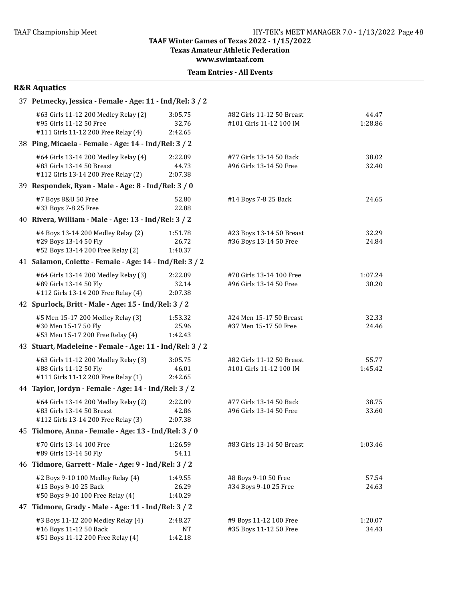**Texas Amateur Athletic Federation** 

**www.swimtaaf.com**

**Team Entries - All Events** 

| 37 Petmecky, Jessica - Female - Age: 11 - Ind/Rel: 3 / 2 |  |
|----------------------------------------------------------|--|
|                                                          |  |

| #63 Girls 11-12 200 Medley Relay (2)<br>#95 Girls 11-12 50 Free<br>#111 Girls 11-12 200 Free Relay (4)   | 3:05.75<br>32.76<br>2:42.65     | #82 Girls 11-12 50 Breast<br>#101 Girls 11-12 100 IM | 44.47<br>1:28.86 |
|----------------------------------------------------------------------------------------------------------|---------------------------------|------------------------------------------------------|------------------|
| 38 Ping, Micaela - Female - Age: 14 - Ind/Rel: 3 / 2                                                     |                                 |                                                      |                  |
| #64 Girls 13-14 200 Medley Relay (4)<br>#83 Girls 13-14 50 Breast<br>#112 Girls 13-14 200 Free Relay (2) | 2:22.09<br>44.73<br>2:07.38     | #77 Girls 13-14 50 Back<br>#96 Girls 13-14 50 Free   | 38.02<br>32.40   |
| 39 Respondek, Ryan - Male - Age: 8 - Ind/Rel: 3 / 0                                                      |                                 |                                                      |                  |
| #7 Boys 8&U 50 Free<br>#33 Boys 7-8 25 Free                                                              | 52.80<br>22.88                  | #14 Boys 7-8 25 Back                                 | 24.65            |
| 40 Rivera, William - Male - Age: 13 - Ind/Rel: 3 / 2                                                     |                                 |                                                      |                  |
| #4 Boys 13-14 200 Medley Relay (2)<br>#29 Boys 13-14 50 Fly<br>#52 Boys 13-14 200 Free Relay (2)         | 1:51.78<br>26.72<br>1:40.37     | #23 Boys 13-14 50 Breast<br>#36 Boys 13-14 50 Free   | 32.29<br>24.84   |
| 41 Salamon, Colette - Female - Age: 14 - Ind/Rel: 3 / 2                                                  |                                 |                                                      |                  |
| #64 Girls 13-14 200 Medley Relay (3)<br>#89 Girls 13-14 50 Fly<br>#112 Girls 13-14 200 Free Relay (4)    | 2:22.09<br>32.14<br>2:07.38     | #70 Girls 13-14 100 Free<br>#96 Girls 13-14 50 Free  | 1:07.24<br>30.20 |
| 42 Spurlock, Britt - Male - Age: 15 - Ind/Rel: 3 / 2                                                     |                                 |                                                      |                  |
| #5 Men 15-17 200 Medley Relay (3)<br>#30 Men 15-17 50 Fly<br>#53 Men 15-17 200 Free Relay (4)            | 1:53.32<br>25.96<br>1:42.43     | #24 Men 15-17 50 Breast<br>#37 Men 15-17 50 Free     | 32.33<br>24.46   |
| 43 Stuart, Madeleine - Female - Age: 11 - Ind/Rel: 3 / 2                                                 |                                 |                                                      |                  |
| #63 Girls 11-12 200 Medley Relay (3)<br>#88 Girls 11-12 50 Fly<br>#111 Girls 11-12 200 Free Relay (1)    | 3:05.75<br>46.01<br>2:42.65     | #82 Girls 11-12 50 Breast<br>#101 Girls 11-12 100 IM | 55.77<br>1:45.42 |
| 44 Taylor, Jordyn - Female - Age: 14 - Ind/Rel: 3 / 2                                                    |                                 |                                                      |                  |
| #64 Girls 13-14 200 Medley Relay (2)<br>#83 Girls 13-14 50 Breast<br>#112 Girls 13-14 200 Free Relay (3) | 2:22.09<br>42.86<br>2:07.38     | #77 Girls 13-14 50 Back<br>#96 Girls 13-14 50 Free   | 38.75<br>33.60   |
| 45 Tidmore, Anna - Female - Age: 13 - Ind/Rel: 3 / 0                                                     |                                 |                                                      |                  |
| #70 Girls 13-14 100 Free<br>#89 Girls 13-14 50 Fly                                                       | 1:26.59<br>54.11                | #83 Girls 13-14 50 Breast                            | 1:03.46          |
| 46 Tidmore, Garrett - Male - Age: 9 - Ind/Rel: 3 / 2                                                     |                                 |                                                      |                  |
| #2 Boys 9-10 100 Medley Relay (4)<br>#15 Boys 9-10 25 Back<br>#50 Boys 9-10 100 Free Relay (4)           | 1:49.55<br>26.29<br>1:40.29     | #8 Boys 9-10 50 Free<br>#34 Boys 9-10 25 Free        | 57.54<br>24.63   |
| 47 Tidmore, Grady - Male - Age: 11 - Ind/Rel: 3 / 2                                                      |                                 |                                                      |                  |
| #3 Boys 11-12 200 Medley Relay (4)<br>#16 Boys 11-12 50 Back<br>#51 Boys 11-12 200 Free Relay (4)        | 2:48.27<br><b>NT</b><br>1:42.18 | #9 Boys 11-12 100 Free<br>#35 Boys 11-12 50 Free     | 1:20.07<br>34.43 |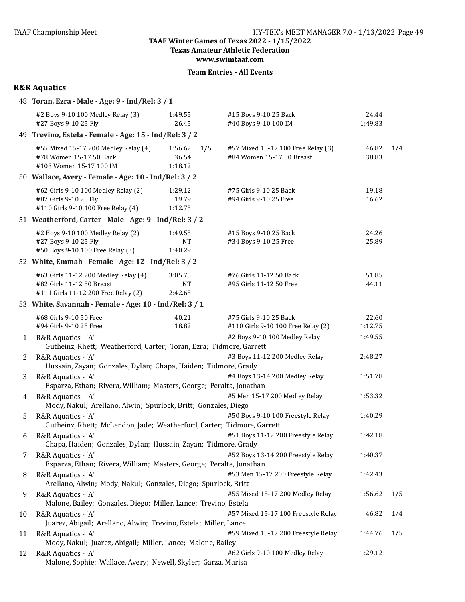**Texas Amateur Athletic Federation** 

**www.swimtaaf.com**

|  | <b>Team Entries - All Events</b> |  |  |
|--|----------------------------------|--|--|
|--|----------------------------------|--|--|

| <b>R&amp;R Aquatics</b> |  |
|-------------------------|--|
|-------------------------|--|

|    | 48 Toran, Ezra - Male - Age: 9 - Ind/Rel: 3 / 1                                                          |                                    |                                                                 |                  |     |
|----|----------------------------------------------------------------------------------------------------------|------------------------------------|-----------------------------------------------------------------|------------------|-----|
|    | #2 Boys 9-10 100 Medley Relay (3)<br>#27 Boys 9-10 25 Fly                                                | 1:49.55<br>26.45                   | #15 Boys 9-10 25 Back<br>#40 Boys 9-10 100 IM                   | 24.44<br>1:49.83 |     |
|    | 49 Trevino, Estela - Female - Age: 15 - Ind/Rel: 3 / 2                                                   |                                    |                                                                 |                  |     |
|    | #55 Mixed 15-17 200 Medley Relay (4)<br>#78 Women 15-17 50 Back<br>#103 Women 15-17 100 IM               | 1:56.62<br>1/5<br>36.54<br>1:18.12 | #57 Mixed 15-17 100 Free Relay (3)<br>#84 Women 15-17 50 Breast | 46.82<br>38.83   | 1/4 |
|    | 50 Wallace, Avery - Female - Age: 10 - Ind/Rel: 3 / 2                                                    |                                    |                                                                 |                  |     |
|    | #62 Girls 9-10 100 Medley Relay (2)<br>#87 Girls 9-10 25 Fly<br>#110 Girls 9-10 100 Free Relay (4)       | 1:29.12<br>19.79<br>1:12.75        | #75 Girls 9-10 25 Back<br>#94 Girls 9-10 25 Free                | 19.18<br>16.62   |     |
|    | 51 Weatherford, Carter - Male - Age: 9 - Ind/Rel: 3 / 2                                                  |                                    |                                                                 |                  |     |
|    | #2 Boys 9-10 100 Medley Relay (2)<br>#27 Boys 9-10 25 Fly<br>#50 Boys 9-10 100 Free Relay (3)            | 1:49.55<br><b>NT</b><br>1:40.29    | #15 Boys 9-10 25 Back<br>#34 Boys 9-10 25 Free                  | 24.26<br>25.89   |     |
|    | 52 White, Emmah - Female - Age: 12 - Ind/Rel: 3 / 2                                                      |                                    |                                                                 |                  |     |
|    | #63 Girls 11-12 200 Medley Relay (4)<br>#82 Girls 11-12 50 Breast<br>#111 Girls 11-12 200 Free Relay (2) | 3:05.75<br><b>NT</b><br>2:42.65    | #76 Girls 11-12 50 Back<br>#95 Girls 11-12 50 Free              | 51.85<br>44.11   |     |
|    | 53 White, Savannah - Female - Age: 10 - Ind/Rel: 3 / 1                                                   |                                    |                                                                 |                  |     |
|    | #68 Girls 9-10 50 Free<br>#94 Girls 9-10 25 Free                                                         | 40.21<br>18.82                     | #75 Girls 9-10 25 Back<br>#110 Girls 9-10 100 Free Relay (2)    | 22.60<br>1:12.75 |     |
| 1  | R&R Aquatics - 'A'<br>Gutheinz, Rhett; Weatherford, Carter; Toran, Ezra; Tidmore, Garrett                |                                    | #2 Boys 9-10 100 Medley Relay                                   | 1:49.55          |     |
| 2  | R&R Aquatics - 'A'<br>Hussain, Zayan; Gonzales, Dylan; Chapa, Haiden; Tidmore, Grady                     |                                    | #3 Boys 11-12 200 Medley Relay                                  | 2:48.27          |     |
| 3  | R&R Aquatics - 'A'<br>Esparza, Ethan; Rivera, William; Masters, George; Peralta, Jonathan                |                                    | #4 Boys 13-14 200 Medley Relay                                  | 1:51.78          |     |
| 4  | R&R Aquatics - 'A'<br>Mody, Nakul; Arellano, Alwin; Spurlock, Britt; Gonzales, Diego                     |                                    | #5 Men 15-17 200 Medley Relay                                   | 1:53.32          |     |
| 5  | R&R Aquatics - 'A'<br>Gutheinz, Rhett; McLendon, Jade; Weatherford, Carter; Tidmore, Garrett             |                                    | #50 Boys 9-10 100 Freestyle Relay                               | 1:40.29          |     |
|    | 6 R&R Aquatics - 'A'<br>Chapa, Haiden; Gonzales, Dylan; Hussain, Zayan; Tidmore, Grady                   |                                    | #51 Boys 11-12 200 Freestyle Relay                              | 1:42.18          |     |
| 7  | R&R Aquatics - 'A'<br>Esparza, Ethan; Rivera, William; Masters, George; Peralta, Jonathan                |                                    | #52 Boys 13-14 200 Freestyle Relay                              | 1:40.37          |     |
| 8  | R&R Aquatics - 'A'<br>Arellano, Alwin; Mody, Nakul; Gonzales, Diego; Spurlock, Britt                     |                                    | #53 Men 15-17 200 Freestyle Relay                               | 1:42.43          |     |
| 9  | R&R Aquatics - 'A'<br>Malone, Bailey; Gonzales, Diego; Miller, Lance; Trevino, Estela                    |                                    | #55 Mixed 15-17 200 Medley Relay                                | 1:56.62          | 1/5 |
| 10 | R&R Aquatics - 'A'<br>Juarez, Abigail; Arellano, Alwin; Trevino, Estela; Miller, Lance                   |                                    | #57 Mixed 15-17 100 Freestyle Relay                             | 46.82            | 1/4 |
| 11 | R&R Aquatics - 'A'<br>Mody, Nakul; Juarez, Abigail; Miller, Lance; Malone, Bailey                        |                                    | #59 Mixed 15-17 200 Freestyle Relay                             | 1:44.76          | 1/5 |
| 12 | R&R Aquatics - 'A'<br>Malone, Sophie; Wallace, Avery; Newell, Skyler; Garza, Marisa                      |                                    | #62 Girls 9-10 100 Medley Relay                                 | 1:29.12          |     |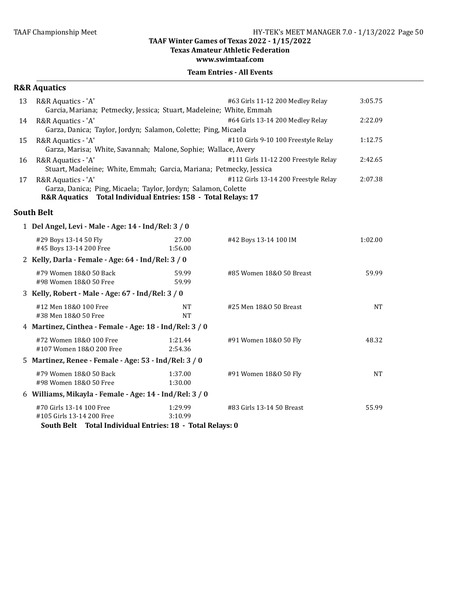**Texas Amateur Athletic Federation** 

#### **www.swimtaaf.com**

|    | <b>R&amp;R Aquatics</b>                                                                                                                               |                    |                                      |           |
|----|-------------------------------------------------------------------------------------------------------------------------------------------------------|--------------------|--------------------------------------|-----------|
| 13 | R&R Aquatics - 'A'<br>Garcia, Mariana; Petmecky, Jessica; Stuart, Madeleine; White, Emmah                                                             |                    | #63 Girls 11-12 200 Medley Relay     | 3:05.75   |
| 14 | R&R Aquatics - 'A'<br>Garza, Danica; Taylor, Jordyn; Salamon, Colette; Ping, Micaela                                                                  |                    | #64 Girls 13-14 200 Medley Relay     | 2:22.09   |
| 15 | R&R Aquatics - 'A'<br>Garza, Marisa; White, Savannah; Malone, Sophie; Wallace, Avery                                                                  |                    | #110 Girls 9-10 100 Freestyle Relay  | 1:12.75   |
| 16 | R&R Aquatics - 'A'<br>Stuart, Madeleine; White, Emmah; Garcia, Mariana; Petmecky, Jessica                                                             |                    | #111 Girls 11-12 200 Freestyle Relay | 2:42.65   |
| 17 | R&R Aquatics - 'A'<br>Garza, Danica; Ping, Micaela; Taylor, Jordyn; Salamon, Colette<br>R&R Aquatics Total Individual Entries: 158 - Total Relays: 17 |                    | #112 Girls 13-14 200 Freestyle Relay | 2:07.38   |
|    | <b>South Belt</b>                                                                                                                                     |                    |                                      |           |
|    | 1 Del Angel, Levi - Male - Age: 14 - Ind/Rel: 3 / 0                                                                                                   |                    |                                      |           |
|    | #29 Boys 13-14 50 Fly<br>#45 Boys 13-14 200 Free                                                                                                      | 27.00<br>1:56.00   | #42 Boys 13-14 100 IM                | 1:02.00   |
|    | 2 Kelly, Darla - Female - Age: 64 - Ind/Rel: 3 / 0                                                                                                    |                    |                                      |           |
|    | #79 Women 18&0 50 Back<br>#98 Women 18&0 50 Free                                                                                                      | 59.99<br>59.99     | #85 Women 18&0 50 Breast             | 59.99     |
|    | 3 Kelly, Robert - Male - Age: 67 - Ind/Rel: 3 / 0                                                                                                     |                    |                                      |           |
|    | #12 Men 18&0 100 Free<br>#38 Men 18&0 50 Free                                                                                                         | NT<br><b>NT</b>    | #25 Men 18&0 50 Breast               | <b>NT</b> |
|    | 4 Martinez, Cinthea - Female - Age: 18 - Ind/Rel: 3 / 0                                                                                               |                    |                                      |           |
|    | #72 Women 18&0 100 Free<br>#107 Women 18&0 200 Free                                                                                                   | 1:21.44<br>2:54.36 | #91 Women 18&0 50 Fly                | 48.32     |
|    | 5 Martinez, Renee - Female - Age: 53 - Ind/Rel: 3 / 0                                                                                                 |                    |                                      |           |
|    | #79 Women 18&0 50 Back<br>#98 Women 18&0 50 Free                                                                                                      | 1:37.00<br>1:30.00 | #91 Women 18&0 50 Fly                | <b>NT</b> |
|    | 6 Williams, Mikayla - Female - Age: 14 - Ind/Rel: 3 / 0                                                                                               |                    |                                      |           |
|    | #70 Girls 13-14 100 Free<br>#105 Girls 13-14 200 Free<br>South Belt Total Individual Entries: 18 - Total Relays: 0                                    | 1:29.99<br>3:10.99 | #83 Girls 13-14 50 Breast            | 55.99     |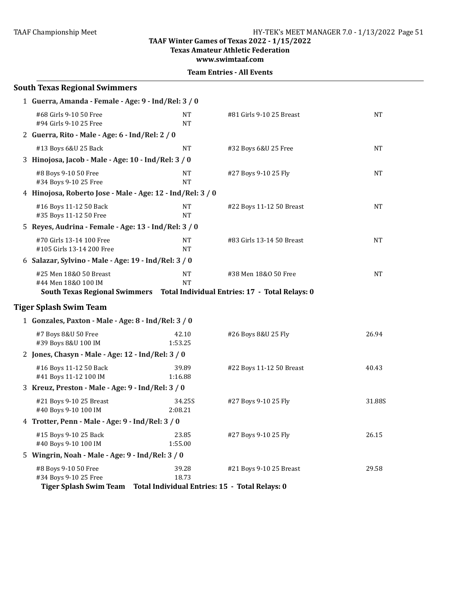**Texas Amateur Athletic Federation** 

**www.swimtaaf.com**

| <b>South Texas Regional Swimmers</b>                                           |                        |                                                                                                       |           |
|--------------------------------------------------------------------------------|------------------------|-------------------------------------------------------------------------------------------------------|-----------|
| 1 Guerra, Amanda - Female - Age: 9 - Ind/Rel: 3 / 0                            |                        |                                                                                                       |           |
| #68 Girls 9-10 50 Free<br>#94 Girls 9-10 25 Free                               | <b>NT</b><br>NT        | #81 Girls 9-10 25 Breast                                                                              | <b>NT</b> |
| 2 Guerra, Rito - Male - Age: 6 - Ind/Rel: 2 / 0                                |                        |                                                                                                       |           |
| #13 Boys 6&U 25 Back                                                           | <b>NT</b>              | #32 Boys 6&U 25 Free                                                                                  | <b>NT</b> |
| 3 Hinojosa, Jacob - Male - Age: 10 - Ind/Rel: 3 / 0                            |                        |                                                                                                       |           |
| #8 Boys 9-10 50 Free<br>#34 Boys 9-10 25 Free                                  | NΤ<br><b>NT</b>        | #27 Boys 9-10 25 Fly                                                                                  | NT        |
| 4 Hinojosa, Roberto Jose - Male - Age: 12 - Ind/Rel: 3 / 0                     |                        |                                                                                                       |           |
| #16 Boys 11-12 50 Back<br>#35 Boys 11-12 50 Free                               | <b>NT</b><br><b>NT</b> | #22 Boys 11-12 50 Breast                                                                              | <b>NT</b> |
| 5 Reyes, Audrina - Female - Age: 13 - Ind/Rel: 3 / 0                           |                        |                                                                                                       |           |
| #70 Girls 13-14 100 Free<br>#105 Girls 13-14 200 Free                          | <b>NT</b><br>NT        | #83 Girls 13-14 50 Breast                                                                             | <b>NT</b> |
| 6 Salazar, Sylvino - Male - Age: 19 - Ind/Rel: 3 / 0                           |                        |                                                                                                       |           |
| #25 Men 18&0 50 Breast<br>#44 Men 18&0 100 IM                                  | NT<br><b>NT</b>        | #38 Men 18&0 50 Free<br>South Texas Regional Swimmers  Total Individual Entries: 17 - Total Relays: 0 | NT        |
| <b>Tiger Splash Swim Team</b>                                                  |                        |                                                                                                       |           |
| 1 Gonzales, Paxton - Male - Age: 8 - Ind/Rel: 3 / 0                            |                        |                                                                                                       |           |
| #7 Boys 8&U 50 Free<br>#39 Boys 8&U 100 IM                                     | 42.10<br>1:53.25       | #26 Boys 8&U 25 Fly                                                                                   | 26.94     |
| 2 Jones, Chasyn - Male - Age: 12 - Ind/Rel: 3 / 0                              |                        |                                                                                                       |           |
| #16 Boys 11-12 50 Back<br>#41 Boys 11-12 100 IM                                | 39.89<br>1:16.88       | #22 Boys 11-12 50 Breast                                                                              | 40.43     |
| 3 Kreuz, Preston - Male - Age: 9 - Ind/Rel: 3 / 0                              |                        |                                                                                                       |           |
| #21 Boys 9-10 25 Breast<br>#40 Boys 9-10 100 IM                                | 34.25S<br>2:08.21      | #27 Boys 9-10 25 Fly                                                                                  | 31.88S    |
| 4 Trotter, Penn - Male - Age: 9 - Ind/Rel: 3 / 0                               |                        |                                                                                                       |           |
| #15 Boys 9-10 25 Back<br>#40 Boys 9-10 100 IM                                  | 23.85<br>1:55.00       | #27 Boys 9-10 25 Fly                                                                                  | 26.15     |
| 5 Wingrin, Noah - Male - Age: 9 - Ind/Rel: 3 / 0                               |                        |                                                                                                       |           |
| #8 Boys 9-10 50 Free<br>#34 Boys 9-10 25 Free<br><b>Tiger Splash Swim Team</b> | 39.28<br>18.73         | #21 Boys 9-10 25 Breast<br>Total Individual Entries: 15 - Total Relays: 0                             | 29.58     |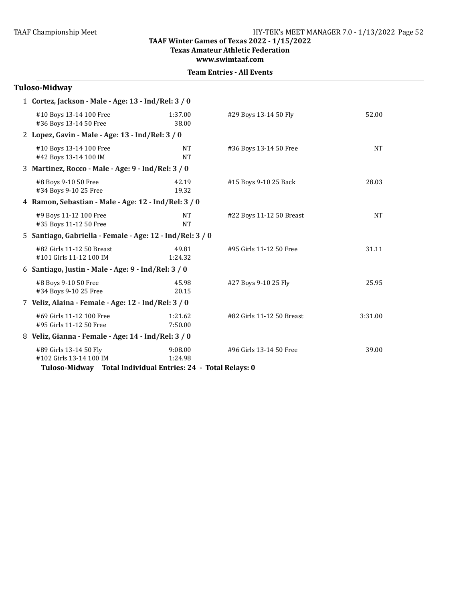**Texas Amateur Athletic Federation**

**www.swimtaaf.com**

|  | <b>Team Entries - All Events</b> |  |  |
|--|----------------------------------|--|--|
|--|----------------------------------|--|--|

| Tuloso-Midway                                                                                                     |                                                     |                           |           |  |  |
|-------------------------------------------------------------------------------------------------------------------|-----------------------------------------------------|---------------------------|-----------|--|--|
| 1 Cortez, Jackson - Male - Age: 13 - Ind/Rel: 3 / 0                                                               |                                                     |                           |           |  |  |
| #10 Boys 13-14 100 Free<br>#36 Boys 13-14 50 Free                                                                 | 1:37.00<br>38.00                                    | #29 Boys 13-14 50 Fly     | 52.00     |  |  |
| 2 Lopez, Gavin - Male - Age: 13 - Ind/Rel: 3 / 0                                                                  |                                                     |                           |           |  |  |
| #10 Boys 13-14 100 Free<br>#42 Boys 13-14 100 IM                                                                  | <b>NT</b><br><b>NT</b>                              | #36 Boys 13-14 50 Free    | <b>NT</b> |  |  |
| 3 Martinez, Rocco - Male - Age: 9 - Ind/Rel: 3 / 0                                                                |                                                     |                           |           |  |  |
| #8 Boys 9-10 50 Free<br>#34 Boys 9-10 25 Free                                                                     | 42.19<br>19.32                                      | #15 Boys 9-10 25 Back     | 28.03     |  |  |
| 4 Ramon, Sebastian - Male - Age: 12 - Ind/Rel: 3 / 0                                                              |                                                     |                           |           |  |  |
| #9 Boys 11-12 100 Free<br>#35 Boys 11-12 50 Free                                                                  | <b>NT</b><br><b>NT</b>                              | #22 Boys 11-12 50 Breast  | <b>NT</b> |  |  |
| 5 Santiago, Gabriella - Female - Age: 12 - Ind/Rel: 3 / 0                                                         |                                                     |                           |           |  |  |
| #82 Girls 11-12 50 Breast<br>#101 Girls 11-12 100 IM                                                              | 49.81<br>1:24.32                                    | #95 Girls 11-12 50 Free   | 31.11     |  |  |
| 6 Santiago, Justin - Male - Age: 9 - Ind/Rel: 3 / 0                                                               |                                                     |                           |           |  |  |
| #8 Boys 9-10 50 Free<br>#34 Boys 9-10 25 Free                                                                     | 45.98<br>20.15                                      | #27 Boys 9-10 25 Fly      | 25.95     |  |  |
| 7 Veliz, Alaina - Female - Age: 12 - Ind/Rel: 3 / 0                                                               |                                                     |                           |           |  |  |
| #69 Girls 11-12 100 Free<br>#95 Girls 11-12 50 Free                                                               | 1:21.62<br>7:50.00                                  | #82 Girls 11-12 50 Breast | 3:31.00   |  |  |
|                                                                                                                   | 8 Veliz, Gianna - Female - Age: 14 - Ind/Rel: 3 / 0 |                           |           |  |  |
| #89 Girls 13-14 50 Fly<br>#102 Girls 13-14 100 IM<br>Tuloso-Midway Total Individual Entries: 24 - Total Relays: 0 | 9:08.00<br>1:24.98                                  | #96 Girls 13-14 50 Free   | 39.00     |  |  |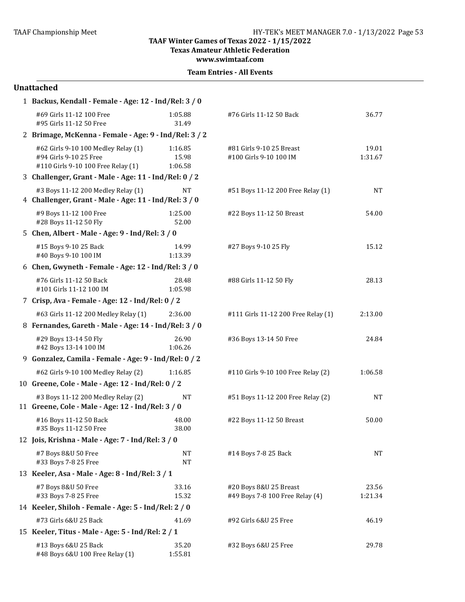**Texas Amateur Athletic Federation**

**www.swimtaaf.com**

| <b>Team Entries - All Events</b> |  |  |
|----------------------------------|--|--|
|----------------------------------|--|--|

#### **Unattached**

| 1 Backus, Kendall - Female - Age: 12 - Ind/Rel: 3 / 0                                               |                             |                                                           |                  |
|-----------------------------------------------------------------------------------------------------|-----------------------------|-----------------------------------------------------------|------------------|
| #69 Girls 11-12 100 Free<br>#95 Girls 11-12 50 Free                                                 | 1:05.88<br>31.49            | #76 Girls 11-12 50 Back                                   | 36.77            |
| 2 Brimage, McKenna - Female - Age: 9 - Ind/Rel: 3 / 2                                               |                             |                                                           |                  |
| #62 Girls 9-10 100 Medley Relay (1)<br>#94 Girls 9-10 25 Free<br>#110 Girls 9-10 100 Free Relay (1) | 1:16.85<br>15.98<br>1:06.58 | #81 Girls 9-10 25 Breast<br>#100 Girls 9-10 100 IM        | 19.01<br>1:31.67 |
| 3 Challenger, Grant - Male - Age: 11 - Ind/Rel: 0 / 2                                               |                             |                                                           |                  |
| #3 Boys 11-12 200 Medley Relay (1)<br>4 Challenger, Grant - Male - Age: 11 - Ind/Rel: 3 / 0         | <b>NT</b>                   | #51 Boys 11-12 200 Free Relay (1)                         | <b>NT</b>        |
| #9 Boys 11-12 100 Free<br>#28 Boys 11-12 50 Fly                                                     | 1:25.00<br>52.00            | #22 Boys 11-12 50 Breast                                  | 54.00            |
| 5 Chen, Albert - Male - Age: 9 - Ind/Rel: 3 / 0                                                     |                             |                                                           |                  |
| #15 Boys 9-10 25 Back<br>#40 Boys 9-10 100 IM                                                       | 14.99<br>1:13.39            | #27 Boys 9-10 25 Fly                                      | 15.12            |
| 6 Chen, Gwyneth - Female - Age: 12 - Ind/Rel: 3 / 0                                                 |                             |                                                           |                  |
| #76 Girls 11-12 50 Back<br>#101 Girls 11-12 100 IM                                                  | 28.48<br>1:05.98            | #88 Girls 11-12 50 Fly                                    | 28.13            |
| 7 Crisp, Ava - Female - Age: 12 - Ind/Rel: 0 / 2                                                    |                             |                                                           |                  |
| #63 Girls 11-12 200 Medley Relay (1)                                                                | 2:36.00                     | #111 Girls 11-12 200 Free Relay (1)                       | 2:13.00          |
| 8 Fernandes, Gareth - Male - Age: 14 - Ind/Rel: 3 / 0                                               |                             |                                                           |                  |
| #29 Boys 13-14 50 Fly<br>#42 Boys 13-14 100 IM                                                      | 26.90<br>1:06.26            | #36 Boys 13-14 50 Free                                    | 24.84            |
| 9 Gonzalez, Camila - Female - Age: 9 - Ind/Rel: 0 / 2                                               |                             |                                                           |                  |
| #62 Girls 9-10 100 Medley Relay (2)                                                                 | 1:16.85                     | #110 Girls 9-10 100 Free Relay (2)                        | 1:06.58          |
| 10 Greene, Cole - Male - Age: 12 - Ind/Rel: 0 / 2                                                   |                             |                                                           |                  |
| #3 Boys 11-12 200 Medley Relay (2)<br>11 Greene, Cole - Male - Age: 12 - Ind/Rel: 3 / 0             | <b>NT</b>                   | #51 Boys 11-12 200 Free Relay (2)                         | <b>NT</b>        |
| #16 Boys 11-12 50 Back<br>#35 Boys 11-12 50 Free                                                    | 48.00<br>38.00              | #22 Boys 11-12 50 Breast                                  | 50.00            |
| 12 Jois, Krishna - Male - Age: 7 - Ind/Rel: 3 / 0                                                   |                             |                                                           |                  |
| #7 Boys 8&U 50 Free<br>#33 Boys 7-8 25 Free                                                         | NT<br><b>NT</b>             | #14 Boys 7-8 25 Back                                      | <b>NT</b>        |
| 13 Keeler, Asa - Male - Age: 8 - Ind/Rel: 3 / 1                                                     |                             |                                                           |                  |
| #7 Boys 8&U 50 Free<br>#33 Boys 7-8 25 Free                                                         | 33.16<br>15.32              | #20 Boys 8&U 25 Breast<br>#49 Boys 7-8 100 Free Relay (4) | 23.56<br>1:21.34 |
| 14 Keeler, Shiloh - Female - Age: 5 - Ind/Rel: 2 / 0                                                |                             |                                                           |                  |
| #73 Girls 6&U 25 Back                                                                               | 41.69                       | #92 Girls 6&U 25 Free                                     | 46.19            |
| 15 Keeler, Titus - Male - Age: 5 - Ind/Rel: 2 / 1                                                   |                             |                                                           |                  |
| #13 Boys 6&U 25 Back<br>#48 Boys 6&U 100 Free Relay (1)                                             | 35.20<br>1:55.81            | #32 Boys 6&U 25 Free                                      | 29.78            |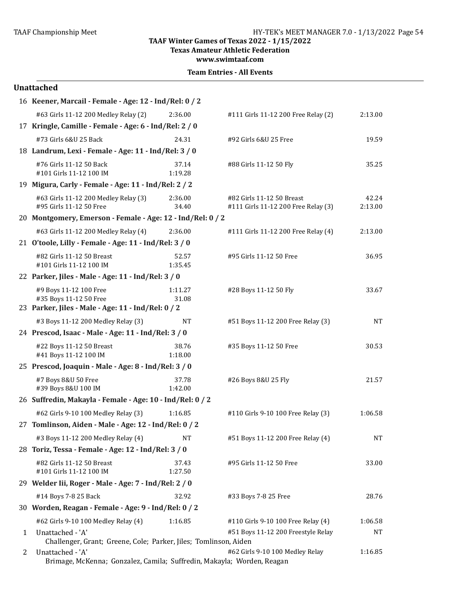**Texas Amateur Athletic Federation** 

**www.swimtaaf.com**

|  | <b>Team Entries - All Events</b> |  |  |
|--|----------------------------------|--|--|
|--|----------------------------------|--|--|

|   | 16 Keener, Marcail - Female - Age: 12 - Ind/Rel: 0 / 2                                                 |                  |                                                                  |                  |
|---|--------------------------------------------------------------------------------------------------------|------------------|------------------------------------------------------------------|------------------|
|   | #63 Girls 11-12 200 Medley Relay (2)                                                                   | 2:36.00          | #111 Girls 11-12 200 Free Relay (2)                              | 2:13.00          |
|   | 17 Kringle, Camille - Female - Age: 6 - Ind/Rel: 2 / 0                                                 |                  |                                                                  |                  |
|   | #73 Girls 6&U 25 Back                                                                                  | 24.31            | #92 Girls 6&U 25 Free                                            | 19.59            |
|   | 18 Landrum, Lexi - Female - Age: 11 - Ind/Rel: 3 / 0                                                   |                  |                                                                  |                  |
|   | #76 Girls 11-12 50 Back<br>#101 Girls 11-12 100 IM                                                     | 37.14<br>1:19.28 | #88 Girls 11-12 50 Fly                                           | 35.25            |
|   | 19 Migura, Carly - Female - Age: 11 - Ind/Rel: 2 / 2                                                   |                  |                                                                  |                  |
|   | #63 Girls 11-12 200 Medley Relay (3)<br>#95 Girls 11-12 50 Free                                        | 2:36.00<br>34.40 | #82 Girls 11-12 50 Breast<br>#111 Girls 11-12 200 Free Relay (3) | 42.24<br>2:13.00 |
|   | 20 Montgomery, Emerson - Female - Age: 12 - Ind/Rel: 0 / 2                                             |                  |                                                                  |                  |
|   | #63 Girls 11-12 200 Medley Relay (4)                                                                   | 2:36.00          | #111 Girls 11-12 200 Free Relay (4)                              | 2:13.00          |
|   | 21 O'toole, Lilly - Female - Age: 11 - Ind/Rel: 3 / 0                                                  |                  |                                                                  |                  |
|   | #82 Girls 11-12 50 Breast<br>#101 Girls 11-12 100 IM                                                   | 52.57<br>1:35.45 | #95 Girls 11-12 50 Free                                          | 36.95            |
|   | 22 Parker, Jiles - Male - Age: 11 - Ind/Rel: 3 / 0                                                     |                  |                                                                  |                  |
|   | #9 Boys 11-12 100 Free<br>#35 Boys 11-12 50 Free<br>23 Parker, Jiles - Male - Age: 11 - Ind/Rel: 0 / 2 | 1:11.27<br>31.08 | #28 Boys 11-12 50 Fly                                            | 33.67            |
|   | #3 Boys 11-12 200 Medley Relay (3)                                                                     | <b>NT</b>        | #51 Boys 11-12 200 Free Relay (3)                                | NT               |
|   | 24 Prescod, Isaac - Male - Age: 11 - Ind/Rel: 3 / 0                                                    |                  |                                                                  |                  |
|   | #22 Boys 11-12 50 Breast<br>#41 Boys 11-12 100 IM                                                      | 38.76<br>1:18.00 | #35 Boys 11-12 50 Free                                           | 30.53            |
|   | 25 Prescod, Joaquin - Male - Age: 8 - Ind/Rel: 3 / 0                                                   |                  |                                                                  |                  |
|   | #7 Boys 8&U 50 Free<br>#39 Boys 8&U 100 IM                                                             | 37.78<br>1:42.00 | #26 Boys 8&U 25 Fly                                              | 21.57            |
|   | 26 Suffredin, Makayla - Female - Age: 10 - Ind/Rel: 0 / 2                                              |                  |                                                                  |                  |
|   | #62 Girls 9-10 100 Medley Relay (3)                                                                    | 1:16.85          | #110 Girls 9-10 100 Free Relay (3)                               | 1:06.58          |
|   | 27 Tomlinson, Aiden - Male - Age: 12 - Ind/Rel: 0 / 2                                                  |                  |                                                                  |                  |
|   | #3 Boys 11-12 200 Medley Relay (4)                                                                     | NT               | #51 Boys 11-12 200 Free Relay (4)                                | $\rm{NT}$        |
|   | 28 Toriz, Tessa - Female - Age: 12 - Ind/Rel: 3 / 0                                                    |                  |                                                                  |                  |
|   | #82 Girls 11-12 50 Breast<br>#101 Girls 11-12 100 IM                                                   | 37.43<br>1:27.50 | #95 Girls 11-12 50 Free                                          | 33.00            |
|   | 29 Welder Iii, Roger - Male - Age: 7 - Ind/Rel: 2 / 0                                                  |                  |                                                                  |                  |
|   | #14 Boys 7-8 25 Back                                                                                   | 32.92            | #33 Boys 7-8 25 Free                                             | 28.76            |
|   | 30 Worden, Reagan - Female - Age: 9 - Ind/Rel: 0 / 2                                                   |                  |                                                                  |                  |
|   | #62 Girls 9-10 100 Medley Relay (4)                                                                    | 1:16.85          | #110 Girls 9-10 100 Free Relay (4)                               | 1:06.58          |
| 1 | Unattached - 'A'<br>Challenger, Grant; Greene, Cole; Parker, Jiles; Tomlinson, Aiden                   |                  | #51 Boys 11-12 200 Freestyle Relay                               | NT               |
| 2 | Unattached - 'A'<br>Brimage, McKenna; Gonzalez, Camila; Suffredin, Makayla; Worden, Reagan             |                  | #62 Girls 9-10 100 Medley Relay                                  | 1:16.85          |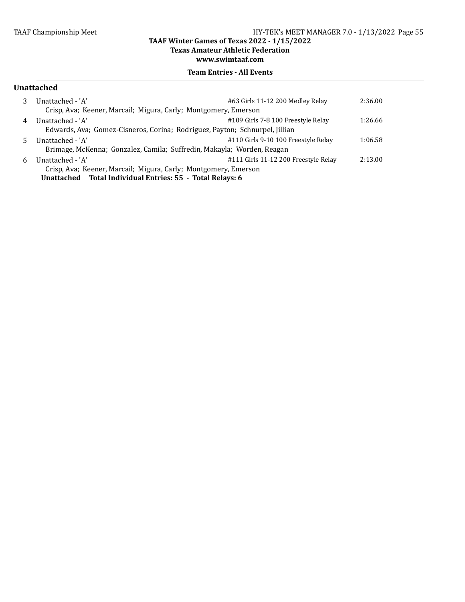**Texas Amateur Athletic Federation**

**www.swimtaaf.com**

### **Team Entries - All Events**

#### **Unattached**

|    | Unattached - 'A'<br>Crisp, Ava; Keener, Marcail; Migura, Carly; Montgomery, Emerson | #63 Girls 11-12 200 Medley Relay     | 2:36.00 |
|----|-------------------------------------------------------------------------------------|--------------------------------------|---------|
| 4  | Unattached - 'A'                                                                    | #109 Girls 7-8 100 Freestyle Relay   | 1:26.66 |
|    | Edwards, Ava; Gomez-Cisneros, Corina; Rodriguez, Payton; Schnurpel, Jillian         |                                      |         |
| 5. | Unattached - 'A'                                                                    | #110 Girls 9-10 100 Freestyle Relay  | 1:06.58 |
|    | Brimage, McKenna; Gonzalez, Camila; Suffredin, Makayla; Worden, Reagan              |                                      |         |
| 6  | Unattached - 'A'                                                                    | #111 Girls 11-12 200 Freestyle Relay | 2:13.00 |
|    | Crisp, Ava; Keener, Marcail; Migura, Carly; Montgomery, Emerson                     |                                      |         |
|    | Unattached Total Individual Entries: 55 - Total Relays: 6                           |                                      |         |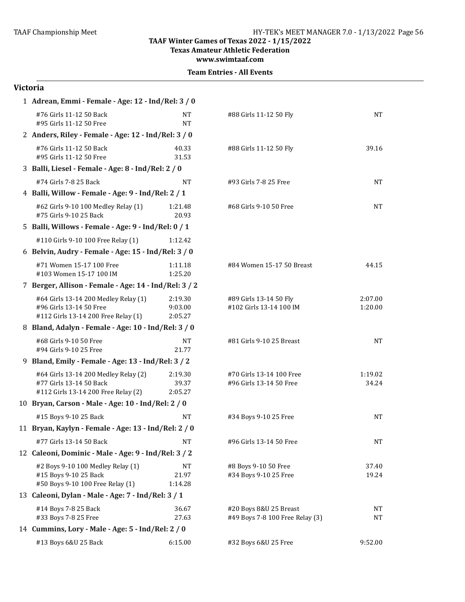**Texas Amateur Athletic Federation**

**www.swimtaaf.com**

| <b>Team Entries - All Events</b> |  |  |
|----------------------------------|--|--|
|----------------------------------|--|--|

| 1 Adrean, Emmi - Female - Age: 12 - Ind/Rel: 3 / 0                                                     |                               |                                                           |                    |
|--------------------------------------------------------------------------------------------------------|-------------------------------|-----------------------------------------------------------|--------------------|
| #76 Girls 11-12 50 Back<br>#95 Girls 11-12 50 Free                                                     | NT<br><b>NT</b>               | #88 Girls 11-12 50 Fly                                    | <b>NT</b>          |
| 2 Anders, Riley - Female - Age: 12 - Ind/Rel: 3 / 0                                                    |                               |                                                           |                    |
| #76 Girls 11-12 50 Back<br>#95 Girls 11-12 50 Free                                                     | 40.33<br>31.53                | #88 Girls 11-12 50 Fly                                    | 39.16              |
| 3 Balli, Liesel - Female - Age: 8 - Ind/Rel: 2 / 0                                                     |                               |                                                           |                    |
| #74 Girls 7-8 25 Back                                                                                  | <b>NT</b>                     | #93 Girls 7-8 25 Free                                     | <b>NT</b>          |
| 4 Balli, Willow - Female - Age: 9 - Ind/Rel: 2 / 1                                                     |                               |                                                           |                    |
| #62 Girls 9-10 100 Medley Relay (1)<br>#75 Girls 9-10 25 Back                                          | 1:21.48<br>20.93              | #68 Girls 9-10 50 Free                                    | <b>NT</b>          |
| 5 Balli, Willows - Female - Age: 9 - Ind/Rel: 0 / 1                                                    |                               |                                                           |                    |
| #110 Girls 9-10 100 Free Relay (1)                                                                     | 1:12.42                       |                                                           |                    |
| 6 Belvin, Audry - Female - Age: 15 - Ind/Rel: 3 / 0                                                    |                               |                                                           |                    |
| #71 Women 15-17 100 Free<br>#103 Women 15-17 100 IM                                                    | 1:11.18<br>1:25.20            | #84 Women 15-17 50 Breast                                 | 44.15              |
| 7 Berger, Allison - Female - Age: 14 - Ind/Rel: 3 / 2                                                  |                               |                                                           |                    |
| #64 Girls 13-14 200 Medley Relay (1)<br>#96 Girls 13-14 50 Free<br>#112 Girls 13-14 200 Free Relay (1) | 2:19.30<br>9:03.00<br>2:05.27 | #89 Girls 13-14 50 Fly<br>#102 Girls 13-14 100 IM         | 2:07.00<br>1:20.00 |
| 8 Bland, Adalyn - Female - Age: 10 - Ind/Rel: 3 / 0                                                    |                               |                                                           |                    |
| #68 Girls 9-10 50 Free<br>#94 Girls 9-10 25 Free                                                       | NT<br>21.77                   | #81 Girls 9-10 25 Breast                                  | <b>NT</b>          |
| 9 Bland, Emily - Female - Age: 13 - Ind/Rel: 3 / 2                                                     |                               |                                                           |                    |
| #64 Girls 13-14 200 Medley Relay (2)<br>#77 Girls 13-14 50 Back<br>#112 Girls 13-14 200 Free Relay (2) | 2:19.30<br>39.37<br>2:05.27   | #70 Girls 13-14 100 Free<br>#96 Girls 13-14 50 Free       | 1:19.02<br>34.24   |
| 10 Bryan, Carson - Male - Age: 10 - Ind/Rel: 2 / 0                                                     |                               |                                                           |                    |
| #15 Boys 9-10 25 Back                                                                                  | NT                            | #34 Boys 9-10 25 Free                                     | <b>NT</b>          |
| 11 Bryan, Kaylyn - Female - Age: 13 - Ind/Rel: 2 / 0                                                   |                               |                                                           |                    |
| #77 Girls 13-14 50 Back                                                                                | <b>NT</b>                     | #96 Girls 13-14 50 Free                                   | NT                 |
| 12 Caleoni, Dominic - Male - Age: 9 - Ind/Rel: 3 / 2                                                   |                               |                                                           |                    |
| #2 Boys 9-10 100 Medley Relay (1)<br>#15 Boys 9-10 25 Back<br>#50 Boys 9-10 100 Free Relay (1)         | NT<br>21.97<br>1:14.28        | #8 Boys 9-10 50 Free<br>#34 Boys 9-10 25 Free             | 37.40<br>19.24     |
| 13 Caleoni, Dylan - Male - Age: 7 - Ind/Rel: 3 / 1                                                     |                               |                                                           |                    |
| #14 Boys 7-8 25 Back<br>#33 Boys 7-8 25 Free                                                           | 36.67<br>27.63                | #20 Boys 8&U 25 Breast<br>#49 Boys 7-8 100 Free Relay (3) | NT<br>NT           |
| 14 Cummins, Lory - Male - Age: 5 - Ind/Rel: 2 / 0                                                      |                               |                                                           |                    |
| #13 Boys 6&U 25 Back                                                                                   | 6:15.00                       | #32 Boys 6&U 25 Free                                      | 9:52.00            |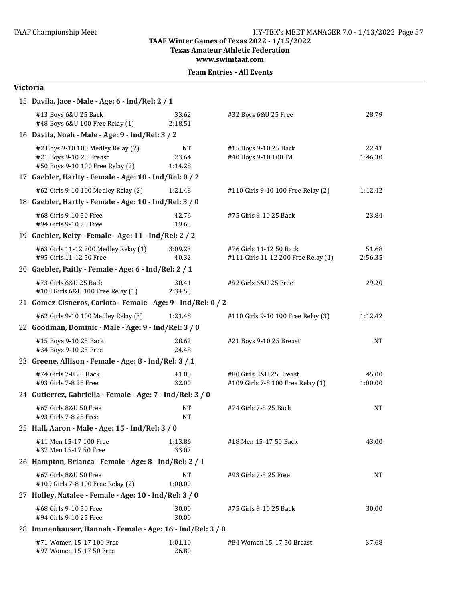**Texas Amateur Athletic Federation**

**www.swimtaaf.com**

|  | <b>Team Entries - All Events</b> |  |  |
|--|----------------------------------|--|--|
|--|----------------------------------|--|--|

| 15 Davila, Jace - Male - Age: 6 - Ind/Rel: 2 / 1                                                 |                               |                                                                |                  |
|--------------------------------------------------------------------------------------------------|-------------------------------|----------------------------------------------------------------|------------------|
| #13 Boys 6&U 25 Back<br>#48 Boys 6&U 100 Free Relay (1)                                          | 33.62<br>2:18.51              | #32 Boys 6&U 25 Free                                           | 28.79            |
| 16 Davila, Noah - Male - Age: 9 - Ind/Rel: 3 / 2                                                 |                               |                                                                |                  |
| #2 Boys 9-10 100 Medley Relay (2)<br>#21 Boys 9-10 25 Breast<br>#50 Boys 9-10 100 Free Relay (2) | <b>NT</b><br>23.64<br>1:14.28 | #15 Boys 9-10 25 Back<br>#40 Boys 9-10 100 IM                  | 22.41<br>1:46.30 |
| 17 Gaebler, Harlty - Female - Age: 10 - Ind/Rel: 0 / 2                                           |                               |                                                                |                  |
| #62 Girls 9-10 100 Medley Relay (2)                                                              | 1:21.48                       | #110 Girls 9-10 100 Free Relay (2)                             | 1:12.42          |
| 18 Gaebler, Hartly - Female - Age: 10 - Ind/Rel: 3 / 0                                           |                               |                                                                |                  |
| #68 Girls 9-10 50 Free<br>#94 Girls 9-10 25 Free                                                 | 42.76<br>19.65                | #75 Girls 9-10 25 Back                                         | 23.84            |
| 19 Gaebler, Kelty - Female - Age: 11 - Ind/Rel: 2 / 2                                            |                               |                                                                |                  |
| #63 Girls 11-12 200 Medley Relay (1)<br>#95 Girls 11-12 50 Free                                  | 3:09.23<br>40.32              | #76 Girls 11-12 50 Back<br>#111 Girls 11-12 200 Free Relay (1) | 51.68<br>2:56.35 |
| 20 Gaebler, Paitly - Female - Age: 6 - Ind/Rel: 2 / 1                                            |                               |                                                                |                  |
| #73 Girls 6&U 25 Back<br>#108 Girls 6&U 100 Free Relay (1)                                       | 30.41<br>2:34.55              | #92 Girls 6&U 25 Free                                          | 29.20            |
| 21 Gomez-Cisneros, Carlota - Female - Age: 9 - Ind/Rel: 0 / 2                                    |                               |                                                                |                  |
| #62 Girls 9-10 100 Medley Relay (3)                                                              | 1:21.48                       | #110 Girls 9-10 100 Free Relay (3)                             | 1:12.42          |
| 22 Goodman, Dominic - Male - Age: 9 - Ind/Rel: 3 / 0                                             |                               |                                                                |                  |
| #15 Boys 9-10 25 Back<br>#34 Boys 9-10 25 Free                                                   | 28.62<br>24.48                | #21 Boys 9-10 25 Breast                                        | NT               |
| 23 Greene, Allison - Female - Age: 8 - Ind/Rel: 3 / 1                                            |                               |                                                                |                  |
| #74 Girls 7-8 25 Back<br>#93 Girls 7-8 25 Free                                                   | 41.00<br>32.00                | #80 Girls 8&U 25 Breast<br>#109 Girls 7-8 100 Free Relay (1)   | 45.00<br>1:00.00 |
| 24 Gutierrez, Gabriella - Female - Age: 7 - Ind/Rel: 3 / 0                                       |                               |                                                                |                  |
| #67 Girls 8&U 50 Free<br>#93 Girls 7-8 25 Free                                                   | <b>NT</b><br><b>NT</b>        | #74 Girls 7-8 25 Back                                          | NT               |
| 25 Hall, Aaron - Male - Age: 15 - Ind/Rel: 3 / 0                                                 |                               |                                                                |                  |
| #11 Men 15-17 100 Free<br>#37 Men 15-17 50 Free                                                  | 1:13.86<br>33.07              | #18 Men 15-17 50 Back                                          | 43.00            |
| 26 Hampton, Brianca - Female - Age: 8 - Ind/Rel: 2 / 1                                           |                               |                                                                |                  |
| #67 Girls 8&U 50 Free<br>#109 Girls 7-8 100 Free Relay (2)                                       | NΤ<br>1:00.00                 | #93 Girls 7-8 25 Free                                          | NT               |
| 27 Holley, Natalee - Female - Age: 10 - Ind/Rel: 3 / 0                                           |                               |                                                                |                  |
| #68 Girls 9-10 50 Free<br>#94 Girls 9-10 25 Free                                                 | 30.00<br>30.00                | #75 Girls 9-10 25 Back                                         | 30.00            |
| 28 Immenhauser, Hannah - Female - Age: 16 - Ind/Rel: 3 / 0                                       |                               |                                                                |                  |
| #71 Women 15-17 100 Free<br>#97 Women 15-17 50 Free                                              | 1:01.10<br>26.80              | #84 Women 15-17 50 Breast                                      | 37.68            |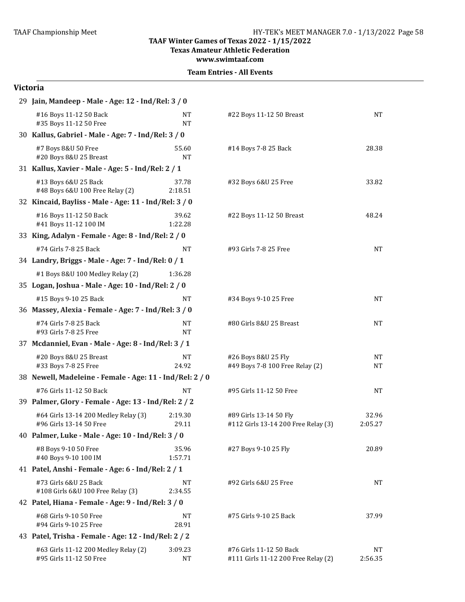**Texas Amateur Athletic Federation**

**www.swimtaaf.com**

|  | <b>Team Entries - All Events</b> |  |  |
|--|----------------------------------|--|--|
|--|----------------------------------|--|--|

| 29 Jain, Mandeep - Male - Age: 12 - Ind/Rel: 3 / 0              |                      |                                                                |                        |  |
|-----------------------------------------------------------------|----------------------|----------------------------------------------------------------|------------------------|--|
| #16 Boys 11-12 50 Back<br>#35 Boys 11-12 50 Free                | NΤ<br>NT             | #22 Boys 11-12 50 Breast                                       | <b>NT</b>              |  |
| 30 Kallus, Gabriel - Male - Age: 7 - Ind/Rel: 3 / 0             |                      |                                                                |                        |  |
| #7 Boys 8&U 50 Free<br>#20 Boys 8&U 25 Breast                   | 55.60<br><b>NT</b>   | #14 Boys 7-8 25 Back                                           | 28.38                  |  |
| 31 Kallus, Xavier - Male - Age: 5 - Ind/Rel: 2 / 1              |                      |                                                                |                        |  |
| #13 Boys 6&U 25 Back<br>#48 Boys 6&U 100 Free Relay (2)         | 37.78<br>2:18.51     | #32 Boys 6&U 25 Free                                           | 33.82                  |  |
| 32 Kincaid, Bayliss - Male - Age: 11 - Ind/Rel: 3 / 0           |                      |                                                                |                        |  |
| #16 Boys 11-12 50 Back<br>#41 Boys 11-12 100 IM                 | 39.62<br>1:22.28     | #22 Boys 11-12 50 Breast                                       | 48.24                  |  |
| 33 King, Adalyn - Female - Age: 8 - Ind/Rel: 2 / 0              |                      |                                                                |                        |  |
| #74 Girls 7-8 25 Back                                           | <b>NT</b>            | #93 Girls 7-8 25 Free                                          | <b>NT</b>              |  |
| 34 Landry, Briggs - Male - Age: 7 - Ind/Rel: 0 / 1              |                      |                                                                |                        |  |
| #1 Boys 8&U 100 Medley Relay (2)                                | 1:36.28              |                                                                |                        |  |
| 35 Logan, Joshua - Male - Age: 10 - Ind/Rel: 2 / 0              |                      |                                                                |                        |  |
| #15 Boys 9-10 25 Back                                           | NT                   | #34 Boys 9-10 25 Free                                          | <b>NT</b>              |  |
| 36 Massey, Alexia - Female - Age: 7 - Ind/Rel: 3 / 0            |                      |                                                                |                        |  |
| #74 Girls 7-8 25 Back<br>#93 Girls 7-8 25 Free                  | NT<br>NT             | #80 Girls 8&U 25 Breast                                        | <b>NT</b>              |  |
| 37 Mcdanniel, Evan - Male - Age: 8 - Ind/Rel: 3 / 1             |                      |                                                                |                        |  |
| #20 Boys 8&U 25 Breast<br>#33 Boys 7-8 25 Free                  | <b>NT</b><br>24.92   | #26 Boys 8&U 25 Fly<br>#49 Boys 7-8 100 Free Relay (2)         | <b>NT</b><br><b>NT</b> |  |
| 38 Newell, Madeleine - Female - Age: 11 - Ind/Rel: 2 / 0        |                      |                                                                |                        |  |
| #76 Girls 11-12 50 Back                                         | <b>NT</b>            | #95 Girls 11-12 50 Free                                        | <b>NT</b>              |  |
| 39 Palmer, Glory - Female - Age: 13 - Ind/Rel: 2 / 2            |                      |                                                                |                        |  |
| #64 Girls 13-14 200 Medley Relay (3)<br>#96 Girls 13-14 50 Free | 2:19.30<br>29.11     | #89 Girls 13-14 50 Fly<br>#112 Girls 13-14 200 Free Relay (3)  | 32.96<br>2:05.27       |  |
| 40 Palmer, Luke - Male - Age: 10 - Ind/Rel: 3 / 0               |                      |                                                                |                        |  |
| #8 Boys 9-10 50 Free<br>#40 Boys 9-10 100 IM                    | 35.96<br>1:57.71     | #27 Boys 9-10 25 Fly                                           | 20.89                  |  |
| 41 Patel, Anshi - Female - Age: 6 - Ind/Rel: 2 / 1              |                      |                                                                |                        |  |
| #73 Girls 6&U 25 Back<br>#108 Girls 6&U 100 Free Relay (3)      | NΤ<br>2:34.55        | #92 Girls 6&U 25 Free                                          | NΤ                     |  |
| 42 Patel, Hiana - Female - Age: 9 - Ind/Rel: 3 / 0              |                      |                                                                |                        |  |
| #68 Girls 9-10 50 Free<br>#94 Girls 9-10 25 Free                | NT<br>28.91          | #75 Girls 9-10 25 Back                                         | 37.99                  |  |
| 43 Patel, Trisha - Female - Age: 12 - Ind/Rel: 2 / 2            |                      |                                                                |                        |  |
| #63 Girls 11-12 200 Medley Relay (2)<br>#95 Girls 11-12 50 Free | 3:09.23<br><b>NT</b> | #76 Girls 11-12 50 Back<br>#111 Girls 11-12 200 Free Relay (2) | <b>NT</b><br>2:56.35   |  |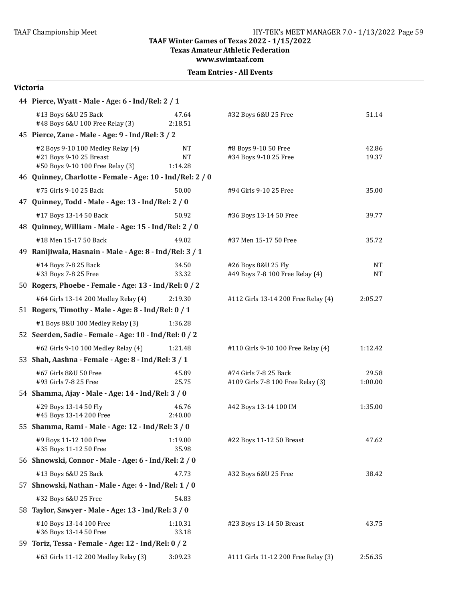**Texas Amateur Athletic Federation** 

**www.swimtaaf.com**

#### **Team Entries - All Events**

| 44 Pierce, Wyatt - Male - Age: 6 - Ind/Rel: 2 / 1                                                |                                   |                                                            |                  |  |
|--------------------------------------------------------------------------------------------------|-----------------------------------|------------------------------------------------------------|------------------|--|
| #13 Boys 6&U 25 Back<br>#48 Boys 6&U 100 Free Relay (3)                                          | 47.64<br>2:18.51                  | #32 Boys 6&U 25 Free                                       | 51.14            |  |
| 45 Pierce, Zane - Male - Age: 9 - Ind/Rel: 3 / 2                                                 |                                   |                                                            |                  |  |
| #2 Boys 9-10 100 Medley Relay (4)<br>#21 Boys 9-10 25 Breast<br>#50 Boys 9-10 100 Free Relay (3) | <b>NT</b><br><b>NT</b><br>1:14.28 | #8 Boys 9-10 50 Free<br>#34 Boys 9-10 25 Free              | 42.86<br>19.37   |  |
| 46 Quinney, Charlotte - Female - Age: 10 - Ind/Rel: 2 / 0                                        |                                   |                                                            |                  |  |
| #75 Girls 9-10 25 Back                                                                           | 50.00                             | #94 Girls 9-10 25 Free                                     | 35.00            |  |
| 47 Quinney, Todd - Male - Age: 13 - Ind/Rel: 2 / 0                                               |                                   |                                                            |                  |  |
| #17 Boys 13-14 50 Back                                                                           | 50.92                             | #36 Boys 13-14 50 Free                                     | 39.77            |  |
| 48 Quinney, William - Male - Age: 15 - Ind/Rel: 2 / 0                                            |                                   |                                                            |                  |  |
| #18 Men 15-17 50 Back                                                                            | 49.02                             | #37 Men 15-17 50 Free                                      | 35.72            |  |
| 49 Ranijiwala, Hasnain - Male - Age: 8 - Ind/Rel: 3 / 1                                          |                                   |                                                            |                  |  |
| #14 Boys 7-8 25 Back<br>#33 Boys 7-8 25 Free                                                     | 34.50<br>33.32                    | #26 Boys 8&U 25 Fly<br>#49 Boys 7-8 100 Free Relay (4)     | <b>NT</b><br>NT  |  |
| 50 Rogers, Phoebe - Female - Age: 13 - Ind/Rel: 0 / 2                                            |                                   |                                                            |                  |  |
| #64 Girls 13-14 200 Medley Relay (4)                                                             | 2:19.30                           | #112 Girls 13-14 200 Free Relay (4)                        | 2:05.27          |  |
| 51 Rogers, Timothy - Male - Age: 8 - Ind/Rel: 0 / 1                                              |                                   |                                                            |                  |  |
| #1 Boys 8&U 100 Medley Relay (3)                                                                 | 1:36.28                           |                                                            |                  |  |
| 52 Seerden, Sadie - Female - Age: 10 - Ind/Rel: 0 / 2                                            |                                   |                                                            |                  |  |
| #62 Girls 9-10 100 Medley Relay (4)                                                              | 1:21.48                           | #110 Girls 9-10 100 Free Relay (4)                         | 1:12.42          |  |
| 53 Shah, Aashna - Female - Age: 8 - Ind/Rel: 3 / 1                                               |                                   |                                                            |                  |  |
| #67 Girls 8&U 50 Free<br>#93 Girls 7-8 25 Free                                                   | 45.89<br>25.75                    | #74 Girls 7-8 25 Back<br>#109 Girls 7-8 100 Free Relay (3) | 29.58<br>1:00.00 |  |
| 54 Shamma, Ajay - Male - Age: 14 - Ind/Rel: 3 / 0                                                |                                   |                                                            |                  |  |
| #29 Boys 13-14 50 Fly<br>#45 Boys 13-14 200 Free                                                 | 46.76<br>2:40.00                  | #42 Boys 13-14 100 IM                                      | 1:35.00          |  |
| 55 Shamma, Rami - Male - Age: 12 - Ind/Rel: 3 / 0                                                |                                   |                                                            |                  |  |
| #9 Boys 11-12 100 Free<br>#35 Boys 11-12 50 Free                                                 | 1:19.00<br>35.98                  | #22 Boys 11-12 50 Breast                                   | 47.62            |  |
| 56 Shnowski, Connor - Male - Age: 6 - Ind/Rel: 2 / 0                                             |                                   |                                                            |                  |  |
| #13 Boys 6&U 25 Back                                                                             | 47.73                             | #32 Boys 6&U 25 Free                                       | 38.42            |  |
| 57 Shnowski, Nathan - Male - Age: 4 - Ind/Rel: 1 / 0                                             |                                   |                                                            |                  |  |
| #32 Boys 6&U 25 Free                                                                             | 54.83                             |                                                            |                  |  |
| 58 Taylor, Sawyer - Male - Age: 13 - Ind/Rel: 3 / 0                                              |                                   |                                                            |                  |  |
| #10 Boys 13-14 100 Free<br>#36 Boys 13-14 50 Free                                                | 1:10.31<br>33.18                  | #23 Boys 13-14 50 Breast                                   | 43.75            |  |
| 59 Toriz, Tessa - Female - Age: 12 - Ind/Rel: 0 / 2                                              |                                   |                                                            |                  |  |
| #63 Girls 11-12 200 Medley Relay (3)                                                             | 3:09.23                           | #111 Girls 11-12 200 Free Relay (3)                        | 2:56.35          |  |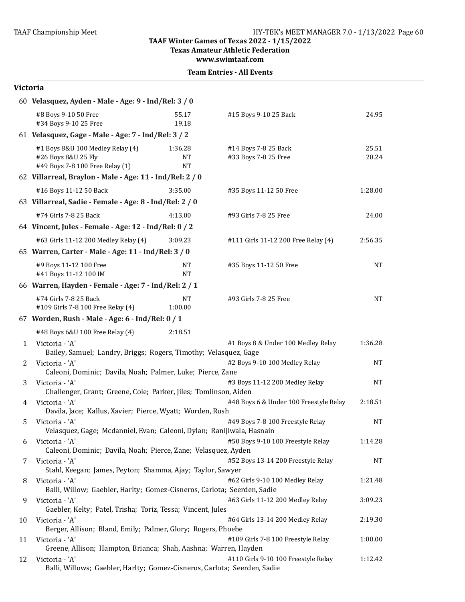**Texas Amateur Athletic Federation** 

**www.swimtaaf.com**

**Team Entries - All Events** 

|    | 60 Velasquez, Ayden - Male - Age: 9 - Ind/Rel: 3 / 0                                                                       |                            |                                              |                |  |
|----|----------------------------------------------------------------------------------------------------------------------------|----------------------------|----------------------------------------------|----------------|--|
|    | #8 Boys 9-10 50 Free<br>#34 Boys 9-10 25 Free                                                                              | 55.17<br>19.18             | #15 Boys 9-10 25 Back                        | 24.95          |  |
|    | 61 Velasquez, Gage - Male - Age: 7 - Ind/Rel: 3 / 2                                                                        |                            |                                              |                |  |
|    | #1 Boys 8&U 100 Medley Relay (4)<br>#26 Boys 8&U 25 Fly<br>#49 Boys 7-8 100 Free Relay (1)                                 | 1:36.28<br>NΤ<br><b>NT</b> | #14 Boys 7-8 25 Back<br>#33 Boys 7-8 25 Free | 25.51<br>20.24 |  |
|    | 62 Villarreal, Braylon - Male - Age: 11 - Ind/Rel: 2 / 0                                                                   |                            |                                              |                |  |
|    | #16 Boys 11-12 50 Back                                                                                                     | 3:35.00                    | #35 Boys 11-12 50 Free                       | 1:28.00        |  |
|    | 63 Villarreal, Sadie - Female - Age: 8 - Ind/Rel: 2 / 0                                                                    |                            |                                              |                |  |
|    | #74 Girls 7-8 25 Back                                                                                                      | 4:13.00                    | #93 Girls 7-8 25 Free                        | 24.00          |  |
|    | 64 Vincent, Jules - Female - Age: 12 - Ind/Rel: 0 / 2                                                                      |                            |                                              |                |  |
|    | #63 Girls 11-12 200 Medley Relay (4)                                                                                       | 3:09.23                    | #111 Girls 11-12 200 Free Relay (4)          | 2:56.35        |  |
|    | 65 Warren, Carter - Male - Age: 11 - Ind/Rel: 3 / 0                                                                        |                            |                                              |                |  |
|    | #9 Boys 11-12 100 Free<br>#41 Boys 11-12 100 IM                                                                            | NT<br><b>NT</b>            | #35 Boys 11-12 50 Free                       | NΤ             |  |
|    | 66 Warren, Hayden - Female - Age: 7 - Ind/Rel: 2 / 1                                                                       |                            |                                              |                |  |
|    | #74 Girls 7-8 25 Back<br>#109 Girls 7-8 100 Free Relay (4)                                                                 | <b>NT</b><br>1:00.00       | #93 Girls 7-8 25 Free                        | <b>NT</b>      |  |
|    | 67 Worden, Rush - Male - Age: 6 - Ind/Rel: 0 / 1                                                                           |                            |                                              |                |  |
|    | #48 Boys 6&U 100 Free Relay (4)                                                                                            | 2:18.51                    |                                              |                |  |
| 1  | Victoria - 'A'<br>Bailey, Samuel; Landry, Briggs; Rogers, Timothy; Velasquez, Gage                                         |                            | #1 Boys 8 & Under 100 Medley Relay           | 1:36.28        |  |
| 2  | Victoria - 'A'<br>#2 Boys 9-10 100 Medley Relay<br><b>NT</b><br>Caleoni, Dominic; Davila, Noah; Palmer, Luke; Pierce, Zane |                            |                                              |                |  |
| 3  | Victoria - 'A'<br>Challenger, Grant; Greene, Cole; Parker, Jiles; Tomlinson, Aiden                                         |                            | #3 Boys 11-12 200 Medley Relay               | <b>NT</b>      |  |
| 4  | Victoria - 'A'<br>Davila, Jace; Kallus, Xavier; Pierce, Wyatt; Worden, Rush                                                |                            | #48 Boys 6 & Under 100 Freestyle Relay       | 2:18.51        |  |
| 5  | Victoria - 'A'<br>Velasquez, Gage; Mcdanniel, Evan; Caleoni, Dylan; Ranijiwala, Hasnain                                    |                            | #49 Boys 7-8 100 Freestyle Relay             | NΤ             |  |
| 6  | Victoria - 'A'                                                                                                             |                            | #50 Boys 9-10 100 Freestyle Relay            | 1:14.28        |  |
|    | Caleoni, Dominic; Davila, Noah; Pierce, Zane; Velasquez, Ayden                                                             |                            |                                              |                |  |
| 7  | Victoria - 'A'<br>Stahl, Keegan; James, Peyton; Shamma, Ajay; Taylor, Sawyer                                               |                            | #52 Boys 13-14 200 Freestyle Relay           | NΤ             |  |
| 8  | Victoria - 'A'<br>Balli, Willow; Gaebler, Harlty; Gomez-Cisneros, Carlota; Seerden, Sadie                                  |                            | #62 Girls 9-10 100 Medley Relay              | 1:21.48        |  |
| 9  | Victoria - 'A'<br>Gaebler, Kelty; Patel, Trisha; Toriz, Tessa; Vincent, Jules                                              |                            | #63 Girls 11-12 200 Medley Relay             | 3:09.23        |  |
| 10 | Victoria - 'A'<br>Berger, Allison; Bland, Emily; Palmer, Glory; Rogers, Phoebe                                             |                            | #64 Girls 13-14 200 Medley Relay             | 2:19.30        |  |
| 11 | Victoria - 'A'<br>Greene, Allison; Hampton, Brianca; Shah, Aashna; Warren, Hayden                                          |                            | #109 Girls 7-8 100 Freestyle Relay           | 1:00.00        |  |
| 12 | Victoria - 'A'<br>Balli, Willows; Gaebler, Harlty; Gomez-Cisneros, Carlota; Seerden, Sadie                                 |                            | #110 Girls 9-10 100 Freestyle Relay          | 1:12.42        |  |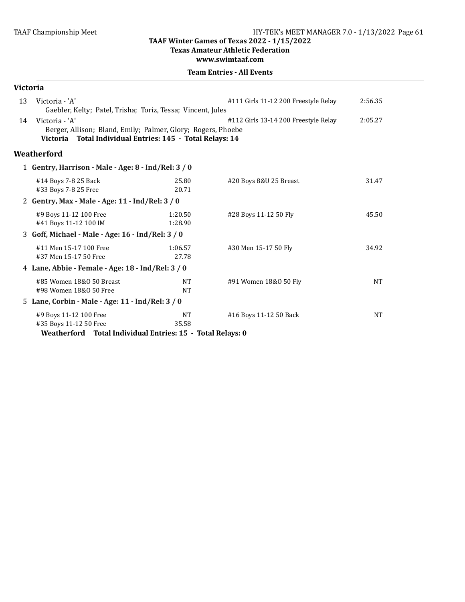**Texas Amateur Athletic Federation** 

**www.swimtaaf.com**

| <b>Victoria</b>                                 |                                                                                                                                             |                                                     |                                      |           |  |  |
|-------------------------------------------------|---------------------------------------------------------------------------------------------------------------------------------------------|-----------------------------------------------------|--------------------------------------|-----------|--|--|
| 13                                              | Victoria - 'A'<br>Gaebler, Kelty; Patel, Trisha; Toriz, Tessa; Vincent, Jules                                                               |                                                     | #111 Girls 11-12 200 Freestyle Relay | 2:56.35   |  |  |
| 14                                              | Victoria - 'A'<br>Berger, Allison; Bland, Emily; Palmer, Glory; Rogers, Phoebe<br>Victoria Total Individual Entries: 145 - Total Relays: 14 |                                                     | #112 Girls 13-14 200 Freestyle Relay | 2:05.27   |  |  |
|                                                 | Weatherford                                                                                                                                 |                                                     |                                      |           |  |  |
|                                                 |                                                                                                                                             | 1 Gentry, Harrison - Male - Age: 8 - Ind/Rel: 3 / 0 |                                      |           |  |  |
|                                                 | #14 Boys 7-8 25 Back<br>#33 Boys 7-8 25 Free                                                                                                | 25.80<br>20.71                                      | #20 Boys 8&U 25 Breast               | 31.47     |  |  |
| 2 Gentry, Max - Male - Age: 11 - Ind/Rel: 3 / 0 |                                                                                                                                             |                                                     |                                      |           |  |  |
|                                                 | #9 Boys 11-12 100 Free<br>#41 Boys 11-12 100 IM                                                                                             | 1:20.50<br>1:28.90                                  | #28 Boys 11-12 50 Fly                | 45.50     |  |  |
|                                                 | 3 Goff, Michael - Male - Age: 16 - Ind/Rel: 3 / 0                                                                                           |                                                     |                                      |           |  |  |
|                                                 | #11 Men 15-17 100 Free<br>#37 Men 15-17 50 Free                                                                                             | 1:06.57<br>27.78                                    | #30 Men 15-17 50 Fly                 | 34.92     |  |  |
|                                                 | 4 Lane, Abbie - Female - Age: 18 - Ind/Rel: 3 / 0                                                                                           |                                                     |                                      |           |  |  |
|                                                 | #85 Women 18&0 50 Breast<br>#98 Women 18&0 50 Free                                                                                          | <b>NT</b><br><b>NT</b>                              | #91 Women 18&0 50 Fly                | <b>NT</b> |  |  |
|                                                 | 5 Lane, Corbin - Male - Age: 11 - Ind/Rel: 3 / 0                                                                                            |                                                     |                                      |           |  |  |
|                                                 | #9 Boys 11-12 100 Free<br>#35 Boys 11-12 50 Free<br>Weatherford Total Individual Entries: 15 - Total Relays: 0                              | <b>NT</b><br>35.58                                  | #16 Boys 11-12 50 Back               | <b>NT</b> |  |  |